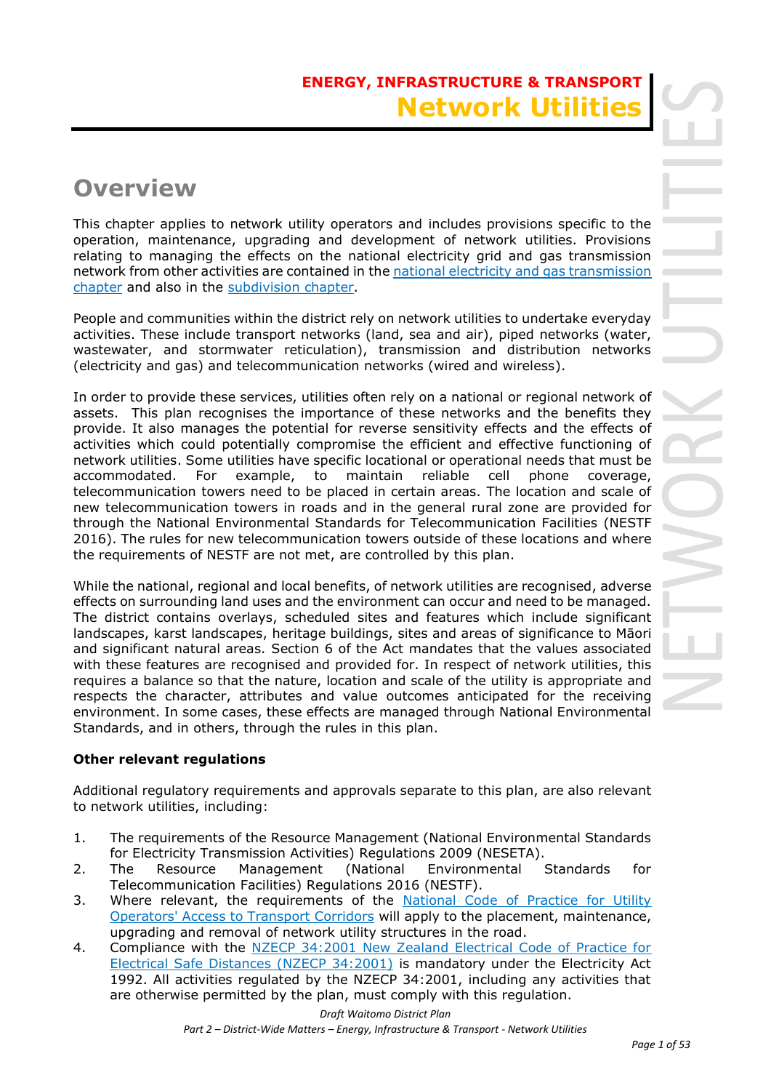# **ENERGY, INFRASTRUCTURE & TRANSPORT Network Utilitie**

# **Overview**

This chapter applies to network utility operators and includes provisions specific to the operation, maintenance, upgrading and development of network utilities. Provisions relating to managing the effects on the national electricity grid and gas transmission network from other activities are contained in the national electricity and gas transmission chapter and also in the subdivision chapter.

People and communities within the district rely on network utilities to undertake everyday activities. These include transport networks (land, sea and air), piped networks (water, wastewater, and stormwater reticulation), transmission and distribution networks (electricity and gas) and telecommunication networks (wired and wireless).

In order to provide these services, utilities often rely on a national or regional network of assets. This plan recognises the importance of these networks and the benefits they provide. It also manages the potential for reverse sensitivity effects and the effects of activities which could potentially compromise the efficient and effective functioning of network utilities. Some utilities have specific locational or operational needs that must be accommodated. For example, to maintain reliable cell phone coverage, telecommunication towers need to be placed in certain areas. The location and scale of new telecommunication towers in roads and in the general rural zone are provided for through the National Environmental Standards for Telecommunication Facilities (NESTF 2016). The rules for new telecommunication towers outside of these locations and where the requirements of NESTF are not met, are controlled by this plan.

While the national, regional and local benefits, of network utilities are recognised, adverse effects on surrounding land uses and the environment can occur and need to be managed. The district contains overlays, scheduled sites and features which include significant landscapes, karst landscapes, heritage buildings, sites and areas of significance to Māori and significant natural areas. Section 6 of the Act mandates that the values associated with these features are recognised and provided for. In respect of network utilities, this requires a balance so that the nature, location and scale of the utility is appropriate and respects the character, attributes and value outcomes anticipated for the receiving environment. In some cases, these effects are managed through National Environmental Standards, and in others, through the rules in this plan.

### **Other relevant regulations**

Additional regulatory requirements and approvals separate to this plan, are also relevant to network utilities, including:

- 1. The requirements of the Resource Management (National Environmental Standards for Electricity Transmission Activities) Regulations 2009 (NESETA).
- 2. The Resource Management (National Environmental Standards for Telecommunication Facilities) Regulations 2016 (NESTF).
- 3. Where relevant, the requirements of the National Code of Practice for Utility Operators' Access to Transport Corridors will apply to the placement, maintenance, upgrading and removal of network utility structures in the road.
- 4. Compliance with the NZECP 34:2001 New Zealand Electrical Code of Practice for Electrical Safe Distances (NZECP 34:2001) is mandatory under the Electricity Act 1992. All activities regulated by the NZECP 34:2001, including any activities that are otherwise permitted by the plan, must comply with this regulation.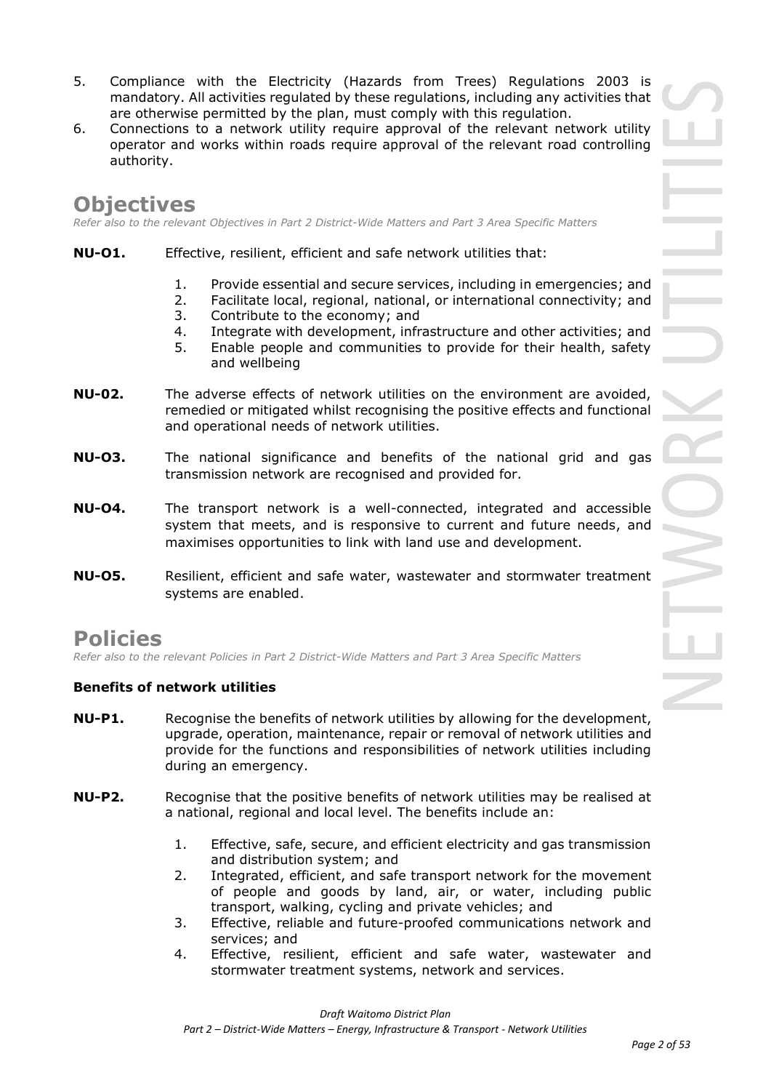- 5. Compliance with the Electricity (Hazards from Trees) Regulations 2003 is mandatory. All activities regulated by these regulations, including any activities that are otherwise permitted by the plan, must comply with this regulation.
- 6. Connections to a network utility require approval of the relevant network utility operator and works within roads require approval of the relevant road controlling authority.

# **Objectives**

*Refer also to the relevant Objectives in Part 2 District-Wide Matters and Part 3 Area Specific Matters*

- **NU-O1.** Effective, resilient, efficient and safe network utilities that:
	- 1. Provide essential and secure services, including in emergencies; and
	- 2. Facilitate local, regional, national, or international connectivity; and
	- 3. Contribute to the economy; and
	- 4. Integrate with development, infrastructure and other activities; and
	- 5. Enable people and communities to provide for their health, safety and wellbeing
- **NU-02.** The adverse effects of network utilities on the environment are avoided, remedied or mitigated whilst recognising the positive effects and functional and operational needs of network utilities.
- **NU-O3.** The national significance and benefits of the national grid and gas transmission network are recognised and provided for.
- **NU-O4.** The transport network is a well-connected, integrated and accessible system that meets, and is responsive to current and future needs, and maximises opportunities to link with land use and development.
- **NU-O5.** Resilient, efficient and safe water, wastewater and stormwater treatment systems are enabled.

# **Policies**

*Refer also to the relevant Policies in Part 2 District-Wide Matters and Part 3 Area Specific Matters*

### **Benefits of network utilities**

- **NU-P1.** Recognise the benefits of network utilities by allowing for the development, upgrade, operation, maintenance, repair or removal of network utilities and provide for the functions and responsibilities of network utilities including during an emergency.
- **NU-P2.** Recognise that the positive benefits of network utilities may be realised at a national, regional and local level. The benefits include an:
	- 1. Effective, safe, secure, and efficient electricity and gas transmission and distribution system; and
	- 2. Integrated, efficient, and safe transport network for the movement of people and goods by land, air, or water, including public transport, walking, cycling and private vehicles; and
	- 3. Effective, reliable and future-proofed communications network and services; and
	- 4. Effective, resilient, efficient and safe water, wastewater and stormwater treatment systems, network and services.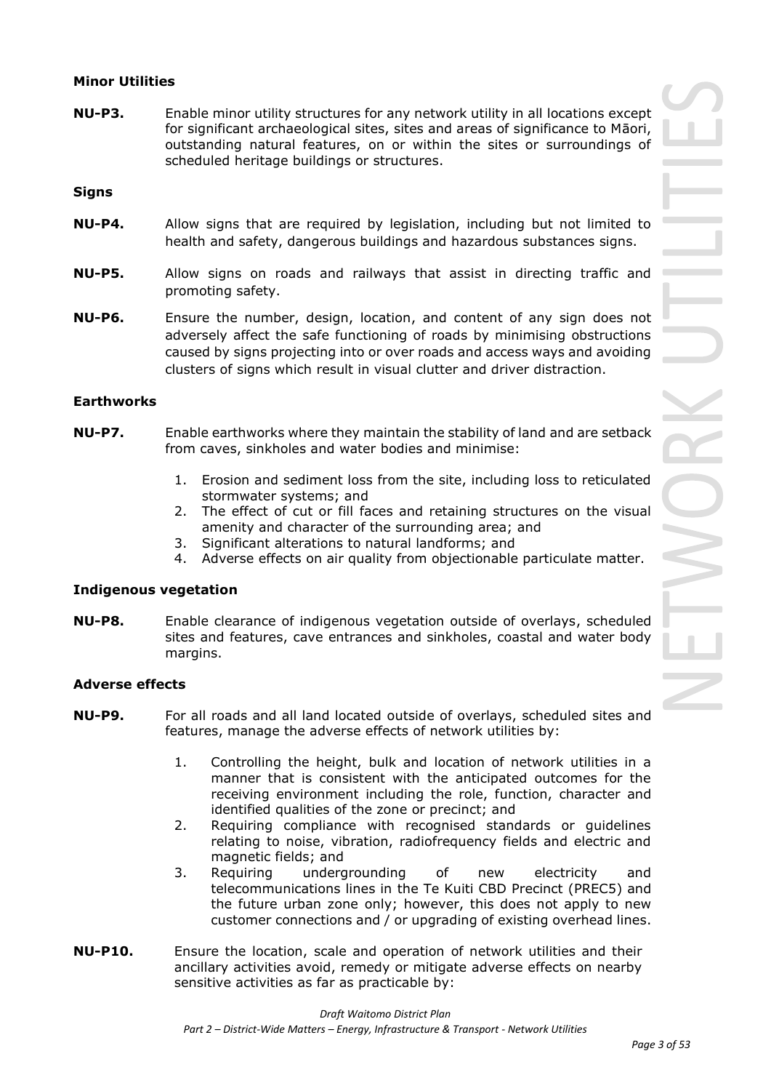### **Minor Utilities**

**NU-P3.** Enable minor utility structures for any network utility in all locations except for significant archaeological sites, sites and areas of significance to Māori, outstanding natural features, on or within the sites or surroundings of scheduled heritage buildings or structures.

**Signs**

- **NU-P4.** Allow signs that are required by legislation, including but not limited to health and safety, dangerous buildings and hazardous substances signs.
- **NU-P5.** Allow signs on roads and railways that assist in directing traffic and promoting safety.
- **NU-P6.** Ensure the number, design, location, and content of any sign does not adversely affect the safe functioning of roads by minimising obstructions caused by signs projecting into or over roads and access ways and avoiding clusters of signs which result in visual clutter and driver distraction.

### **Earthworks**

- **NU-P7.** Enable earthworks where they maintain the stability of land and are setback from caves, sinkholes and water bodies and minimise:
	- 1. Erosion and sediment loss from the site, including loss to reticulated stormwater systems; and
	- 2. The effect of cut or fill faces and retaining structures on the visual amenity and character of the surrounding area; and
	- 3. Significant alterations to natural landforms; and
	- 4. Adverse effects on air quality from objectionable particulate matter.

### **Indigenous vegetation**

**NU-P8.** Enable clearance of indigenous vegetation outside of overlays, scheduled sites and features, cave entrances and sinkholes, coastal and water body margins.

### **Adverse effects**

- **NU-P9.** For all roads and all land located outside of overlays, scheduled sites and features, manage the adverse effects of network utilities by:
	- 1. Controlling the height, bulk and location of network utilities in a manner that is consistent with the anticipated outcomes for the receiving environment including the role, function, character and identified qualities of the zone or precinct; and
	- 2. Requiring compliance with recognised standards or guidelines relating to noise, vibration, radiofrequency fields and electric and magnetic fields; and
	- 3. Requiring undergrounding of new electricity and telecommunications lines in the Te Kuiti CBD Precinct (PREC5) and the future urban zone only; however, this does not apply to new customer connections and / or upgrading of existing overhead lines.
- **NU-P10.** Ensure the location, scale and operation of network utilities and their ancillary activities avoid, remedy or mitigate adverse effects on nearby sensitive activities as far as practicable by: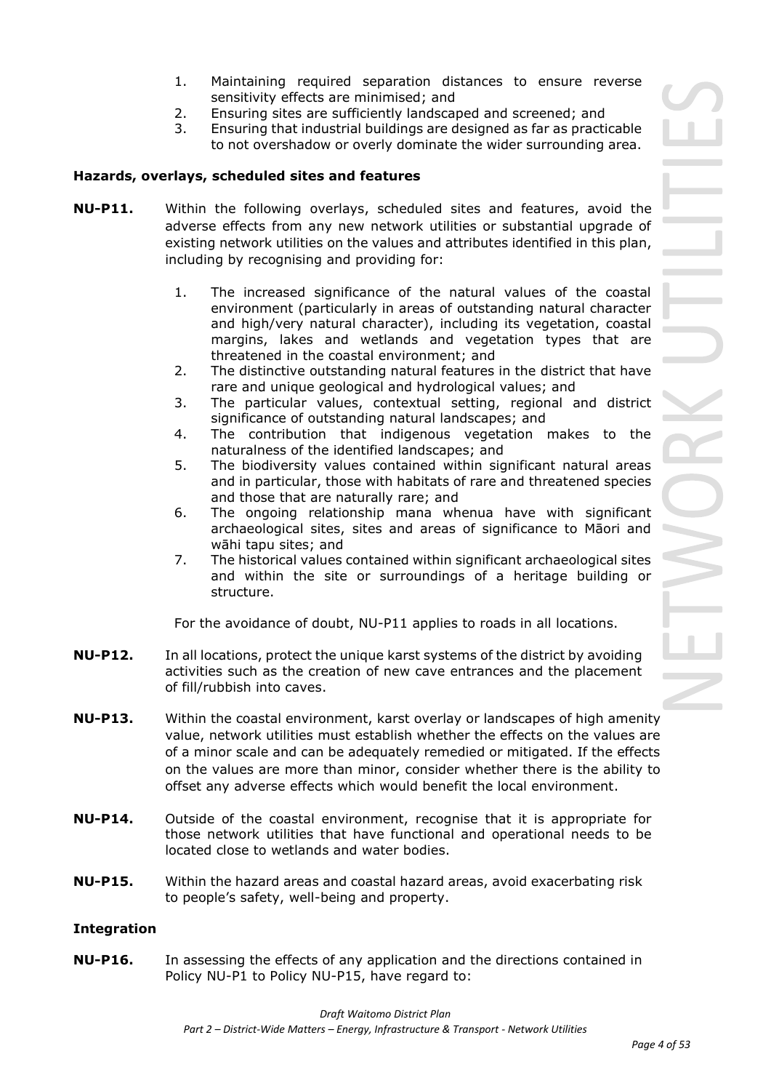- 1. Maintaining required separation distances to ensure reverse sensitivity effects are minimised; and
- 2. Ensuring sites are sufficiently landscaped and screened; and
- 3. Ensuring that industrial buildings are designed as far as practicable to not overshadow or overly dominate the wider surrounding area.

### **Hazards, overlays, scheduled sites and features**

- **NU-P11.** Within the following overlays, scheduled sites and features, avoid the adverse effects from any new network utilities or substantial upgrade of existing network utilities on the values and attributes identified in this plan, including by recognising and providing for:
	- 1. The increased significance of the natural values of the coastal environment (particularly in areas of outstanding natural character and high/very natural character), including its vegetation, coastal margins, lakes and wetlands and vegetation types that are threatened in the coastal environment; and
	- 2. The distinctive outstanding natural features in the district that have rare and unique geological and hydrological values; and
	- 3. The particular values, contextual setting, regional and district significance of outstanding natural landscapes; and
	- 4. The contribution that indigenous vegetation makes to the naturalness of the identified landscapes; and
	- 5. The biodiversity values contained within significant natural areas and in particular, those with habitats of rare and threatened species and those that are naturally rare; and
	- 6. The ongoing relationship mana whenua have with significant archaeological sites, sites and areas of significance to Māori and wāhi tapu sites; and
	- 7. The historical values contained within significant archaeological sites and within the site or surroundings of a heritage building or structure.

For the avoidance of doubt, NU-P11 applies to roads in all locations.

- **NU-P12.** In all locations, protect the unique karst systems of the district by avoiding activities such as the creation of new cave entrances and the placement of fill/rubbish into caves.
- **NU-P13.** Within the coastal environment, karst overlay or landscapes of high amenity value, network utilities must establish whether the effects on the values are of a minor scale and can be adequately remedied or mitigated. If the effects on the values are more than minor, consider whether there is the ability to offset any adverse effects which would benefit the local environment.
- **NU-P14.** Outside of the coastal environment, recognise that it is appropriate for those network utilities that have functional and operational needs to be located close to wetlands and water bodies.
- **NU-P15.** Within the hazard areas and coastal hazard areas, avoid exacerbating risk to people's safety, well-being and property.

### **Integration**

**NU-P16.** In assessing the effects of any application and the directions contained in Policy NU-P1 to Policy NU-P15, have regard to: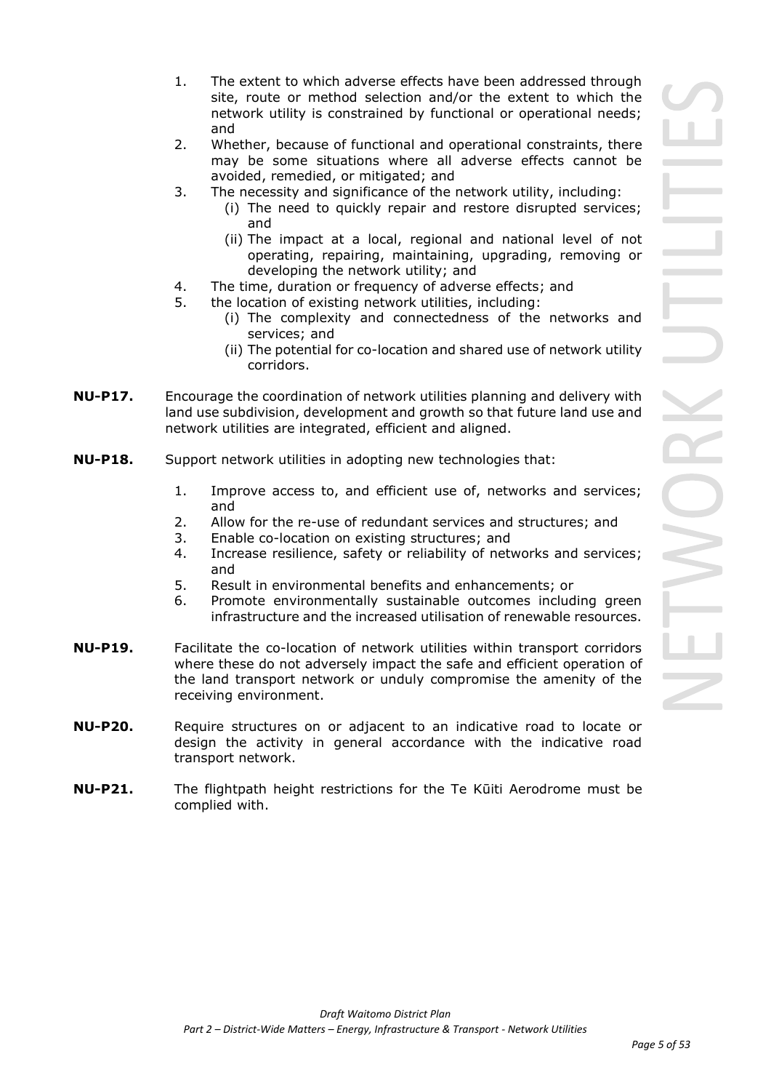- 1. The extent to which adverse effects have been addressed through site, route or method selection and/or the extent to which the network utility is constrained by functional or operational needs; and
- 2. Whether, because of functional and operational constraints, there may be some situations where all adverse effects cannot be avoided, remedied, or mitigated; and
- 3. The necessity and significance of the network utility, including:
	- (i) The need to quickly repair and restore disrupted services; and
	- (ii) The impact at a local, regional and national level of not operating, repairing, maintaining, upgrading, removing or developing the network utility; and
- 4. The time, duration or frequency of adverse effects; and
- 5. the location of existing network utilities, including:
	- (i) The complexity and connectedness of the networks and services; and
	- (ii) The potential for co-location and shared use of network utility corridors.
- **NU-P17.** Encourage the coordination of network utilities planning and delivery with land use subdivision, development and growth so that future land use and network utilities are integrated, efficient and aligned.
- **NU-P18.** Support network utilities in adopting new technologies that:
	- 1. Improve access to, and efficient use of, networks and services; and
	- 2. Allow for the re-use of redundant services and structures; and
	- 3. Enable co-location on existing structures; and
	- 4. Increase resilience, safety or reliability of networks and services; and
	- 5. Result in environmental benefits and enhancements; or
	- 6. Promote environmentally sustainable outcomes including green infrastructure and the increased utilisation of renewable resources.
- **NU-P19.** Facilitate the co-location of network utilities within transport corridors where these do not adversely impact the safe and efficient operation of the land transport network or unduly compromise the amenity of the receiving environment.
- **NU-P20.** Require structures on or adjacent to an indicative road to locate or design the activity in general accordance with the indicative road transport network.
- **NU-P21.** The flightpath height restrictions for the Te Kūiti Aerodrome must be complied with.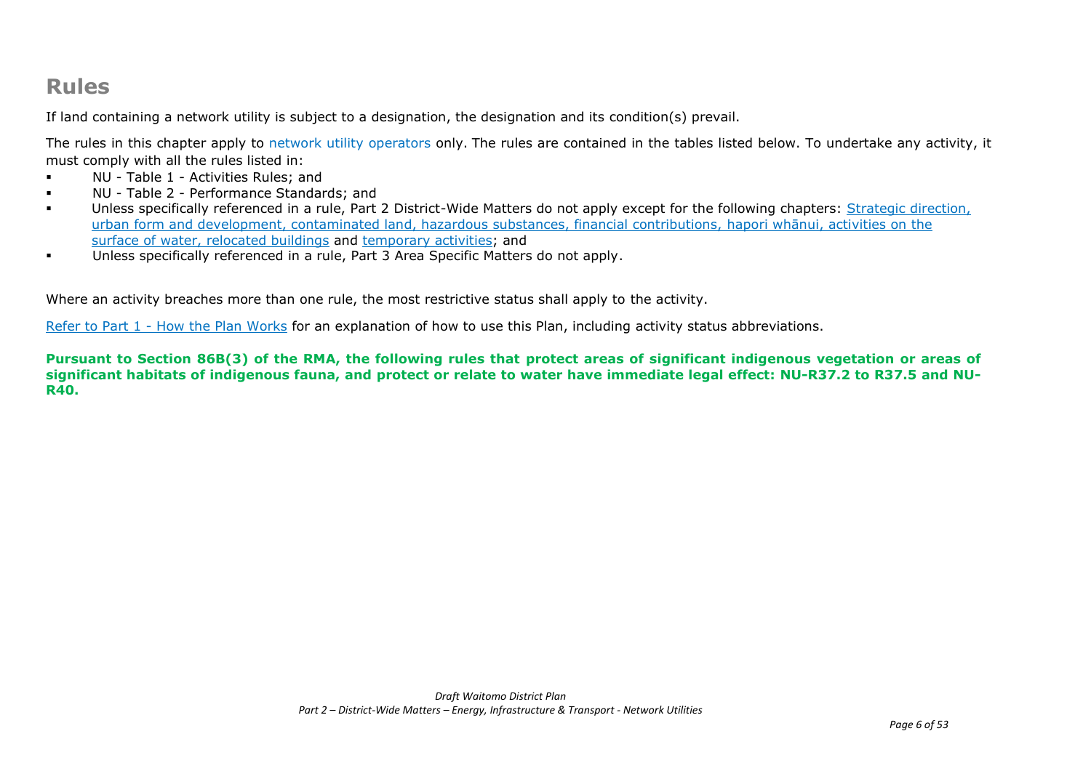# **Rules**

If land containing a network utility is subject to a designation, the designation and its condition(s) prevail.

The rules in this chapter apply to network utility operators only. The rules are contained in the tables listed below. To undertake any activity, it must comply with all the rules listed in:

- NU Table 1 Activities Rules; and
- NU Table 2 Performance Standards; and
- Unless specifically referenced in a rule, Part 2 District-Wide Matters do not apply except for the following chapters: Strategic direction, urban form and development, contaminated land, hazardous substances, financial contributions, hapori whānui, activities on the surface of water, relocated buildings and temporary activities; and
- Unless specifically referenced in a rule, Part 3 Area Specific Matters do not apply.

Where an activity breaches more than one rule, the most restrictive status shall apply to the activity.

Refer to [Part 1](javascript:void(0)) - How the Plan Works for an explanation of how to use this Plan, including activity status abbreviations.

**Pursuant to Section 86B(3) of the RMA, the following rules that protect areas of significant indigenous vegetation or areas of significant habitats of indigenous fauna, and protect or relate to water have immediate legal effect: NU-R37.2 to R37.5 and NU-R40.**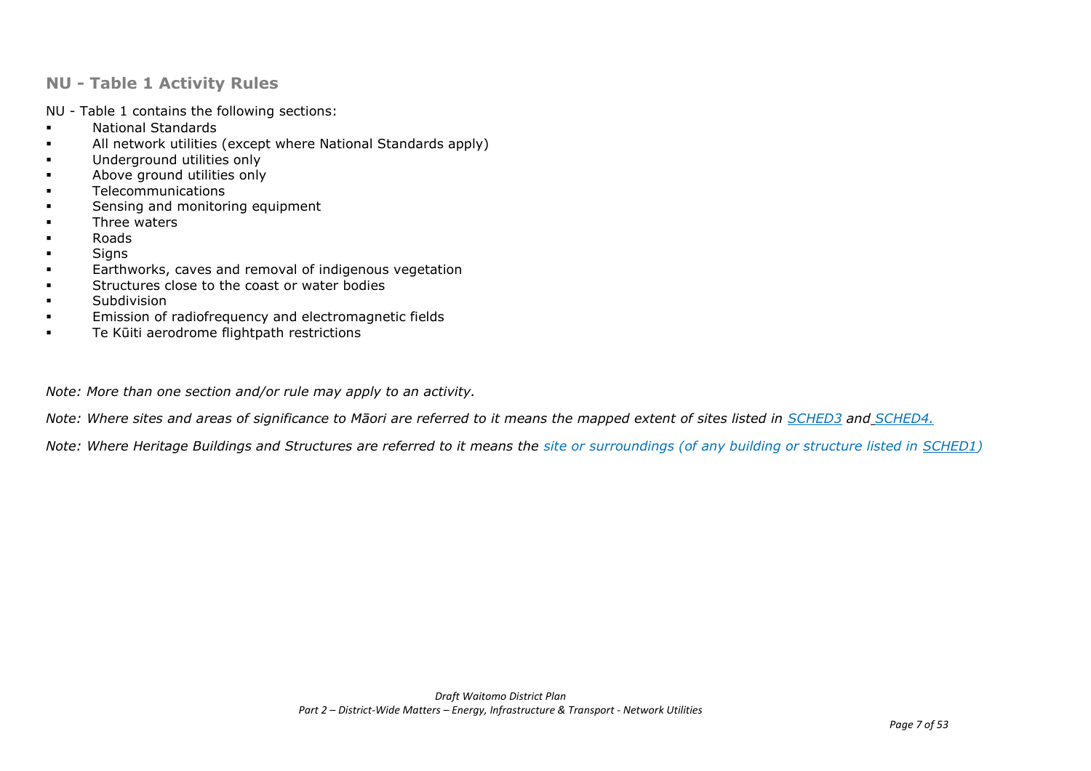### **NU - Table 1 Activity Rules**

NU - Table 1 contains the following sections:

- National Standards
- All network utilities (except where National Standards apply)
- **■** Underground utilities only
- Above ground utilities only
- Telecommunications
- **•** Sensing and monitoring equipment
- Three waters
- Roads
- Signs
- **Earthworks, caves and removal of indigenous vegetation**
- **•** Structures close to the coast or water bodies
- Subdivision
- **EMISSION OF radiofrequency and electromagnetic fields**
- Te Kūiti aerodrome flightpath restrictions

*Note: More than one section and/or rule may apply to an activity.* 

*Note: Where sites and areas of significance to Māori are referred to it means the mapped extent of sites listed in SCHED3 and SCHED4.*

*Note: Where Heritage Buildings and Structures are referred to it means the site or surroundings (of any building or structure listed in SCHED1)*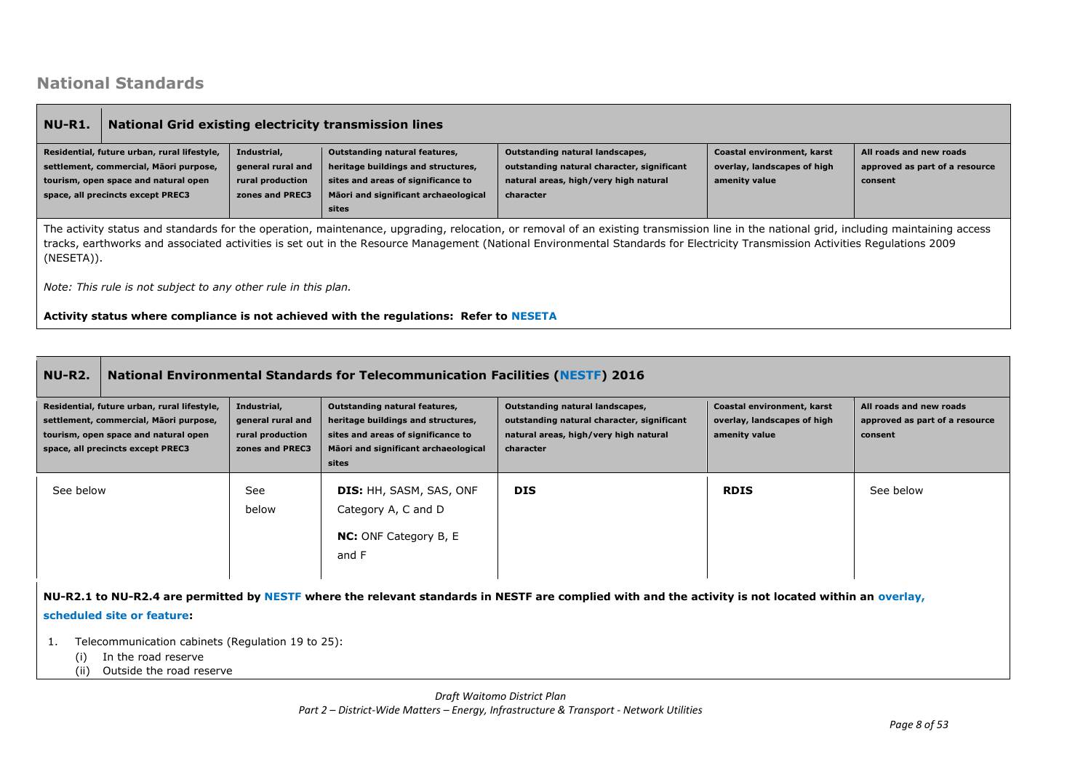## **National Standards**

| NU-R1.                                                                                                                                                                                                                                                                                                                                                                                                                                                                                                                                                                                                                                      | <b>National Grid existing electricity transmission lines</b>   |  |                                                                                        |  |  |                                                           |  |  |
|---------------------------------------------------------------------------------------------------------------------------------------------------------------------------------------------------------------------------------------------------------------------------------------------------------------------------------------------------------------------------------------------------------------------------------------------------------------------------------------------------------------------------------------------------------------------------------------------------------------------------------------------|----------------------------------------------------------------|--|----------------------------------------------------------------------------------------|--|--|-----------------------------------------------------------|--|--|
| Residential, future urban, rural lifestyle,<br>Outstanding natural landscapes,<br>Coastal environment, karst<br>Industrial,<br>Outstanding natural features,<br>outstanding natural character, significant<br>overlay, landscapes of high<br>settlement, commercial, Māori purpose,<br>general rural and<br>heritage buildings and structures,<br>amenity value<br>tourism, open space and natural open<br>sites and areas of significance to<br>natural areas, high/very high natural<br>rural production<br>consent<br>zones and PREC3<br>Māori and significant archaeological<br>space, all precincts except PREC3<br>character<br>sites |                                                                |  |                                                                                        |  |  | All roads and new roads<br>approved as part of a resource |  |  |
| The activity status and standards for the operation, maintenance, upgrading, relocation, or removal of an existing transmission line in the national grid, including maintaining access<br>tracks, earthworks and associated activities is set out in the Resource Management (National Environmental Standards for Electricity Transmission Activities Regulations 2009<br>(NESETA)).                                                                                                                                                                                                                                                      |                                                                |  |                                                                                        |  |  |                                                           |  |  |
|                                                                                                                                                                                                                                                                                                                                                                                                                                                                                                                                                                                                                                             | Note: This rule is not subject to any other rule in this plan. |  |                                                                                        |  |  |                                                           |  |  |
|                                                                                                                                                                                                                                                                                                                                                                                                                                                                                                                                                                                                                                             |                                                                |  | Activity status where compliance is not achieved with the regulations: Refer to NESETA |  |  |                                                           |  |  |

| <b>NU-R2.</b>                                                                                                                                                      | <b>National Environmental Standards for Telecommunication Facilities (NESTF) 2016</b> |                                                                         |                                                                                                                                                            |                                                                                                                                     |                                                                            |                                                                      |  |  |
|--------------------------------------------------------------------------------------------------------------------------------------------------------------------|---------------------------------------------------------------------------------------|-------------------------------------------------------------------------|------------------------------------------------------------------------------------------------------------------------------------------------------------|-------------------------------------------------------------------------------------------------------------------------------------|----------------------------------------------------------------------------|----------------------------------------------------------------------|--|--|
| Residential, future urban, rural lifestyle,<br>settlement, commercial, Māori purpose,<br>tourism, open space and natural open<br>space, all precincts except PREC3 |                                                                                       | Industrial,<br>general rural and<br>rural production<br>zones and PREC3 | Outstanding natural features,<br>heritage buildings and structures,<br>sites and areas of significance to<br>Māori and significant archaeological<br>sites | Outstanding natural landscapes,<br>outstanding natural character, significant<br>natural areas, high/very high natural<br>character | Coastal environment, karst<br>overlay, landscapes of high<br>amenity value | All roads and new roads<br>approved as part of a resource<br>consent |  |  |
| See below                                                                                                                                                          |                                                                                       | See<br>below                                                            | <b>DIS: HH, SASM, SAS, ONF</b><br>Category A, C and D<br><b>NC:</b> ONF Category B, E<br>and F                                                             | <b>DIS</b>                                                                                                                          | <b>RDIS</b>                                                                | See below                                                            |  |  |

**NU-R2.1 to NU-R2.4 are permitted by NESTF where the relevant standards in NESTF are complied with and the activity is not located within an overlay,** 

### **scheduled site or feature:**

- 1. Telecommunication cabinets (Regulation 19 to 25):
	- (i) In the road reserve
	- (ii) Outside the road reserve

*Draft Waitomo District Plan Part 2 – District-Wide Matters – Energy, Infrastructure & Transport - Network Utilities*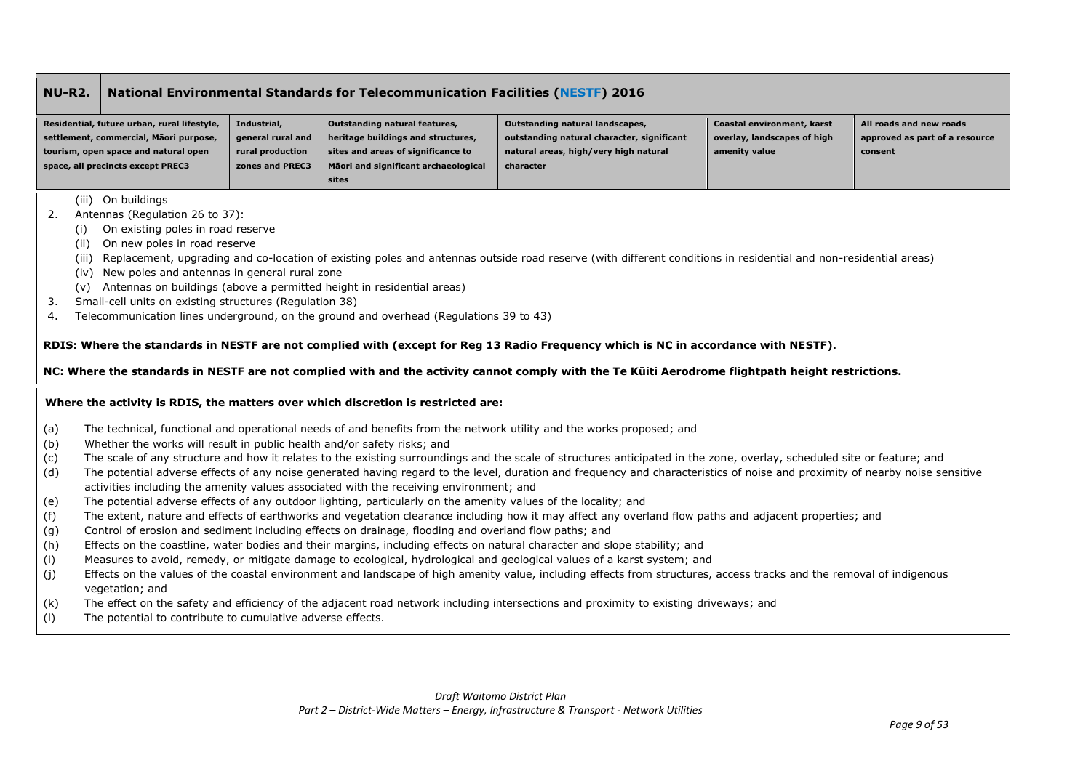### **NU-R2. National Environmental Standards for Telecommunication Facilities (NESTF) 2016**

| Residential, future urban, rural lifestyle, | Industrial,       | Outstanding natural features,        | Outstanding natural landscapes,            | Coastal environment, karst  | All roads and new roads        |
|---------------------------------------------|-------------------|--------------------------------------|--------------------------------------------|-----------------------------|--------------------------------|
| settlement, commercial, Māori purpose,      | general rural and | heritage buildings and structures,   | outstanding natural character, significant | overlay, landscapes of high | approved as part of a resource |
| tourism, open space and natural open        | rural production  | sites and areas of significance to   | natural areas, high/very high natural      | amenity value               | consent                        |
| space, all precincts except PREC3           | zones and PREC3   | Māori and significant archaeological | character                                  |                             |                                |
|                                             |                   | sites                                |                                            |                             |                                |

(iii) On buildings

- 2. Antennas (Regulation 26 to 37):
	- (i) On existing poles in road reserve
	- (ii) On new poles in road reserve
	- (iii) Replacement, upgrading and co-location of existing poles and antennas outside road reserve (with different conditions in residential and non-residential areas)
	- (iv) New poles and antennas in general rural zone
	- (v) Antennas on buildings (above a permitted height in residential areas)
- 3. Small-cell units on existing structures (Regulation 38)
- 4. Telecommunication lines underground, on the ground and overhead (Regulations 39 to 43)

### **RDIS: Where the standards in NESTF are not complied with (except for Reg 13 Radio Frequency which is NC in accordance with NESTF).**

### **NC: Where the standards in NESTF are not complied with and the activity cannot comply with the Te Kūiti Aerodrome flightpath height restrictions.**

### **Where the activity is RDIS, the matters over which discretion is restricted are:**

- (a) The technical, functional and operational needs of and benefits from the network utility and the works proposed; and
- (b) Whether the works will result in public health and/or safety risks; and
- (c) The scale of any structure and how it relates to the existing surroundings and the scale of structures anticipated in the zone, overlay, scheduled site or feature; and
- (d) The potential adverse effects of any noise generated having regard to the level, duration and frequency and characteristics of noise and proximity of nearby noise sensitive activities including the amenity values associated with the receiving environment; and
- (e) The potential adverse effects of any outdoor lighting, particularly on the amenity values of the locality; and
- (f) The extent, nature and effects of earthworks and vegetation clearance including how it may affect any overland flow paths and adjacent properties; and
- (g) Control of erosion and sediment including effects on drainage, flooding and overland flow paths; and
- (h) Effects on the coastline, water bodies and their margins, including effects on natural character and slope stability; and
- (i) Measures to avoid, remedy, or mitigate damage to ecological, hydrological and geological values of a karst system; and
- (j) Effects on the values of the coastal environment and landscape of high amenity value, including effects from structures, access tracks and the removal of indigenous vegetation; and
- (k) The effect on the safety and efficiency of the adjacent road network including intersections and proximity to existing driveways; and
- (l) The potential to contribute to cumulative adverse effects.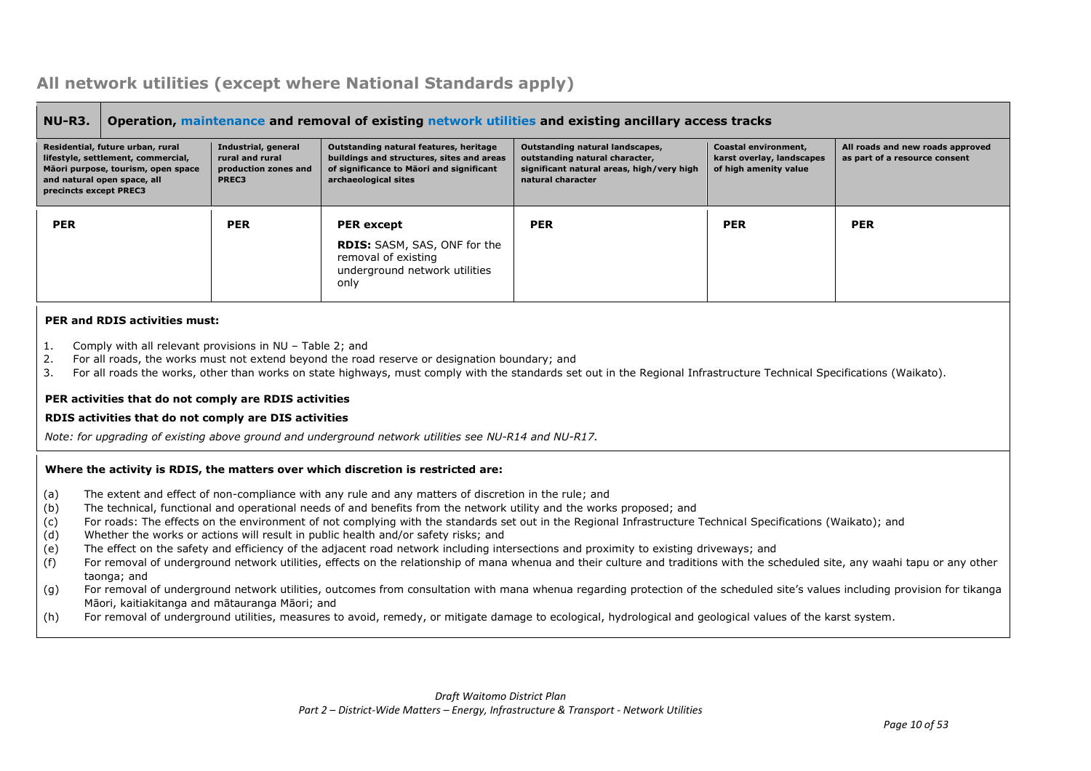# **All network utilities (except where National Standards apply)**

| Operation, maintenance and removal of existing network utilities and existing ancillary access tracks<br><b>NU-R3.</b>                                                                                                                                                                                                                                                                                                                                                                                                                                                                                                                                                                                                                                                                                                                                                                                                                                                                                                                                                                                                                                                                                                                                                                |                                                                         |                                                                                                                                                         |                                                                                                                                     |                                                                            |                                                                   |  |  |
|---------------------------------------------------------------------------------------------------------------------------------------------------------------------------------------------------------------------------------------------------------------------------------------------------------------------------------------------------------------------------------------------------------------------------------------------------------------------------------------------------------------------------------------------------------------------------------------------------------------------------------------------------------------------------------------------------------------------------------------------------------------------------------------------------------------------------------------------------------------------------------------------------------------------------------------------------------------------------------------------------------------------------------------------------------------------------------------------------------------------------------------------------------------------------------------------------------------------------------------------------------------------------------------|-------------------------------------------------------------------------|---------------------------------------------------------------------------------------------------------------------------------------------------------|-------------------------------------------------------------------------------------------------------------------------------------|----------------------------------------------------------------------------|-------------------------------------------------------------------|--|--|
| Residential, future urban, rural<br>lifestyle, settlement, commercial,<br>Māori purpose, tourism, open space<br>and natural open space, all<br>precincts except PREC3                                                                                                                                                                                                                                                                                                                                                                                                                                                                                                                                                                                                                                                                                                                                                                                                                                                                                                                                                                                                                                                                                                                 | Industrial, general<br>rural and rural<br>production zones and<br>PREC3 | Outstanding natural features, heritage<br>buildings and structures, sites and areas<br>of significance to Maori and significant<br>archaeological sites | Outstanding natural landscapes,<br>outstanding natural character,<br>significant natural areas, high/very high<br>natural character | Coastal environment,<br>karst overlay, landscapes<br>of high amenity value | All roads and new roads approved<br>as part of a resource consent |  |  |
| <b>PER</b>                                                                                                                                                                                                                                                                                                                                                                                                                                                                                                                                                                                                                                                                                                                                                                                                                                                                                                                                                                                                                                                                                                                                                                                                                                                                            | <b>PER</b>                                                              | <b>PER</b> except                                                                                                                                       | <b>PER</b>                                                                                                                          | <b>PER</b>                                                                 | <b>PER</b>                                                        |  |  |
|                                                                                                                                                                                                                                                                                                                                                                                                                                                                                                                                                                                                                                                                                                                                                                                                                                                                                                                                                                                                                                                                                                                                                                                                                                                                                       |                                                                         | RDIS: SASM, SAS, ONF for the<br>removal of existing<br>underground network utilities<br>only                                                            |                                                                                                                                     |                                                                            |                                                                   |  |  |
| <b>PER and RDIS activities must:</b><br>Comply with all relevant provisions in NU - Table 2; and<br>1.<br>2.<br>For all roads, the works must not extend beyond the road reserve or designation boundary; and<br>For all roads the works, other than works on state highways, must comply with the standards set out in the Regional Infrastructure Technical Specifications (Waikato).<br>3.<br>PER activities that do not comply are RDIS activities<br>RDIS activities that do not comply are DIS activities<br>Note: for upgrading of existing above ground and underground network utilities see NU-R14 and NU-R17.                                                                                                                                                                                                                                                                                                                                                                                                                                                                                                                                                                                                                                                              |                                                                         |                                                                                                                                                         |                                                                                                                                     |                                                                            |                                                                   |  |  |
|                                                                                                                                                                                                                                                                                                                                                                                                                                                                                                                                                                                                                                                                                                                                                                                                                                                                                                                                                                                                                                                                                                                                                                                                                                                                                       |                                                                         | Where the activity is RDIS, the matters over which discretion is restricted are:                                                                        |                                                                                                                                     |                                                                            |                                                                   |  |  |
| (a)<br>The extent and effect of non-compliance with any rule and any matters of discretion in the rule; and<br>The technical, functional and operational needs of and benefits from the network utility and the works proposed; and<br>(b)<br>For roads: The effects on the environment of not complying with the standards set out in the Regional Infrastructure Technical Specifications (Waikato); and<br>(c)<br>Whether the works or actions will result in public health and/or safety risks; and<br>(d)<br>The effect on the safety and efficiency of the adjacent road network including intersections and proximity to existing driveways; and<br>(e)<br>For removal of underground network utilities, effects on the relationship of mana whenua and their culture and traditions with the scheduled site, any waahi tapu or any other<br>(f)<br>taonga; and<br>For removal of underground network utilities, outcomes from consultation with mana whenua regarding protection of the scheduled site's values including provision for tikanga<br>(g)<br>Māori, kaitiakitanga and mātauranga Māori; and<br>For removal of underground utilities, measures to avoid, remedy, or mitigate damage to ecological, hydrological and geological values of the karst system.<br>(h) |                                                                         |                                                                                                                                                         |                                                                                                                                     |                                                                            |                                                                   |  |  |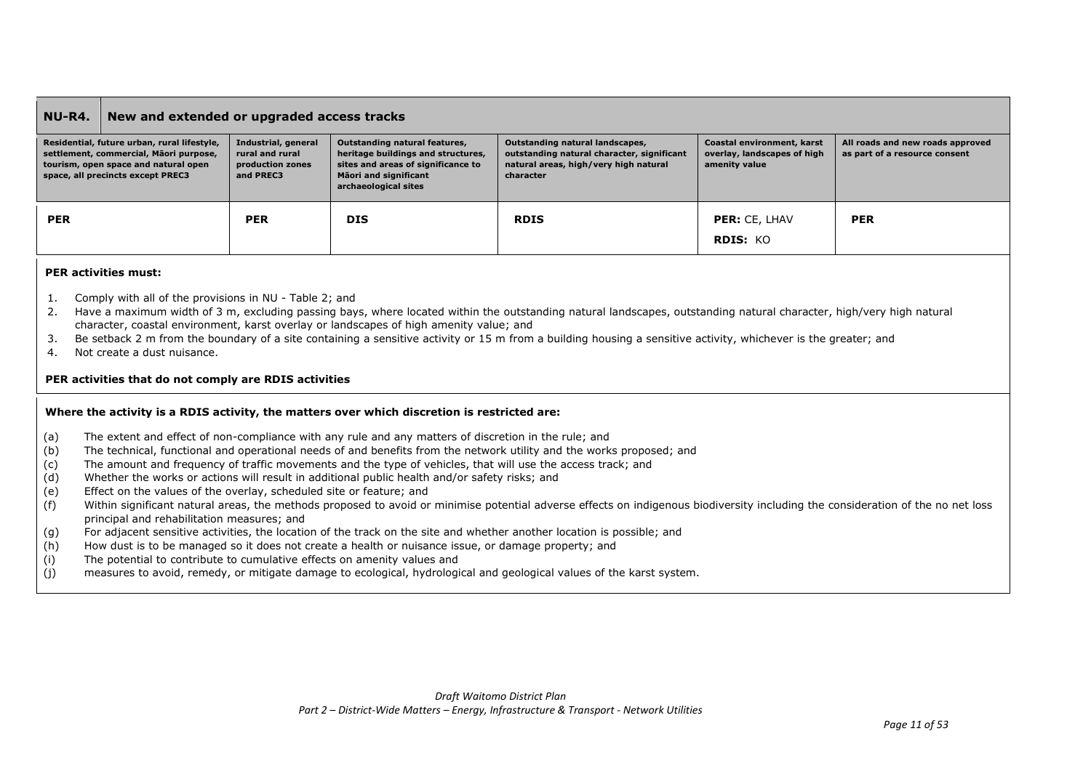### **NU-R4. New and extended or upgraded access tracks**

| Residential, future urban, rural lifestyle,<br>settlement, commercial, Māori purpose,<br>tourism, open space and natural open<br>space, all precincts except PREC3 | Industrial, general<br>rural and rural<br>production zones<br>and PREC3 | Outstanding natural features,<br>heritage buildings and structures,<br>sites and areas of significance to<br>Māori and significant<br>archaeological sites | Outstanding natural landscapes,<br>outstanding natural character, significant<br>natural areas, high/very high natural<br>character | Coastal environment, karst<br>overlay, landscapes of high<br>amenity value | All roads and new roads approved<br>as part of a resource consent |
|--------------------------------------------------------------------------------------------------------------------------------------------------------------------|-------------------------------------------------------------------------|------------------------------------------------------------------------------------------------------------------------------------------------------------|-------------------------------------------------------------------------------------------------------------------------------------|----------------------------------------------------------------------------|-------------------------------------------------------------------|
| <b>PER</b>                                                                                                                                                         | <b>PER</b>                                                              | <b>DIS</b>                                                                                                                                                 | <b>RDIS</b>                                                                                                                         | <b>PER: CE. LHAV</b><br><b>RDIS: KO</b>                                    | <b>PER</b>                                                        |

### **PER activities must:**

- 1. Comply with all of the provisions in NU Table 2; and
- 2. Have a maximum width of 3 m, excluding passing bays, where located within the outstanding natural landscapes, outstanding natural character, high/very high natural character, coastal environment, karst overlay or landscapes of high amenity value; and
- 3. Be setback 2 m from the boundary of a site containing a sensitive activity or 15 m from a building housing a sensitive activity, whichever is the greater; and
- 4. Not create a dust nuisance.

### **PER activities that do not comply are RDIS activities**

### **Where the activity is a RDIS activity, the matters over which discretion is restricted are:**

- (a) The extent and effect of non-compliance with any rule and any matters of discretion in the rule; and
- (b) The technical, functional and operational needs of and benefits from the network utility and the works proposed; and
- (c) The amount and frequency of traffic movements and the type of vehicles, that will use the access track; and
- (d) Whether the works or actions will result in additional public health and/or safety risks; and
- (e) Effect on the values of the overlay, scheduled site or feature; and
- (f) Within significant natural areas, the methods proposed to avoid or minimise potential adverse effects on indigenous biodiversity including the consideration of the no net loss principal and rehabilitation measures; and
- (g) For adjacent sensitive activities, the location of the track on the site and whether another location is possible; and
- (h) How dust is to be managed so it does not create a health or nuisance issue, or damage property; and
- (i) The potential to contribute to cumulative effects on amenity values and
- (j) measures to avoid, remedy, or mitigate damage to ecological, hydrological and geological values of the karst system.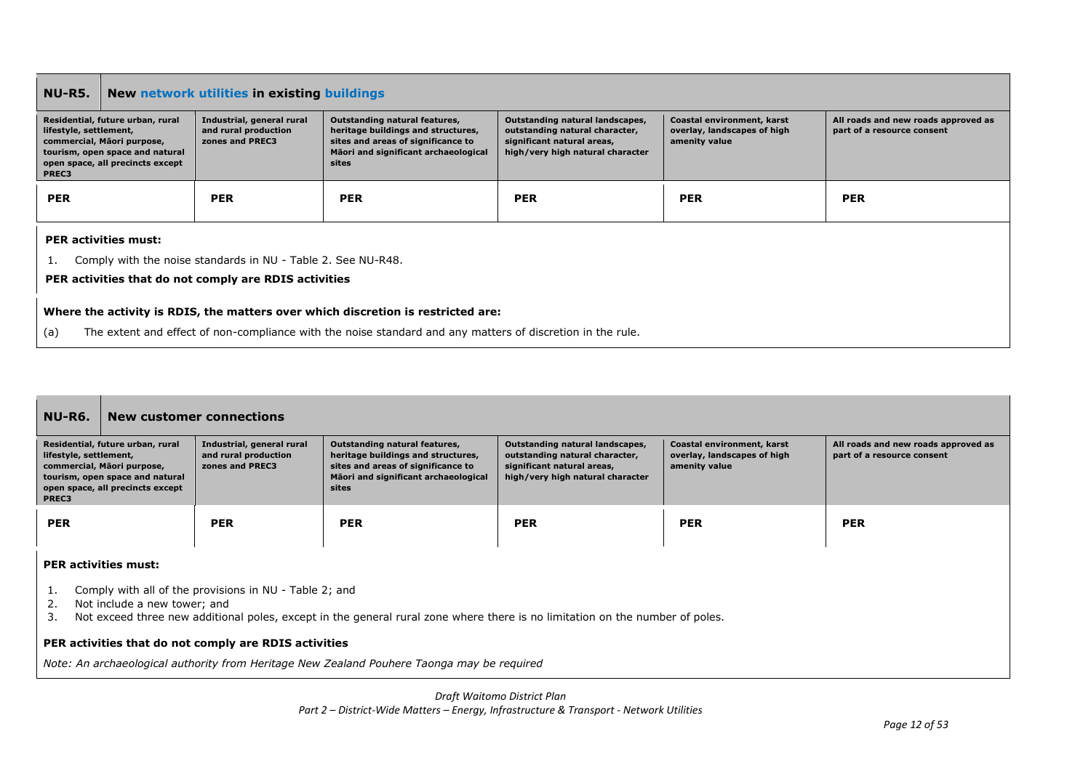| <b>NU-R5.</b>                                                                                                                                                                                         | New network utilities in existing buildings |                                                                      |                                                                                                                                                            |                                                                                                                                     |                                                                            |                                                                   |  |
|-------------------------------------------------------------------------------------------------------------------------------------------------------------------------------------------------------|---------------------------------------------|----------------------------------------------------------------------|------------------------------------------------------------------------------------------------------------------------------------------------------------|-------------------------------------------------------------------------------------------------------------------------------------|----------------------------------------------------------------------------|-------------------------------------------------------------------|--|
| Residential, future urban, rural<br>lifestyle, settlement,<br>commercial, Māori purpose,<br>tourism, open space and natural<br>open space, all precincts except<br>PREC3                              |                                             | Industrial, general rural<br>and rural production<br>zones and PREC3 | Outstanding natural features,<br>heritage buildings and structures,<br>sites and areas of significance to<br>Māori and significant archaeological<br>sites | Outstanding natural landscapes,<br>outstanding natural character,<br>significant natural areas,<br>high/very high natural character | Coastal environment, karst<br>overlay, landscapes of high<br>amenity value | All roads and new roads approved as<br>part of a resource consent |  |
| <b>PER</b>                                                                                                                                                                                            |                                             | <b>PER</b>                                                           | <b>PER</b>                                                                                                                                                 | <b>PER</b>                                                                                                                          | <b>PER</b>                                                                 | <b>PER</b>                                                        |  |
|                                                                                                                                                                                                       | <b>PER activities must:</b>                 |                                                                      |                                                                                                                                                            |                                                                                                                                     |                                                                            |                                                                   |  |
|                                                                                                                                                                                                       |                                             | Comply with the noise standards in NU - Table 2. See NU-R48.         |                                                                                                                                                            |                                                                                                                                     |                                                                            |                                                                   |  |
| PER activities that do not comply are RDIS activities                                                                                                                                                 |                                             |                                                                      |                                                                                                                                                            |                                                                                                                                     |                                                                            |                                                                   |  |
| Where the activity is RDIS, the matters over which discretion is restricted are:<br>The extent and effect of non-compliance with the noise standard and any matters of discretion in the rule.<br>(a) |                                             |                                                                      |                                                                                                                                                            |                                                                                                                                     |                                                                            |                                                                   |  |

| <b>NU-R6.</b>                                                                                                                                                            |                                                                                                                                                                                                                        | <b>New customer connections</b>                                      |                                                                                                                                                            |                                                                                                                                     |                                                                            |                                                                   |
|--------------------------------------------------------------------------------------------------------------------------------------------------------------------------|------------------------------------------------------------------------------------------------------------------------------------------------------------------------------------------------------------------------|----------------------------------------------------------------------|------------------------------------------------------------------------------------------------------------------------------------------------------------|-------------------------------------------------------------------------------------------------------------------------------------|----------------------------------------------------------------------------|-------------------------------------------------------------------|
| Residential, future urban, rural<br>lifestyle, settlement,<br>commercial, Māori purpose,<br>tourism, open space and natural<br>open space, all precincts except<br>PREC3 |                                                                                                                                                                                                                        | Industrial, general rural<br>and rural production<br>zones and PREC3 | Outstanding natural features,<br>heritage buildings and structures,<br>sites and areas of significance to<br>Māori and significant archaeological<br>sites | Outstanding natural landscapes,<br>outstanding natural character,<br>significant natural areas,<br>high/very high natural character | Coastal environment, karst<br>overlay, landscapes of high<br>amenity value | All roads and new roads approved as<br>part of a resource consent |
| <b>PER</b>                                                                                                                                                               |                                                                                                                                                                                                                        | <b>PER</b>                                                           | <b>PER</b>                                                                                                                                                 | <b>PER</b>                                                                                                                          | <b>PER</b>                                                                 | <b>PER</b>                                                        |
| <b>PER activities must:</b>                                                                                                                                              |                                                                                                                                                                                                                        |                                                                      |                                                                                                                                                            |                                                                                                                                     |                                                                            |                                                                   |
| 1.<br>2.<br>3.                                                                                                                                                           | Comply with all of the provisions in NU - Table 2; and<br>Not include a new tower; and<br>Not exceed three new additional poles, except in the general rural zone where there is no limitation on the number of poles. |                                                                      |                                                                                                                                                            |                                                                                                                                     |                                                                            |                                                                   |

**PER activities that do not comply are RDIS activities**

*Note: An archaeological authority from Heritage New Zealand Pouhere Taonga may be required*

*Draft Waitomo District Plan*

*Part 2 – District-Wide Matters – Energy, Infrastructure & Transport - Network Utilities*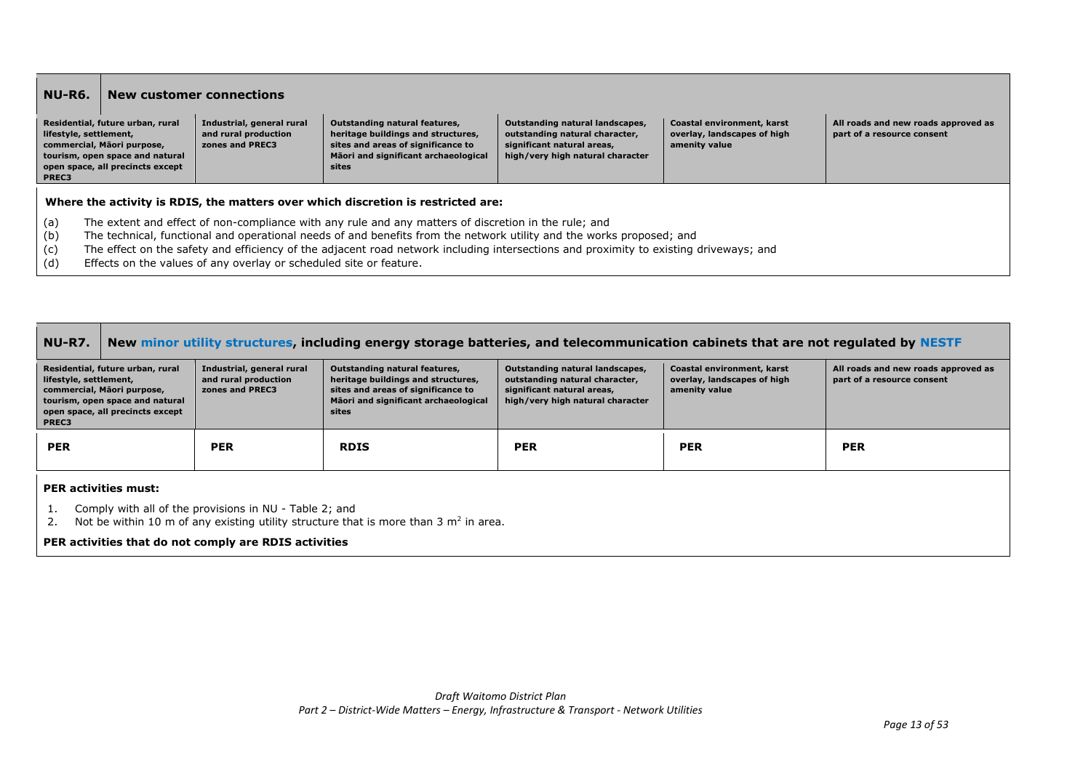| NU-R6.                          |                                                                                                                                                                                                                                                                                                                                                                                                                                             | New customer connections                                             |                                                                                                                                                                   |                                                                                                                                     |                                                                            |                                                                   |  |
|---------------------------------|---------------------------------------------------------------------------------------------------------------------------------------------------------------------------------------------------------------------------------------------------------------------------------------------------------------------------------------------------------------------------------------------------------------------------------------------|----------------------------------------------------------------------|-------------------------------------------------------------------------------------------------------------------------------------------------------------------|-------------------------------------------------------------------------------------------------------------------------------------|----------------------------------------------------------------------------|-------------------------------------------------------------------|--|
| lifestyle, settlement,<br>PREC3 | Residential, future urban, rural<br>commercial, Māori purpose,<br>tourism, open space and natural<br>open space, all precincts except                                                                                                                                                                                                                                                                                                       | Industrial, general rural<br>and rural production<br>zones and PREC3 | <b>Outstanding natural features,</b><br>heritage buildings and structures,<br>sites and areas of significance to<br>Māori and significant archaeological<br>sites | Outstanding natural landscapes,<br>outstanding natural character,<br>significant natural areas,<br>high/very high natural character | Coastal environment, karst<br>overlay, landscapes of high<br>amenity value | All roads and new roads approved as<br>part of a resource consent |  |
|                                 |                                                                                                                                                                                                                                                                                                                                                                                                                                             |                                                                      | Where the activity is RDIS, the matters over which discretion is restricted are:                                                                                  |                                                                                                                                     |                                                                            |                                                                   |  |
| (a)<br>(b)<br>(c)<br>(d)        | The extent and effect of non-compliance with any rule and any matters of discretion in the rule; and<br>The technical, functional and operational needs of and benefits from the network utility and the works proposed; and<br>The effect on the safety and efficiency of the adjacent road network including intersections and proximity to existing driveways; and<br>Effects on the values of any overlay or scheduled site or feature. |                                                                      |                                                                                                                                                                   |                                                                                                                                     |                                                                            |                                                                   |  |

| NU-R7.                                                                                                                                                                   | New minor utility structures, including energy storage batteries, and telecommunication cabinets that are not regulated by NESTF                                         |                                                                      |                                                                                                                                                            |                                                                                                                                     |                                                                            |                                                                   |  |  |
|--------------------------------------------------------------------------------------------------------------------------------------------------------------------------|--------------------------------------------------------------------------------------------------------------------------------------------------------------------------|----------------------------------------------------------------------|------------------------------------------------------------------------------------------------------------------------------------------------------------|-------------------------------------------------------------------------------------------------------------------------------------|----------------------------------------------------------------------------|-------------------------------------------------------------------|--|--|
| Residential, future urban, rural<br>lifestyle, settlement,<br>commercial, Māori purpose,<br>tourism, open space and natural<br>open space, all precincts except<br>PREC3 |                                                                                                                                                                          | Industrial, general rural<br>and rural production<br>zones and PREC3 | Outstanding natural features,<br>heritage buildings and structures,<br>sites and areas of significance to<br>Māori and significant archaeological<br>sites | Outstanding natural landscapes,<br>outstanding natural character,<br>significant natural areas,<br>high/very high natural character | Coastal environment, karst<br>overlay, landscapes of high<br>amenity value | All roads and new roads approved as<br>part of a resource consent |  |  |
| <b>PER</b>                                                                                                                                                               |                                                                                                                                                                          | <b>PER</b>                                                           | <b>RDIS</b>                                                                                                                                                | <b>PER</b>                                                                                                                          | <b>PER</b>                                                                 | <b>PER</b>                                                        |  |  |
| <b>PER activities must:</b>                                                                                                                                              |                                                                                                                                                                          |                                                                      |                                                                                                                                                            |                                                                                                                                     |                                                                            |                                                                   |  |  |
|                                                                                                                                                                          | Comply with all of the provisions in NU - Table 2; and<br>the second contract of the contract of the contract of the contract of the contract of the contract of the con |                                                                      |                                                                                                                                                            |                                                                                                                                     |                                                                            |                                                                   |  |  |

2. Not be within 10 m of any existing utility structure that is more than 3  $m^2$  in area.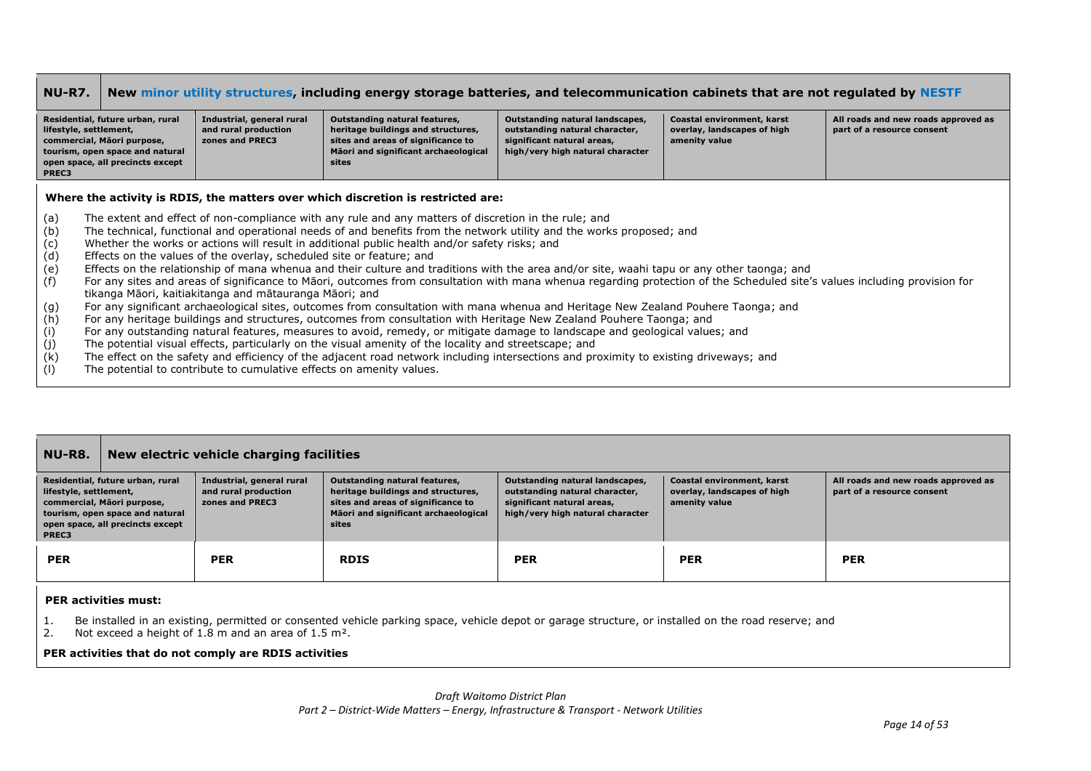| <b>NU-R7.</b>                                                                                                                                                            |                                                                                                                                       |                                                                      | New minor utility structures, including energy storage batteries, and telecommunication cabinets that are not regulated by NESTF                                                                                      |                                                                                                                                     |                                                                            |                                                                   |  |
|--------------------------------------------------------------------------------------------------------------------------------------------------------------------------|---------------------------------------------------------------------------------------------------------------------------------------|----------------------------------------------------------------------|-----------------------------------------------------------------------------------------------------------------------------------------------------------------------------------------------------------------------|-------------------------------------------------------------------------------------------------------------------------------------|----------------------------------------------------------------------------|-------------------------------------------------------------------|--|
| Residential, future urban, rural<br>lifestyle, settlement,<br>commercial, Māori purpose,<br>tourism, open space and natural<br>open space, all precincts except<br>PREC3 |                                                                                                                                       | Industrial, general rural<br>and rural production<br>zones and PREC3 | <b>Outstanding natural features,</b><br>heritage buildings and structures,<br>sites and areas of significance to<br>Māori and significant archaeological<br>sites                                                     | Outstanding natural landscapes,<br>outstanding natural character,<br>significant natural areas,<br>high/very high natural character | Coastal environment, karst<br>overlay, landscapes of high<br>amenity value | All roads and new roads approved as<br>part of a resource consent |  |
| Where the activity is RDIS, the matters over which discretion is restricted are:                                                                                         |                                                                                                                                       |                                                                      |                                                                                                                                                                                                                       |                                                                                                                                     |                                                                            |                                                                   |  |
| (a)                                                                                                                                                                      |                                                                                                                                       |                                                                      | The extent and effect of non-compliance with any rule and any matters of discretion in the rule; and                                                                                                                  |                                                                                                                                     |                                                                            |                                                                   |  |
| (b)<br>(c)                                                                                                                                                               |                                                                                                                                       |                                                                      | The technical, functional and operational needs of and benefits from the network utility and the works proposed; and<br>Whether the works or actions will result in additional public health and/or safety risks; and |                                                                                                                                     |                                                                            |                                                                   |  |
| (d)                                                                                                                                                                      |                                                                                                                                       | Effects on the values of the overlay, scheduled site or feature; and |                                                                                                                                                                                                                       |                                                                                                                                     |                                                                            |                                                                   |  |
| (e)                                                                                                                                                                      |                                                                                                                                       |                                                                      | Effects on the relationship of mana whenua and their culture and traditions with the area and/or site, waahi tapu or any other taonga; and                                                                            |                                                                                                                                     |                                                                            |                                                                   |  |
| (f)                                                                                                                                                                      |                                                                                                                                       |                                                                      | For any sites and areas of significance to Māori, outcomes from consultation with mana whenua regarding protection of the Scheduled site's values including provision for                                             |                                                                                                                                     |                                                                            |                                                                   |  |
|                                                                                                                                                                          |                                                                                                                                       | tikanga Māori, kaitiakitanga and mātauranga Māori; and               |                                                                                                                                                                                                                       |                                                                                                                                     |                                                                            |                                                                   |  |
| (g)                                                                                                                                                                      |                                                                                                                                       |                                                                      | For any significant archaeological sites, outcomes from consultation with mana whenua and Heritage New Zealand Pouhere Taonga; and                                                                                    |                                                                                                                                     |                                                                            |                                                                   |  |
| (h)                                                                                                                                                                      |                                                                                                                                       |                                                                      | For any heritage buildings and structures, outcomes from consultation with Heritage New Zealand Pouhere Taonga; and                                                                                                   |                                                                                                                                     |                                                                            |                                                                   |  |
| (i)                                                                                                                                                                      |                                                                                                                                       |                                                                      | For any outstanding natural features, measures to avoid, remedy, or mitigate damage to landscape and geological values; and                                                                                           |                                                                                                                                     |                                                                            |                                                                   |  |
| (j)                                                                                                                                                                      |                                                                                                                                       |                                                                      | The potential visual effects, particularly on the visual amenity of the locality and streetscape; and                                                                                                                 |                                                                                                                                     |                                                                            |                                                                   |  |
| ノレ ヽ                                                                                                                                                                     | The effect on the cafety and efficiency of the adjacent road network including intercections and provimity to evicting driveways: and |                                                                      |                                                                                                                                                                                                                       |                                                                                                                                     |                                                                            |                                                                   |  |

- (k) The effect on the safety and efficiency of the adjacent road network including intersections and proximity to existing driveways; and<br>(l) The potential to contribute to cumulative effects on amenity values.
- The potential to contribute to cumulative effects on amenity values.

#### **NU-R8. New electric vehicle charging facilities Residential, future urban, rural lifestyle, settlement, commercial, Māori purpose, tourism, open space and natural open space, all precincts except PREC3 Industrial, general rural and rural production zones and PREC3 Outstanding natural features, heritage buildings and structures, sites and areas of significance to Māori and significant archaeological sites Outstanding natural landscapes, outstanding natural character, significant natural areas, high/very high natural character Coastal environment, karst overlay, landscapes of high amenity value All roads and new roads approved as part of a resource consent PER PER RDIS PER PER PER**

### **PER activities must:**

- 1. Be installed in an existing, permitted or consented vehicle parking space, vehicle depot or garage structure, or installed on the road reserve; and
- 2. Not exceed a height of 1.8 m and an area of 1.5 m².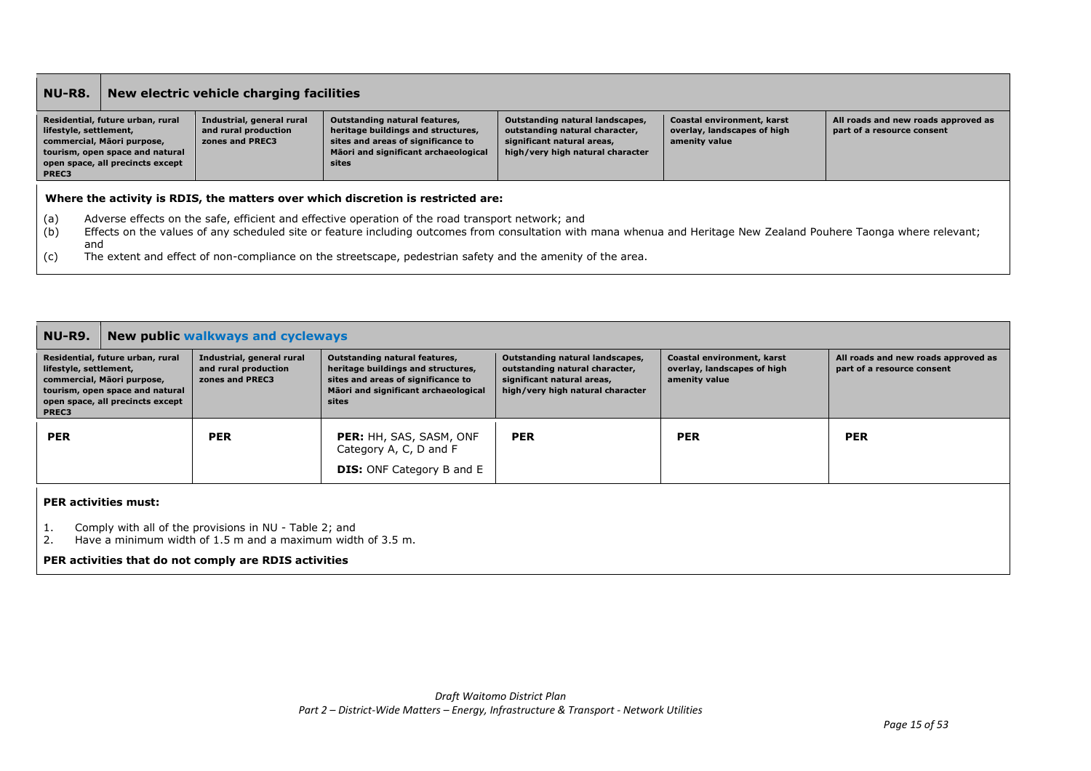| NU-R8.                                                                                                                                                                                                                                                                                         |  | New electric vehicle charging facilities                             |                                                                                                                                                            |                                                                                                                                     |                                                                            |                                                                   |  |  |
|------------------------------------------------------------------------------------------------------------------------------------------------------------------------------------------------------------------------------------------------------------------------------------------------|--|----------------------------------------------------------------------|------------------------------------------------------------------------------------------------------------------------------------------------------------|-------------------------------------------------------------------------------------------------------------------------------------|----------------------------------------------------------------------------|-------------------------------------------------------------------|--|--|
| Residential, future urban, rural<br>lifestyle, settlement,<br>commercial, Māori purpose,<br>tourism, open space and natural<br>open space, all precincts except<br><b>PREC3</b>                                                                                                                |  | Industrial, general rural<br>and rural production<br>zones and PREC3 | Outstanding natural features,<br>heritage buildings and structures,<br>sites and areas of significance to<br>Mäori and significant archaeological<br>sites | Outstanding natural landscapes,<br>outstanding natural character,<br>significant natural areas,<br>high/very high natural character | Coastal environment, karst<br>overlay, landscapes of high<br>amenity value | All roads and new roads approved as<br>part of a resource consent |  |  |
|                                                                                                                                                                                                                                                                                                |  |                                                                      | Where the activity is RDIS, the matters over which discretion is restricted are:                                                                           |                                                                                                                                     |                                                                            |                                                                   |  |  |
| (a)<br>Adverse effects on the safe, efficient and effective operation of the road transport network; and<br>(b)<br>Effects on the values of any scheduled site or feature including outcomes from consultation with mana whenua and Heritage New Zealand Pouhere Taonga where relevant;<br>and |  |                                                                      |                                                                                                                                                            |                                                                                                                                     |                                                                            |                                                                   |  |  |
| (c)                                                                                                                                                                                                                                                                                            |  |                                                                      | The extent and effect of non-compliance on the streetscape, pedestrian safety and the amenity of the area.                                                 |                                                                                                                                     |                                                                            |                                                                   |  |  |

| <b>NU-R9.</b>                                                                                                                                                            | <b>New public walkways and cycleways</b>                                                                                                             |                                                                      |                                                                                                                                                                   |                                                                                                                                     |                                                                            |                                                                   |  |
|--------------------------------------------------------------------------------------------------------------------------------------------------------------------------|------------------------------------------------------------------------------------------------------------------------------------------------------|----------------------------------------------------------------------|-------------------------------------------------------------------------------------------------------------------------------------------------------------------|-------------------------------------------------------------------------------------------------------------------------------------|----------------------------------------------------------------------------|-------------------------------------------------------------------|--|
| Residential, future urban, rural<br>lifestyle, settlement,<br>commercial, Māori purpose,<br>tourism, open space and natural<br>open space, all precincts except<br>PREC3 |                                                                                                                                                      | Industrial, general rural<br>and rural production<br>zones and PREC3 | <b>Outstanding natural features,</b><br>heritage buildings and structures,<br>sites and areas of significance to<br>Mäori and significant archaeological<br>sites | Outstanding natural landscapes,<br>outstanding natural character,<br>significant natural areas,<br>high/very high natural character | Coastal environment, karst<br>overlay, landscapes of high<br>amenity value | All roads and new roads approved as<br>part of a resource consent |  |
| <b>PER</b>                                                                                                                                                               |                                                                                                                                                      | <b>PER</b>                                                           | <b>PER: HH, SAS, SASM, ONF</b><br>Category A, C, D and F<br><b>DIS:</b> ONF Category B and E                                                                      | <b>PER</b>                                                                                                                          | <b>PER</b>                                                                 | <b>PER</b>                                                        |  |
|                                                                                                                                                                          | <b>PER activities must:</b><br>Comply with all of the provisions in NU - Table 2; and<br>Have a minimum width of 1.5 m and a maximum width of 3.5 m. |                                                                      |                                                                                                                                                                   |                                                                                                                                     |                                                                            |                                                                   |  |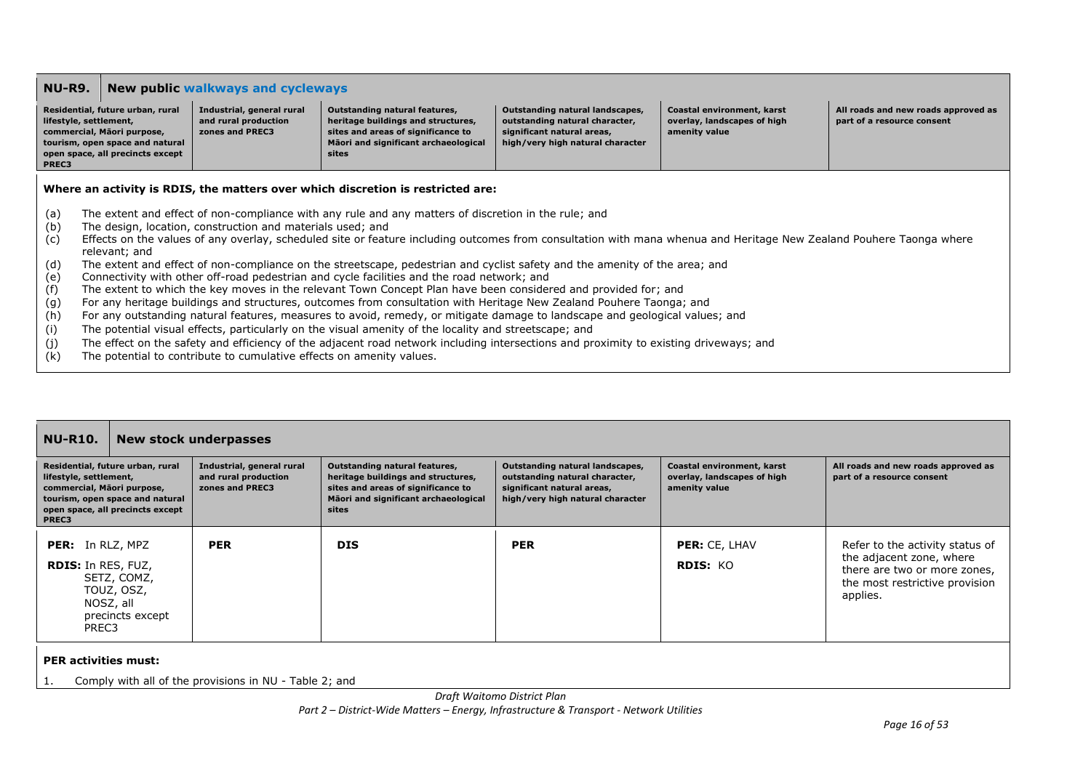### **NU-R9. New public walkways and cycleways**

| Residential, future urban, rural<br>lifestyle, settlement, | Industrial, general rural<br>and rural production | Outstanding natural features,<br>heritage buildings and structures, | Outstanding natural landscapes,<br>  outstanding natural character, | Coastal environment, karst<br>overlay, landscapes of high | All roads and new roads approved as<br>part of a resource consent |
|------------------------------------------------------------|---------------------------------------------------|---------------------------------------------------------------------|---------------------------------------------------------------------|-----------------------------------------------------------|-------------------------------------------------------------------|
| commercial, Māori purpose,                                 | zones and PREC3                                   | sites and areas of significance to                                  | significant natural areas,                                          | amenity value                                             |                                                                   |
| tourism, open space and natural                            |                                                   | Māori and significant archaeological                                | high/very high natural character                                    |                                                           |                                                                   |
| open space, all precincts except                           |                                                   | sites                                                               |                                                                     |                                                           |                                                                   |
| PREC3                                                      |                                                   |                                                                     |                                                                     |                                                           |                                                                   |

### **Where an activity is RDIS, the matters over which discretion is restricted are:**

- (a) The extent and effect of non-compliance with any rule and any matters of discretion in the rule; and
- (b) The design, location, construction and materials used; and
- (c) Effects on the values of any overlay, scheduled site or feature including outcomes from consultation with mana whenua and Heritage New Zealand Pouhere Taonga where relevant; and
- (d) The extent and effect of non-compliance on the streetscape, pedestrian and cyclist safety and the amenity of the area; and
- (e) Connectivity with other off-road pedestrian and cycle facilities and the road network; and
- (f) The extent to which the key moves in the relevant Town Concept Plan have been considered and provided for; and
- (g) For any heritage buildings and structures, outcomes from consultation with Heritage New Zealand Pouhere Taonga; and
- (h) For any outstanding natural features, measures to avoid, remedy, or mitigate damage to landscape and geological values; and
- (i) The potential visual effects, particularly on the visual amenity of the locality and streetscape; and
- (j) The effect on the safety and efficiency of the adjacent road network including intersections and proximity to existing driveways; and
- (k) The potential to contribute to cumulative effects on amenity values.

| <b>NU-R10.</b>                                                                        |                                                                                                         | New stock underpasses                                                |                                                                                                                                                            |                                                                                                                                     |                                                                            |                                                                                                                                           |  |
|---------------------------------------------------------------------------------------|---------------------------------------------------------------------------------------------------------|----------------------------------------------------------------------|------------------------------------------------------------------------------------------------------------------------------------------------------------|-------------------------------------------------------------------------------------------------------------------------------------|----------------------------------------------------------------------------|-------------------------------------------------------------------------------------------------------------------------------------------|--|
| lifestyle, settlement,<br>commercial, Māori purpose,<br>PREC3                         | Residential, future urban, rural<br>tourism, open space and natural<br>open space, all precincts except | Industrial, general rural<br>and rural production<br>zones and PREC3 | Outstanding natural features,<br>heritage buildings and structures,<br>sites and areas of significance to<br>Māori and significant archaeological<br>sites | Outstanding natural landscapes,<br>outstanding natural character,<br>significant natural areas,<br>high/very high natural character | Coastal environment, karst<br>overlay, landscapes of high<br>amenity value | All roads and new roads approved as<br>part of a resource consent                                                                         |  |
| <b>PER:</b> In RLZ, MPZ<br><b>RDIS:</b> In RES, FUZ,<br>PREC3                         | SETZ, COMZ,<br>TOUZ, OSZ,<br>NOSZ, all<br>precincts except                                              | <b>PER</b>                                                           | <b>DIS</b>                                                                                                                                                 | <b>PER</b>                                                                                                                          | PER: CE, LHAV<br><b>RDIS: KO</b>                                           | Refer to the activity status of<br>the adjacent zone, where<br>there are two or more zones,<br>the most restrictive provision<br>applies. |  |
| <b>PER activities must:</b><br>Comply with all of the provisions in NU - Table 2; and |                                                                                                         |                                                                      |                                                                                                                                                            |                                                                                                                                     |                                                                            |                                                                                                                                           |  |

*Draft Waitomo District Plan*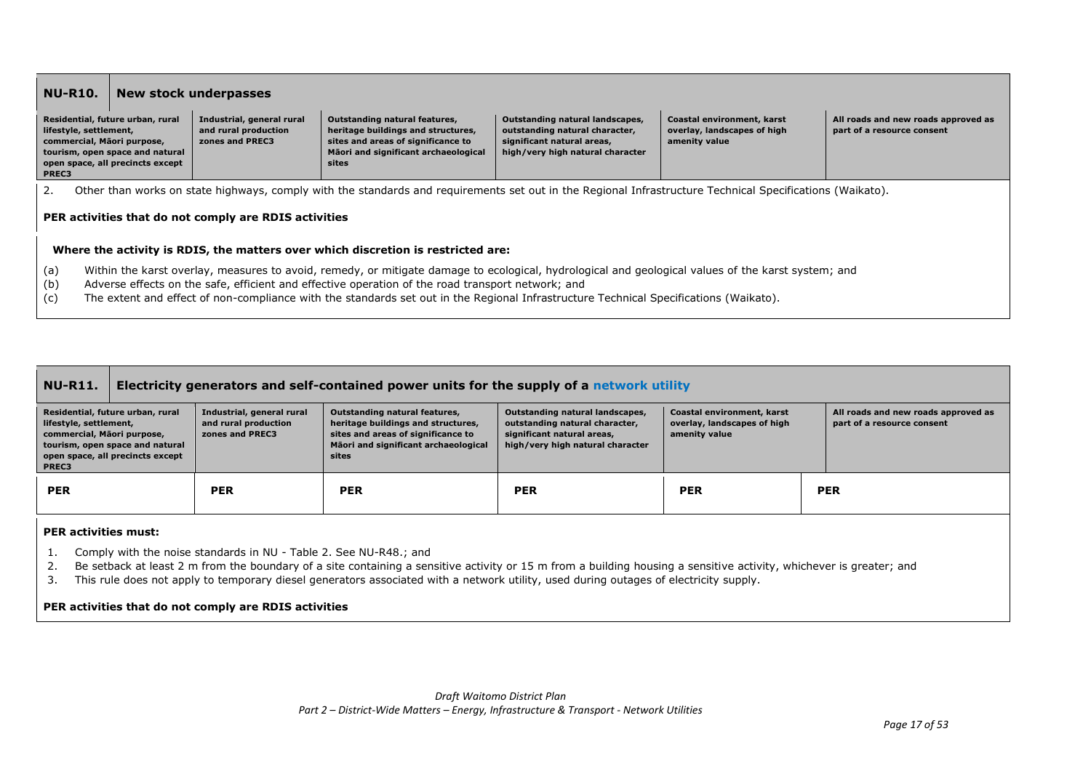|                                                                                                                                                                                                                                                                                                                                                                                                                                                                                                                                                                                                                                                                                                                 | <b>NU-R10.</b><br><b>New stock underpasses</b> |                                                       |                                                                                                                                                           |  |  |  |  |  |
|-----------------------------------------------------------------------------------------------------------------------------------------------------------------------------------------------------------------------------------------------------------------------------------------------------------------------------------------------------------------------------------------------------------------------------------------------------------------------------------------------------------------------------------------------------------------------------------------------------------------------------------------------------------------------------------------------------------------|------------------------------------------------|-------------------------------------------------------|-----------------------------------------------------------------------------------------------------------------------------------------------------------|--|--|--|--|--|
| Industrial, general rural<br>Residential, future urban, rural<br><b>Outstanding natural features,</b><br>Outstanding natural landscapes,<br>Coastal environment, karst<br>All roads and new roads approved as<br>and rural production<br>heritage buildings and structures,<br>overlay, landscapes of high<br>lifestyle, settlement,<br>outstanding natural character,<br>part of a resource consent<br>commercial, Māori purpose,<br>sites and areas of significance to<br>significant natural areas,<br>amenity value<br>zones and PREC3<br>Māori and significant archaeological<br>high/very high natural character<br>tourism, open space and natural<br>open space, all precincts except<br>sites<br>PREC3 |                                                |                                                       |                                                                                                                                                           |  |  |  |  |  |
| 2.                                                                                                                                                                                                                                                                                                                                                                                                                                                                                                                                                                                                                                                                                                              |                                                |                                                       | Other than works on state highways, comply with the standards and requirements set out in the Regional Infrastructure Technical Specifications (Waikato). |  |  |  |  |  |
|                                                                                                                                                                                                                                                                                                                                                                                                                                                                                                                                                                                                                                                                                                                 |                                                | PER activities that do not comply are RDIS activities |                                                                                                                                                           |  |  |  |  |  |
| Where the activity is RDIS, the matters over which discretion is restricted are:                                                                                                                                                                                                                                                                                                                                                                                                                                                                                                                                                                                                                                |                                                |                                                       |                                                                                                                                                           |  |  |  |  |  |
| Within the karst overlay, measures to avoid, remedy, or mitigate damage to ecological, hydrological and geological values of the karst system; and<br>(a)<br>(b)<br>Adverse effects on the safe, efficient and effective operation of the road transport network; and<br>(c)<br>The extent and effect of non-compliance with the standards set out in the Regional Infrastructure Technical Specifications (Waikato).                                                                                                                                                                                                                                                                                           |                                                |                                                       |                                                                                                                                                           |  |  |  |  |  |

| <b>NU-R11.</b>                                                |                                                                                                         | Electricity generators and self-contained power units for the supply of a network utility |                                                                                                                                                            |                                                                                                                                     |                                                                            |  |                                                                   |  |  |
|---------------------------------------------------------------|---------------------------------------------------------------------------------------------------------|-------------------------------------------------------------------------------------------|------------------------------------------------------------------------------------------------------------------------------------------------------------|-------------------------------------------------------------------------------------------------------------------------------------|----------------------------------------------------------------------------|--|-------------------------------------------------------------------|--|--|
| lifestyle, settlement,<br>commercial, Māori purpose,<br>PREC3 | Residential, future urban, rural<br>tourism, open space and natural<br>open space, all precincts except | Industrial, general rural<br>and rural production<br>zones and PREC3                      | Outstanding natural features,<br>heritage buildings and structures,<br>sites and areas of significance to<br>Māori and significant archaeological<br>sites | Outstanding natural landscapes,<br>outstanding natural character,<br>significant natural areas.<br>high/very high natural character | Coastal environment, karst<br>overlay, landscapes of high<br>amenity value |  | All roads and new roads approved as<br>part of a resource consent |  |  |
| <b>PER</b>                                                    |                                                                                                         | <b>PER</b>                                                                                | <b>PER</b>                                                                                                                                                 | <b>PER</b>                                                                                                                          | <b>PER</b>                                                                 |  | <b>PER</b>                                                        |  |  |
| <b>DED</b> AAMAMADA AAMAAN                                    |                                                                                                         |                                                                                           |                                                                                                                                                            |                                                                                                                                     |                                                                            |  |                                                                   |  |  |

### **PER activities must:**

- 1. Comply with the noise standards in NU Table 2. See NU-R48.; and
- 2. Be setback at least 2 m from the boundary of a site containing a sensitive activity or 15 m from a building housing a sensitive activity, whichever is greater; and
- 3. This rule does not apply to temporary diesel generators associated with a network utility, used during outages of electricity supply.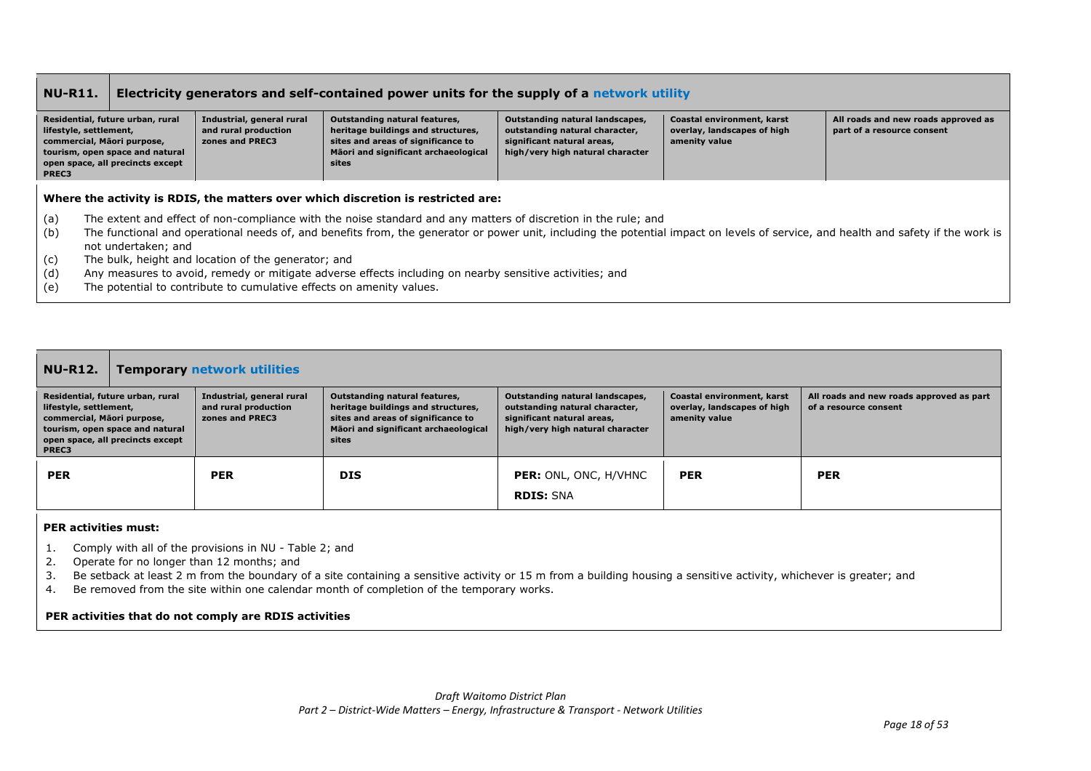| <b>NU-R11.</b>                                                                                                                                                           | <b>Electricity generators and self-contained power units for the supply of a network utility</b> |                                                                      |                                                                                                                                                            |                                                                                                                                     |                                                                            |                                                                   |
|--------------------------------------------------------------------------------------------------------------------------------------------------------------------------|--------------------------------------------------------------------------------------------------|----------------------------------------------------------------------|------------------------------------------------------------------------------------------------------------------------------------------------------------|-------------------------------------------------------------------------------------------------------------------------------------|----------------------------------------------------------------------------|-------------------------------------------------------------------|
| Residential, future urban, rural<br>lifestyle, settlement,<br>commercial, Māori purpose,<br>tourism, open space and natural<br>open space, all precincts except<br>PREC3 |                                                                                                  | Industrial, general rural<br>and rural production<br>zones and PREC3 | Outstanding natural features,<br>heritage buildings and structures,<br>sites and areas of significance to<br>Māori and significant archaeological<br>sites | Outstanding natural landscapes,<br>outstanding natural character,<br>significant natural areas,<br>high/very high natural character | Coastal environment, karst<br>overlay, landscapes of high<br>amenity value | All roads and new roads approved as<br>part of a resource consent |
|                                                                                                                                                                          |                                                                                                  |                                                                      | Where the activity is RDIS, the matters over which discretion is restricted are:                                                                           |                                                                                                                                     |                                                                            |                                                                   |

- (a) The extent and effect of non-compliance with the noise standard and any matters of discretion in the rule; and
- $\dot{b}$  The functional and operational needs of, and benefits from, the generator or power unit, including the potential impact on levels of service, and health and safety if the work is not undertaken; and
- (c) The bulk, height and location of the generator; and
- (d) Any measures to avoid, remedy or mitigate adverse effects including on nearby sensitive activities; and
- (e) The potential to contribute to cumulative effects on amenity values.

| <b>NU-R12.</b>                                                                                                                                                                                                                                   | <b>Temporary network utilities</b> |                                                                                                                                                            |                                                                                                                                     |                                                                            |                                                                   |  |  |
|--------------------------------------------------------------------------------------------------------------------------------------------------------------------------------------------------------------------------------------------------|------------------------------------|------------------------------------------------------------------------------------------------------------------------------------------------------------|-------------------------------------------------------------------------------------------------------------------------------------|----------------------------------------------------------------------------|-------------------------------------------------------------------|--|--|
| Industrial, general rural<br>Residential, future urban, rural<br>and rural production<br>lifestyle, settlement,<br>commercial, Māori purpose,<br>zones and PREC3<br>tourism, open space and natural<br>open space, all precincts except<br>PREC3 |                                    | Outstanding natural features,<br>heritage buildings and structures,<br>sites and areas of significance to<br>Māori and significant archaeological<br>sites | Outstanding natural landscapes,<br>outstanding natural character,<br>significant natural areas,<br>high/very high natural character | Coastal environment, karst<br>overlay, landscapes of high<br>amenity value | All roads and new roads approved as part<br>of a resource consent |  |  |
| <b>PER</b>                                                                                                                                                                                                                                       | <b>PER</b>                         | <b>DIS</b>                                                                                                                                                 | <b>PER:</b> ONL, ONC, H/VHNC<br><b>RDIS: SNA</b>                                                                                    | <b>PER</b>                                                                 | <b>PER</b>                                                        |  |  |

### **PER activities must:**

- 1. Comply with all of the provisions in NU Table 2; and
- 2. Operate for no longer than 12 months; and
- 3. Be setback at least 2 m from the boundary of a site containing a sensitive activity or 15 m from a building housing a sensitive activity, whichever is greater; and
- 4. Be removed from the site within one calendar month of completion of the temporary works.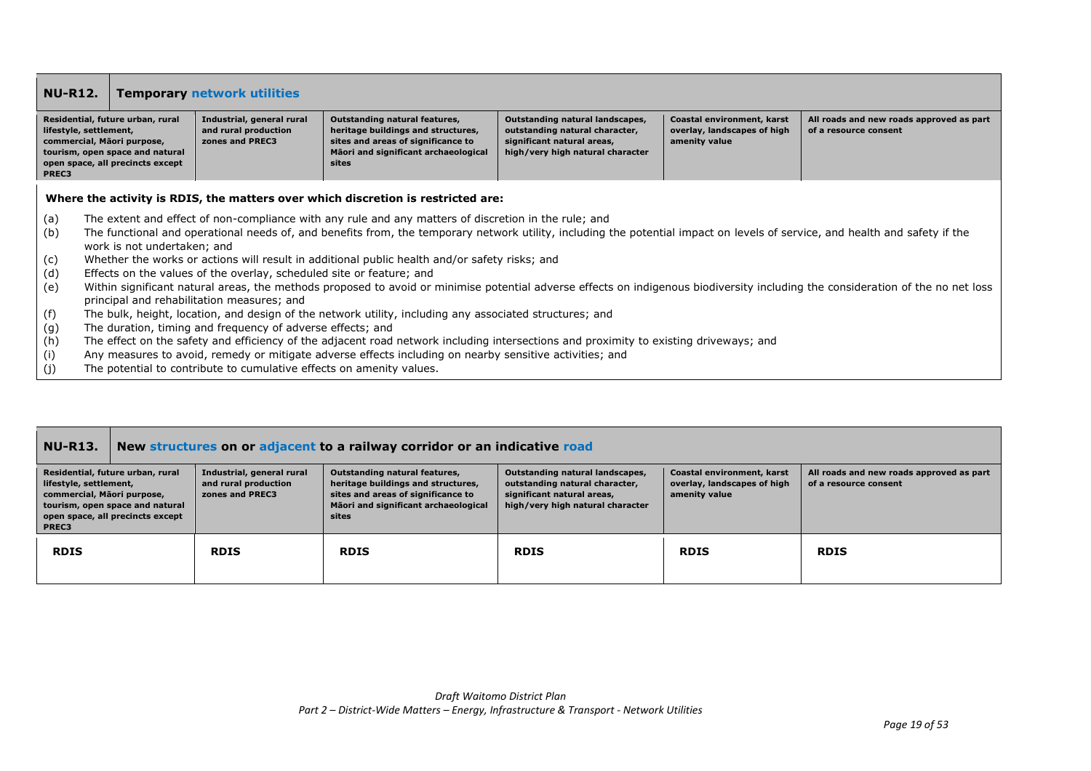| <b>NU-R12.</b>                                                                   |                                                                                                         | <b>Temporary network utilities</b>                                   |                                                                                                                                                            |                                                                                                                                     |                                                                            |                                                                   |  |
|----------------------------------------------------------------------------------|---------------------------------------------------------------------------------------------------------|----------------------------------------------------------------------|------------------------------------------------------------------------------------------------------------------------------------------------------------|-------------------------------------------------------------------------------------------------------------------------------------|----------------------------------------------------------------------------|-------------------------------------------------------------------|--|
| lifestyle, settlement,<br>commercial, Māori purpose,<br>PREC3                    | Residential, future urban, rural<br>tourism, open space and natural<br>open space, all precincts except | Industrial, general rural<br>and rural production<br>zones and PREC3 | Outstanding natural features,<br>heritage buildings and structures,<br>sites and areas of significance to<br>Mäori and significant archaeological<br>sites | Outstanding natural landscapes,<br>outstanding natural character,<br>significant natural areas,<br>high/very high natural character | Coastal environment, karst<br>overlay, landscapes of high<br>amenity value | All roads and new roads approved as part<br>of a resource consent |  |
| Where the activity is RDIS, the matters over which discretion is restricted are: |                                                                                                         |                                                                      |                                                                                                                                                            |                                                                                                                                     |                                                                            |                                                                   |  |

- (a) The extent and effect of non-compliance with any rule and any matters of discretion in the rule; and
- (b) The functional and operational needs of, and benefits from, the temporary network utility, including the potential impact on levels of service, and health and safety if the work is not undertaken; and
- (c) Whether the works or actions will result in additional public health and/or safety risks; and
- (d) Effects on the values of the overlay, scheduled site or feature; and
- (e) Within significant natural areas, the methods proposed to avoid or minimise potential adverse effects on indigenous biodiversity including the consideration of the no net loss principal and rehabilitation measures; and
- (f) The bulk, height, location, and design of the network utility, including any associated structures; and
- (g) The duration, timing and frequency of adverse effects; and
- (h) The effect on the safety and efficiency of the adjacent road network including intersections and proximity to existing driveways; and
- (i) Any measures to avoid, remedy or mitigate adverse effects including on nearby sensitive activities; and
- (j) The potential to contribute to cumulative effects on amenity values.

| <b>NU-R13.</b>                                                                                                                                                                  | New structures on or adjacent to a railway corridor or an indicative road |                                                                                                                                                                   |                                                                                                                                     |                                                                            |                                                                   |  |  |  |
|---------------------------------------------------------------------------------------------------------------------------------------------------------------------------------|---------------------------------------------------------------------------|-------------------------------------------------------------------------------------------------------------------------------------------------------------------|-------------------------------------------------------------------------------------------------------------------------------------|----------------------------------------------------------------------------|-------------------------------------------------------------------|--|--|--|
| Residential, future urban, rural<br>lifestyle, settlement,<br>commercial, Mãori purpose,<br>tourism, open space and natural<br>open space, all precincts except<br><b>PREC3</b> | Industrial, general rural<br>and rural production<br>zones and PREC3      | <b>Outstanding natural features,</b><br>heritage buildings and structures,<br>sites and areas of significance to<br>Māori and significant archaeological<br>sites | Outstanding natural landscapes,<br>outstanding natural character,<br>significant natural areas,<br>high/very high natural character | Coastal environment, karst<br>overlay, landscapes of high<br>amenity value | All roads and new roads approved as part<br>of a resource consent |  |  |  |
| <b>RDIS</b>                                                                                                                                                                     | <b>RDIS</b>                                                               | <b>RDIS</b>                                                                                                                                                       | <b>RDIS</b>                                                                                                                         | <b>RDIS</b>                                                                | <b>RDIS</b>                                                       |  |  |  |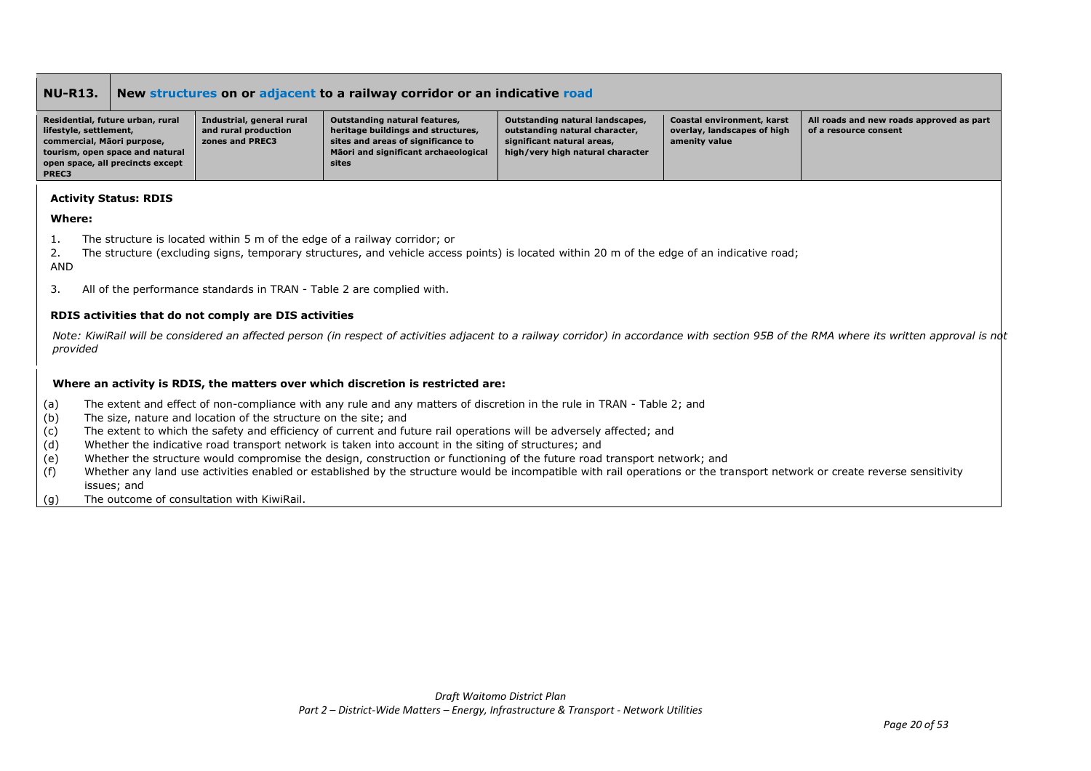| <b>NU-R13.</b>                                                                                    | New structures on or adjacent to a railway corridor or an indicative road |                                                                      |                                                                                                                                                            |                                                                                                                                     |                                                                            |                                                                   |  |
|---------------------------------------------------------------------------------------------------|---------------------------------------------------------------------------|----------------------------------------------------------------------|------------------------------------------------------------------------------------------------------------------------------------------------------------|-------------------------------------------------------------------------------------------------------------------------------------|----------------------------------------------------------------------------|-------------------------------------------------------------------|--|
| Residential, future urban, rural<br>lifestyle, settlement,<br>commercial, Māori purpose,<br>PREC3 | tourism, open space and natural<br>open space, all precincts except       | Industrial, general rural<br>and rural production<br>zones and PREC3 | Outstanding natural features,<br>heritage buildings and structures,<br>sites and areas of significance to<br>Mäori and significant archaeological<br>sites | Outstanding natural landscapes,<br>outstanding natural character,<br>significant natural areas,<br>high/very high natural character | Coastal environment, karst<br>overlay, landscapes of high<br>amenity value | All roads and new roads approved as part<br>of a resource consent |  |

### **Activity Status: RDIS**

### **Where:**

- 1. The structure is located within 5 m of the edge of a railway corridor; or
- 2. The structure (excluding signs, temporary structures, and vehicle access points) is located within 20 m of the edge of an indicative road; AND
- 3. All of the performance standards in TRAN Table 2 are complied with.

### **RDIS activities that do not comply are DIS activities**

Note: KiwiRail will be considered an affected person (in respect of activities adjacent to a railway corridor) in accordance with section 95B of the RMA where its written approval is not *provided*

### **Where an activity is RDIS, the matters over which discretion is restricted are:**

- (a) The extent and effect of non-compliance with any rule and any matters of discretion in the rule in TRAN Table 2; and
- (b) The size, nature and location of the structure on the site; and
- (c) The extent to which the safety and efficiency of current and future rail operations will be adversely affected; and
- (d) Whether the indicative road transport network is taken into account in the siting of structures; and
- (e) Whether the structure would compromise the design, construction or functioning of the future road transport network; and
- (f) Whether any land use activities enabled or established by the structure would be incompatible with rail operations or the transport network or create reverse sensitivity issues; and
- (g) The outcome of consultation with KiwiRail.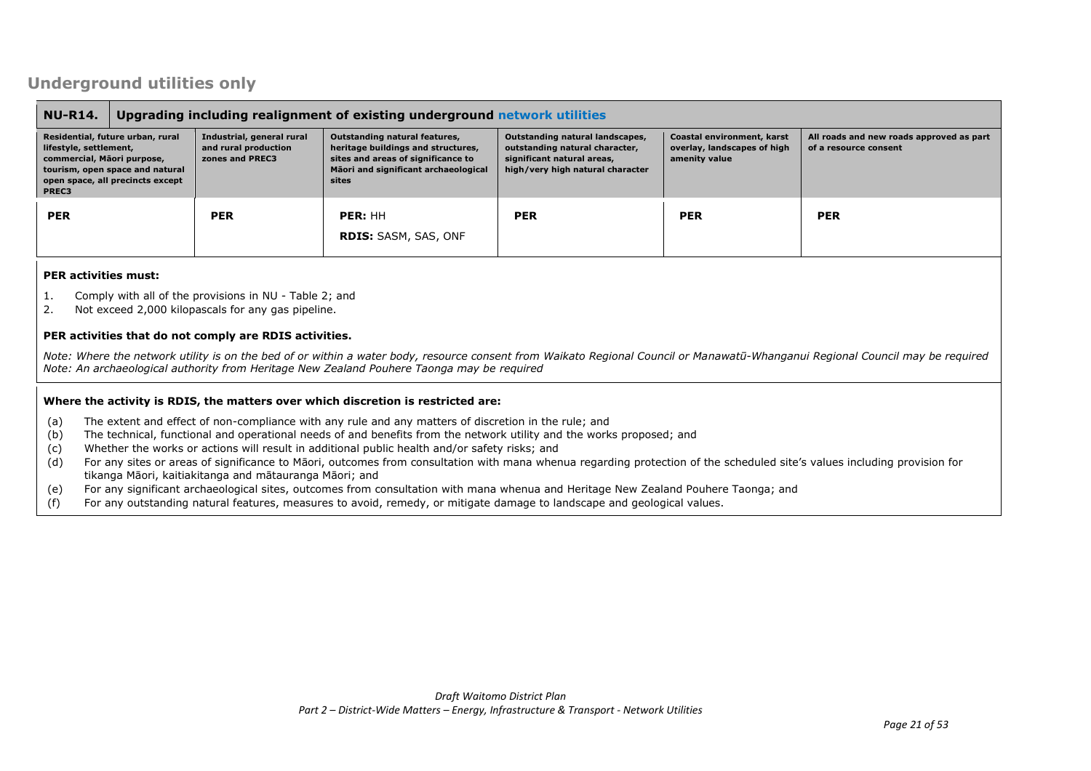## **Underground utilities only**

| <b>NU-R14.</b>                                                                                                                                                           | Upgrading including realignment of existing underground network utilities |                                                                      |                                                                                                                                                                                                                                                                                                                                                                                                                                                      |            |            |            |  |
|--------------------------------------------------------------------------------------------------------------------------------------------------------------------------|---------------------------------------------------------------------------|----------------------------------------------------------------------|------------------------------------------------------------------------------------------------------------------------------------------------------------------------------------------------------------------------------------------------------------------------------------------------------------------------------------------------------------------------------------------------------------------------------------------------------|------------|------------|------------|--|
| Residential, future urban, rural<br>lifestyle, settlement,<br>commercial, Māori purpose,<br>tourism, open space and natural<br>open space, all precincts except<br>PREC3 |                                                                           | Industrial, general rural<br>and rural production<br>zones and PREC3 | Outstanding natural features,<br>Outstanding natural landscapes,<br>Coastal environment, karst<br>All roads and new roads approved as part<br>heritage buildings and structures,<br>outstanding natural character,<br>overlay, landscapes of high<br>of a resource consent<br>sites and areas of significance to<br>significant natural areas,<br>amenity value<br>Māori and significant archaeological<br>high/very high natural character<br>sites |            |            |            |  |
| <b>PER</b>                                                                                                                                                               |                                                                           | <b>PER</b>                                                           | PER: HH<br><b>RDIS: SASM, SAS, ONF</b>                                                                                                                                                                                                                                                                                                                                                                                                               | <b>PER</b> | <b>PER</b> | <b>PER</b> |  |

### **PER activities must:**

- 1. Comply with all of the provisions in NU Table 2; and
- 2. Not exceed 2,000 kilopascals for any gas pipeline.

### **PER activities that do not comply are RDIS activities.**

*Note: Where the network utility is on the bed of or within a water body, resource consent from Waikato Regional Council or Manawatū-Whanganui Regional Council may be required Note: An archaeological authority from Heritage New Zealand Pouhere Taonga may be required*

### **Where the activity is RDIS, the matters over which discretion is restricted are:**

- (a) The extent and effect of non-compliance with any rule and any matters of discretion in the rule; and
- (b) The technical, functional and operational needs of and benefits from the network utility and the works proposed; and
- (c) Whether the works or actions will result in additional public health and/or safety risks; and
- (d) For any sites or areas of significance to Māori, outcomes from consultation with mana whenua regarding protection of the scheduled site's values including provision for tikanga Māori, kaitiakitanga and mātauranga Māori; and
- (e) For any significant archaeological sites, outcomes from consultation with mana whenua and Heritage New Zealand Pouhere Taonga; and
- (f) For any outstanding natural features, measures to avoid, remedy, or mitigate damage to landscape and geological values.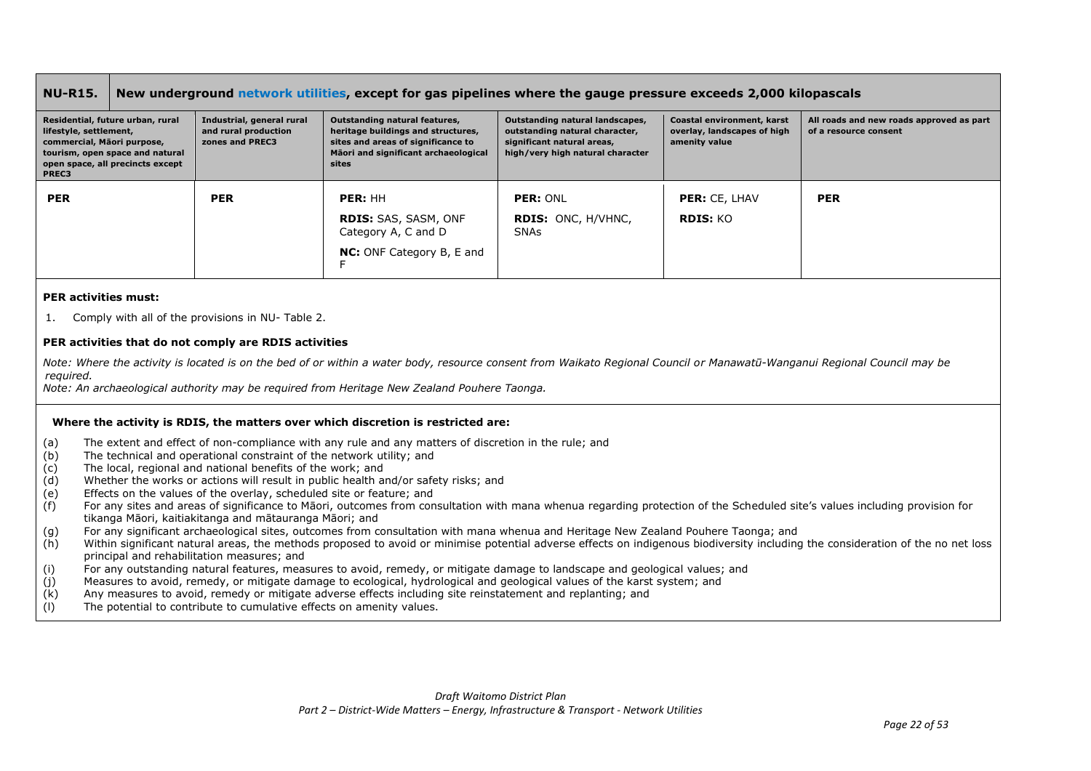| <b>NU-R15.</b>                                                |                                                                                                         | New underground network utilities, except for gas pipelines where the gauge pressure exceeds 2,000 kilopascals |                                                                                                                                                            |                                                                                                                                     |                                                                            |                                                                   |  |  |
|---------------------------------------------------------------|---------------------------------------------------------------------------------------------------------|----------------------------------------------------------------------------------------------------------------|------------------------------------------------------------------------------------------------------------------------------------------------------------|-------------------------------------------------------------------------------------------------------------------------------------|----------------------------------------------------------------------------|-------------------------------------------------------------------|--|--|
| lifestyle, settlement,<br>commercial, Māori purpose,<br>PREC3 | Residential, future urban, rural<br>tourism, open space and natural<br>open space, all precincts except | Industrial, general rural<br>and rural production<br>zones and PREC3                                           | Outstanding natural features,<br>heritage buildings and structures,<br>sites and areas of significance to<br>Mäori and significant archaeological<br>sites | Outstanding natural landscapes,<br>outstanding natural character,<br>significant natural areas,<br>high/very high natural character | Coastal environment, karst<br>overlay, landscapes of high<br>amenity value | All roads and new roads approved as part<br>of a resource consent |  |  |
| <b>PER</b>                                                    |                                                                                                         | <b>PER</b>                                                                                                     | PER: HH<br><b>RDIS: SAS, SASM, ONF</b><br>Category A, C and D<br><b>NC:</b> ONF Category B, E and                                                          | PER: ONL<br><b>RDIS: ONC, H/VHNC,</b><br><b>SNAs</b>                                                                                | <b>PER: CE, LHAV</b><br>RDIS: KO                                           | <b>PER</b>                                                        |  |  |

### **PER activities must:**

1. Comply with all of the provisions in NU- Table 2.

### **PER activities that do not comply are RDIS activities**

*Note: Where the activity is located is on the bed of or within a water body, resource consent from Waikato Regional Council or Manawatū-Wanganui Regional Council may be required.*

*Note: An archaeological authority may be required from Heritage New Zealand Pouhere Taonga.*

### **Where the activity is RDIS, the matters over which discretion is restricted are:**

- (a) The extent and effect of non-compliance with any rule and any matters of discretion in the rule; and
- (b) The technical and operational constraint of the network utility; and
- $(c)$  The local, regional and national benefits of the work; and
- (d) Whether the works or actions will result in public health and/or safety risks; and
- (e) Effects on the values of the overlay, scheduled site or feature; and
- (f) For any sites and areas of significance to Māori, outcomes from consultation with mana whenua regarding protection of the Scheduled site's values including provision for tikanga Māori, kaitiakitanga and mātauranga Māori; and
- (g) For any significant archaeological sites, outcomes from consultation with mana whenua and Heritage New Zealand Pouhere Taonga; and
- (h) Within significant natural areas, the methods proposed to avoid or minimise potential adverse effects on indigenous biodiversity including the consideration of the no net loss principal and rehabilitation measures; and
- (i) For any outstanding natural features, measures to avoid, remedy, or mitigate damage to landscape and geological values; and
- (j) Measures to avoid, remedy, or mitigate damage to ecological, hydrological and geological values of the karst system; and
- (k) Any measures to avoid, remedy or mitigate adverse effects including site reinstatement and replanting; and
- (l) The potential to contribute to cumulative effects on amenity values.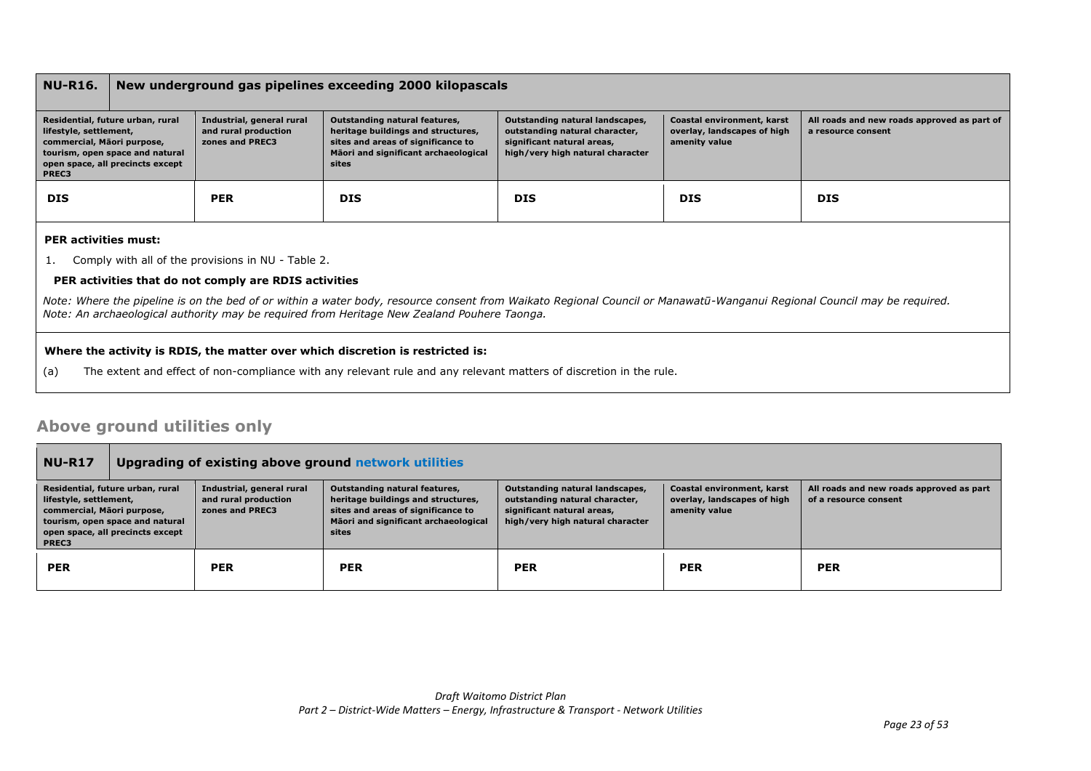### **NU-R16. New underground gas pipelines exceeding 2000 kilopascals**

| Residential, future urban, rural<br>lifestyle, settlement,<br>commercial, Mäori purpose,<br>tourism, open space and natural<br>open space, all precincts except<br><b>PREC3</b> | Industrial, general rural<br>and rural production<br>zones and PREC3 | Outstanding natural features,<br>heritage buildings and structures,<br>sites and areas of significance to<br>Māori and significant archaeological<br>sites | Outstanding natural landscapes,<br>outstanding natural character,<br>significant natural areas,<br>high/very high natural character | Coastal environment, karst<br>overlay, landscapes of high<br>amenity value | All roads and new roads approved as part of<br>a resource consent |
|---------------------------------------------------------------------------------------------------------------------------------------------------------------------------------|----------------------------------------------------------------------|------------------------------------------------------------------------------------------------------------------------------------------------------------|-------------------------------------------------------------------------------------------------------------------------------------|----------------------------------------------------------------------------|-------------------------------------------------------------------|
| <b>DIS</b>                                                                                                                                                                      | <b>PER</b>                                                           | <b>DIS</b>                                                                                                                                                 | <b>DIS</b>                                                                                                                          | <b>DIS</b>                                                                 | <b>DIS</b>                                                        |

#### **PER activities must:**

1. Comply with all of the provisions in NU - Table 2.

### **PER activities that do not comply are RDIS activities**

*Note: Where the pipeline is on the bed of or within a water body, resource consent from Waikato Regional Council or Manawatū-Wanganui Regional Council may be required. Note: An archaeological authority may be required from Heritage New Zealand Pouhere Taonga.*

### **Where the activity is RDIS, the matter over which discretion is restricted is:**

(a) The extent and effect of non-compliance with any relevant rule and any relevant matters of discretion in the rule.

### **Above ground utilities only**

| <b>NU-R17</b>                                                                                                                                                            | Upgrading of existing above ground network utilities |                                                                      |                                                                                                                                                            |                                                                                                                                     |                                                                            |                                                                   |
|--------------------------------------------------------------------------------------------------------------------------------------------------------------------------|------------------------------------------------------|----------------------------------------------------------------------|------------------------------------------------------------------------------------------------------------------------------------------------------------|-------------------------------------------------------------------------------------------------------------------------------------|----------------------------------------------------------------------------|-------------------------------------------------------------------|
| Residential, future urban, rural<br>lifestyle, settlement,<br>commercial, Māori purpose,<br>tourism, open space and natural<br>open space, all precincts except<br>PREC3 |                                                      | Industrial, general rural<br>and rural production<br>zones and PREC3 | Outstanding natural features,<br>heritage buildings and structures,<br>sites and areas of significance to<br>Māori and significant archaeological<br>sites | Outstanding natural landscapes,<br>outstanding natural character,<br>significant natural areas,<br>high/very high natural character | Coastal environment, karst<br>overlay, landscapes of high<br>amenity value | All roads and new roads approved as part<br>of a resource consent |
| <b>PER</b>                                                                                                                                                               |                                                      | <b>PER</b>                                                           | <b>PER</b>                                                                                                                                                 | <b>PER</b>                                                                                                                          | <b>PER</b>                                                                 | <b>PER</b>                                                        |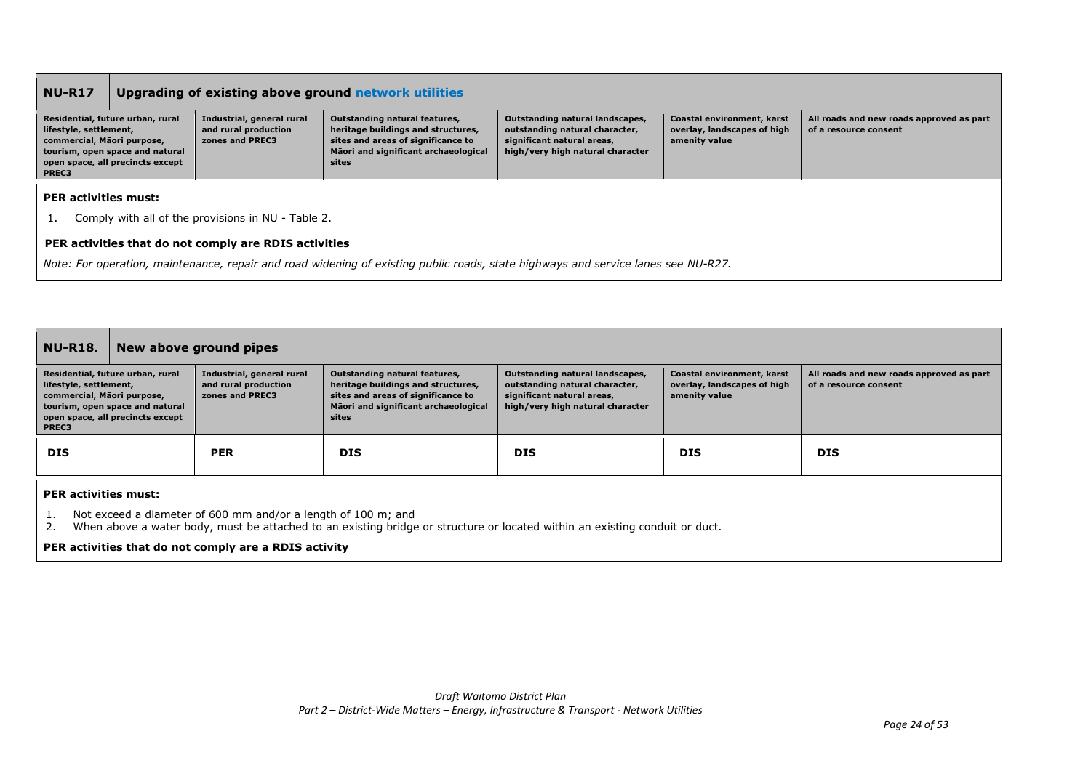| <b>NU-R17</b>                                                                                                                                                            | Upgrading of existing above ground network utilities |                                                                      |                                                                                                                                                            |                                                                                                                                     |                                                                            |                                                                   |  |
|--------------------------------------------------------------------------------------------------------------------------------------------------------------------------|------------------------------------------------------|----------------------------------------------------------------------|------------------------------------------------------------------------------------------------------------------------------------------------------------|-------------------------------------------------------------------------------------------------------------------------------------|----------------------------------------------------------------------------|-------------------------------------------------------------------|--|
| Residential, future urban, rural<br>lifestyle, settlement,<br>commercial, Māori purpose,<br>tourism, open space and natural<br>open space, all precincts except<br>PREC3 |                                                      | Industrial, general rural<br>and rural production<br>zones and PREC3 | Outstanding natural features,<br>heritage buildings and structures,<br>sites and areas of significance to<br>Māori and significant archaeological<br>sites | Outstanding natural landscapes,<br>outstanding natural character,<br>significant natural areas,<br>high/very high natural character | Coastal environment, karst<br>overlay, landscapes of high<br>amenity value | All roads and new roads approved as part<br>of a resource consent |  |
| <b>PER activities must:</b>                                                                                                                                              |                                                      |                                                                      |                                                                                                                                                            |                                                                                                                                     |                                                                            |                                                                   |  |
| Comply with all of the provisions in NU - Table 2.                                                                                                                       |                                                      |                                                                      |                                                                                                                                                            |                                                                                                                                     |                                                                            |                                                                   |  |
|                                                                                                                                                                          |                                                      | PER activities that do not comply are RDIS activities                |                                                                                                                                                            |                                                                                                                                     |                                                                            |                                                                   |  |
|                                                                                                                                                                          |                                                      |                                                                      | Note: For operation, maintenance, repair and road widening of existing public roads, state highways and service lanes see NU-R27.                          |                                                                                                                                     |                                                                            |                                                                   |  |

| <b>NU-R18.</b>                                                                                                                                                           |                                                                                                                                                                                              | New above ground pipes                                               |                                                                                                                                                                   |                                                                                                                                     |                                                                            |                                                                   |  |  |
|--------------------------------------------------------------------------------------------------------------------------------------------------------------------------|----------------------------------------------------------------------------------------------------------------------------------------------------------------------------------------------|----------------------------------------------------------------------|-------------------------------------------------------------------------------------------------------------------------------------------------------------------|-------------------------------------------------------------------------------------------------------------------------------------|----------------------------------------------------------------------------|-------------------------------------------------------------------|--|--|
| Residential, future urban, rural<br>lifestyle, settlement,<br>commercial, Māori purpose,<br>tourism, open space and natural<br>open space, all precincts except<br>PREC3 |                                                                                                                                                                                              | Industrial, general rural<br>and rural production<br>zones and PREC3 | <b>Outstanding natural features,</b><br>heritage buildings and structures,<br>sites and areas of significance to<br>Māori and significant archaeological<br>sites | Outstanding natural landscapes,<br>outstanding natural character,<br>significant natural areas,<br>high/very high natural character | Coastal environment, karst<br>overlay, landscapes of high<br>amenity value | All roads and new roads approved as part<br>of a resource consent |  |  |
| <b>DIS</b>                                                                                                                                                               |                                                                                                                                                                                              | <b>PER</b>                                                           | <b>DIS</b>                                                                                                                                                        | <b>DIS</b>                                                                                                                          | <b>DIS</b>                                                                 | <b>DIS</b>                                                        |  |  |
| <b>PER activities must:</b>                                                                                                                                              |                                                                                                                                                                                              |                                                                      |                                                                                                                                                                   |                                                                                                                                     |                                                                            |                                                                   |  |  |
|                                                                                                                                                                          | Not exceed a diameter of 600 mm and/or a length of 100 m; and<br>When above a water body, must be attached to an existing bridge or structure or located within an existing conduit or duct. |                                                                      |                                                                                                                                                                   |                                                                                                                                     |                                                                            |                                                                   |  |  |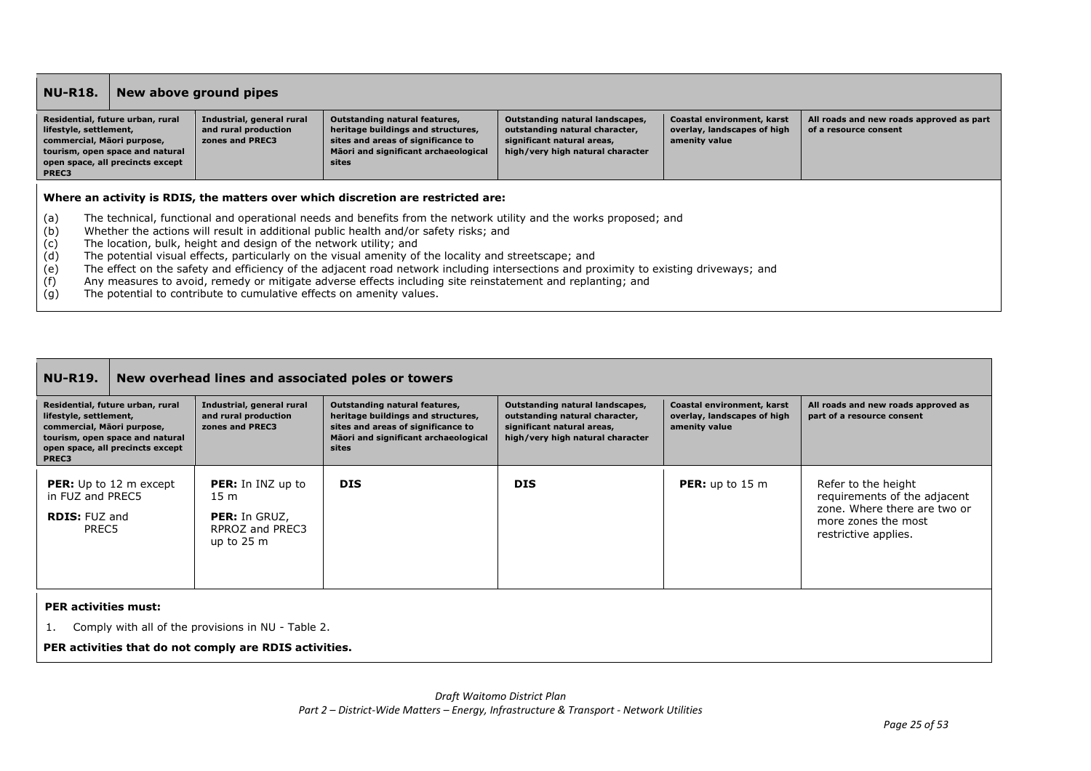| <b>NU-R18.</b>                                                                                                                                                           |  | New above ground pipes                                                                                                                    |                                                                                                                                                                                                                                                                                                                                                                                                                                                                                                                                                                                                                                                               |                                                                                                                                     |                                                                            |                                                                   |
|--------------------------------------------------------------------------------------------------------------------------------------------------------------------------|--|-------------------------------------------------------------------------------------------------------------------------------------------|---------------------------------------------------------------------------------------------------------------------------------------------------------------------------------------------------------------------------------------------------------------------------------------------------------------------------------------------------------------------------------------------------------------------------------------------------------------------------------------------------------------------------------------------------------------------------------------------------------------------------------------------------------------|-------------------------------------------------------------------------------------------------------------------------------------|----------------------------------------------------------------------------|-------------------------------------------------------------------|
| Residential, future urban, rural<br>lifestyle, settlement,<br>commercial, Māori purpose,<br>tourism, open space and natural<br>open space, all precincts except<br>PREC3 |  | Industrial, general rural<br>and rural production<br>zones and PREC3                                                                      | Outstanding natural features,<br>heritage buildings and structures,<br>sites and areas of significance to<br>Māori and significant archaeological<br>sites                                                                                                                                                                                                                                                                                                                                                                                                                                                                                                    | Outstanding natural landscapes,<br>outstanding natural character,<br>significant natural areas,<br>high/very high natural character | Coastal environment, karst<br>overlay, landscapes of high<br>amenity value | All roads and new roads approved as part<br>of a resource consent |
| (a)<br>(b)<br>(c)<br>(d)<br>(e)<br>(f)<br>(g)                                                                                                                            |  | The location, bulk, height and design of the network utility; and<br>The potential to contribute to cumulative effects on amenity values. | Where an activity is RDIS, the matters over which discretion are restricted are:<br>The technical, functional and operational needs and benefits from the network utility and the works proposed; and<br>Whether the actions will result in additional public health and/or safety risks; and<br>The potential visual effects, particularly on the visual amenity of the locality and streetscape; and<br>The effect on the safety and efficiency of the adjacent road network including intersections and proximity to existing driveways; and<br>Any measures to avoid, remedy or mitigate adverse effects including site reinstatement and replanting; and |                                                                                                                                     |                                                                            |                                                                   |

| <b>NU-R19.</b>                                                                                                                                                           | New overhead lines and associated poles or towers                                                              |                                                                                                                                                            |                                                                                                                                     |                                                                            |                                                                                                                                    |  |  |
|--------------------------------------------------------------------------------------------------------------------------------------------------------------------------|----------------------------------------------------------------------------------------------------------------|------------------------------------------------------------------------------------------------------------------------------------------------------------|-------------------------------------------------------------------------------------------------------------------------------------|----------------------------------------------------------------------------|------------------------------------------------------------------------------------------------------------------------------------|--|--|
| Residential, future urban, rural<br>lifestyle, settlement,<br>commercial, Māori purpose,<br>tourism, open space and natural<br>open space, all precincts except<br>PREC3 | Industrial, general rural<br>and rural production<br>zones and PREC3                                           | Outstanding natural features,<br>heritage buildings and structures,<br>sites and areas of significance to<br>Māori and significant archaeological<br>sites | Outstanding natural landscapes,<br>outstanding natural character,<br>significant natural areas,<br>high/very high natural character | Coastal environment, karst<br>overlay, landscapes of high<br>amenity value | All roads and new roads approved as<br>part of a resource consent                                                                  |  |  |
| <b>PER:</b> Up to 12 m except<br>in FUZ and PREC5<br><b>RDIS: FUZ and</b><br>PREC5                                                                                       | <b>PER:</b> In INZ up to<br>15 <sub>m</sub><br><b>PER:</b> In GRUZ,<br>RPROZ and PREC3<br>up to $25 \text{ m}$ | <b>DIS</b>                                                                                                                                                 | <b>DIS</b>                                                                                                                          | <b>PER:</b> up to $15 \text{ m}$                                           | Refer to the height<br>requirements of the adjacent<br>zone. Where there are two or<br>more zones the most<br>restrictive applies. |  |  |
| <b>PER activities must:</b>                                                                                                                                              |                                                                                                                |                                                                                                                                                            |                                                                                                                                     |                                                                            |                                                                                                                                    |  |  |

1. Comply with all of the provisions in NU - Table 2.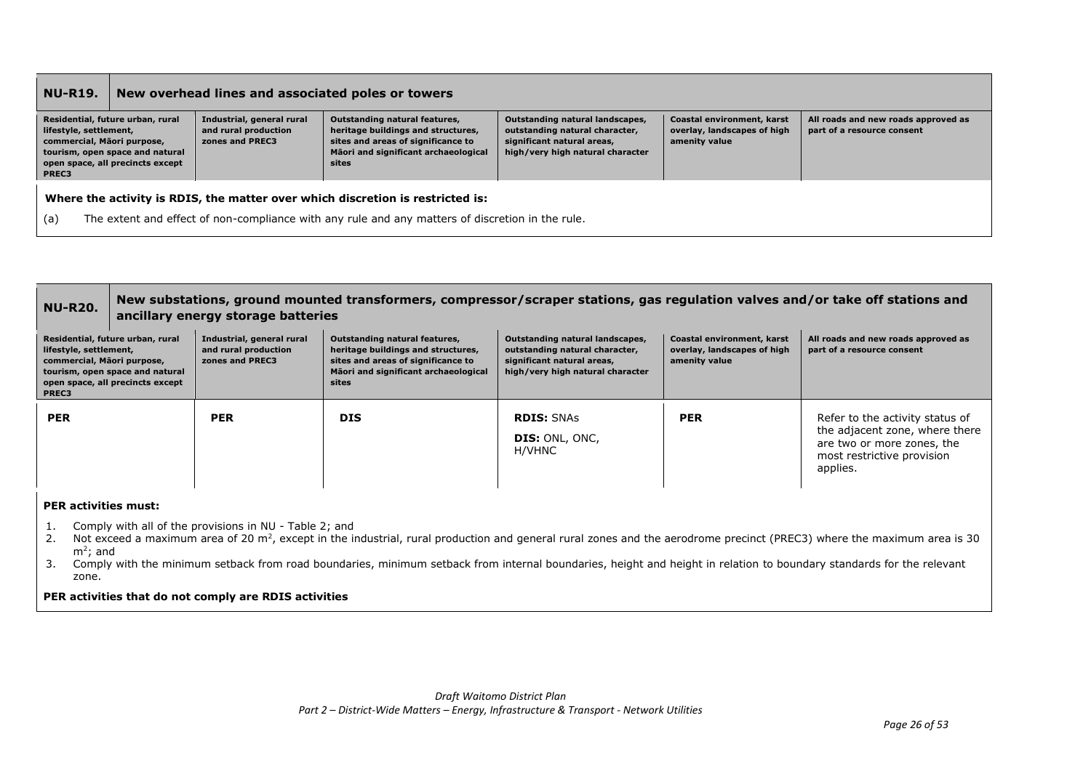| <b>NU-R19.</b>                                                                                                                                                           | New overhead lines and associated poles or towers                                                                                                                                  |                                                                      |                                                                                                                                                            |                                                                                                                                     |                                                                            |                                                                   |  |
|--------------------------------------------------------------------------------------------------------------------------------------------------------------------------|------------------------------------------------------------------------------------------------------------------------------------------------------------------------------------|----------------------------------------------------------------------|------------------------------------------------------------------------------------------------------------------------------------------------------------|-------------------------------------------------------------------------------------------------------------------------------------|----------------------------------------------------------------------------|-------------------------------------------------------------------|--|
| Residential, future urban, rural<br>lifestyle, settlement,<br>commercial, Māori purpose,<br>tourism, open space and natural<br>open space, all precincts except<br>PREC3 |                                                                                                                                                                                    | Industrial, general rural<br>and rural production<br>zones and PREC3 | Outstanding natural features,<br>heritage buildings and structures,<br>sites and areas of significance to<br>Māori and significant archaeological<br>sites | Outstanding natural landscapes,<br>outstanding natural character,<br>significant natural areas,<br>high/very high natural character | Coastal environment, karst<br>overlay, landscapes of high<br>amenity value | All roads and new roads approved as<br>part of a resource consent |  |
| (a)                                                                                                                                                                      | Where the activity is RDIS, the matter over which discretion is restricted is:<br>The extent and effect of non-compliance with any rule and any matters of discretion in the rule. |                                                                      |                                                                                                                                                            |                                                                                                                                     |                                                                            |                                                                   |  |

| <b>NU-R20.</b>                                                                                                                                                                              | New substations, ground mounted transformers, compressor/scraper stations, gas regulation valves and/or take off stations and<br>ancillary energy storage batteries |                                                   |                                                                                                                                                            |                                                                                                                                     |                                                                            |                                                                                                                                           |
|---------------------------------------------------------------------------------------------------------------------------------------------------------------------------------------------|---------------------------------------------------------------------------------------------------------------------------------------------------------------------|---------------------------------------------------|------------------------------------------------------------------------------------------------------------------------------------------------------------|-------------------------------------------------------------------------------------------------------------------------------------|----------------------------------------------------------------------------|-------------------------------------------------------------------------------------------------------------------------------------------|
| Residential, future urban, rural<br>lifestyle, settlement,<br>zones and PREC3<br>commercial, Māori purpose,<br>tourism, open space and natural<br>open space, all precincts except<br>PREC3 |                                                                                                                                                                     | Industrial, general rural<br>and rural production | Outstanding natural features,<br>heritage buildings and structures,<br>sites and areas of significance to<br>Māori and significant archaeological<br>sites | Outstanding natural landscapes,<br>outstanding natural character,<br>significant natural areas,<br>high/very high natural character | Coastal environment, karst<br>overlay, landscapes of high<br>amenity value | All roads and new roads approved as<br>part of a resource consent                                                                         |
| <b>PER</b>                                                                                                                                                                                  |                                                                                                                                                                     | <b>PER</b>                                        | <b>DIS</b>                                                                                                                                                 | <b>RDIS: SNAS</b><br><b>DIS:</b> ONL, ONC,<br>H/VHNC                                                                                | <b>PER</b>                                                                 | Refer to the activity status of<br>the adjacent zone, where there<br>are two or more zones, the<br>most restrictive provision<br>applies. |

### **PER activities must:**

- 1. Comply with all of the provisions in NU Table 2; and
- 2. Not exceed a maximum area of 20 m<sup>2</sup>, except in the industrial, rural production and general rural zones and the aerodrome precinct (PREC3) where the maximum area is 30 m<sup>2</sup>; and
- 3. Comply with the minimum setback from road boundaries, minimum setback from internal boundaries, height and height in relation to boundary standards for the relevant zone.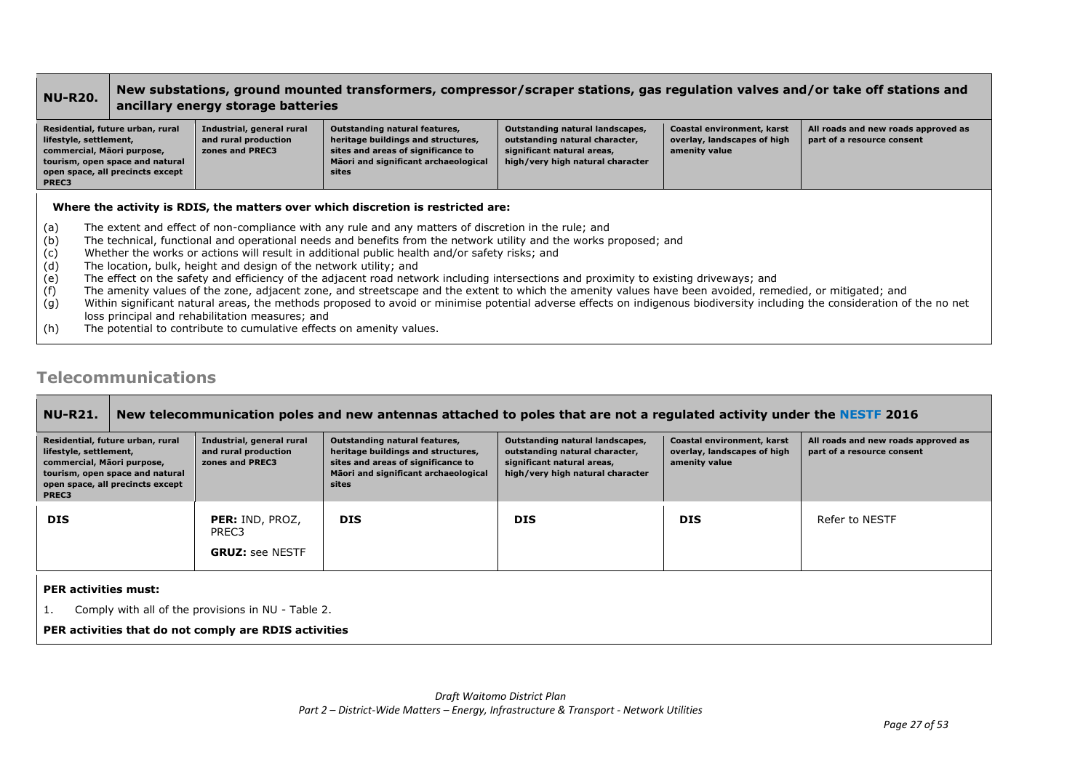### **NU-R20. New substations, ground mounted transformers, compressor/scraper stations, gas regulation valves and/or take off stations and ancillary energy storage batteries**

| Residential, future urban, rural<br>lifestyle, settlement,<br>commercial, Māori purpose,<br>tourism, open space and natural<br>open space, all precincts except<br>PREC3 | Industrial, general rural<br>and rural production<br>zones and PREC3 | Outstanding natural features,<br>heritage buildings and structures,<br>sites and areas of significance to<br>Māori and significant archaeological<br>sites | Outstanding natural landscapes,<br>outstanding natural character,<br>significant natural areas,<br>high/very high natural character | Coastal environment, karst<br>overlay, landscapes of high<br>amenity value | All roads and new roads approved as<br>part of a resource consent |
|--------------------------------------------------------------------------------------------------------------------------------------------------------------------------|----------------------------------------------------------------------|------------------------------------------------------------------------------------------------------------------------------------------------------------|-------------------------------------------------------------------------------------------------------------------------------------|----------------------------------------------------------------------------|-------------------------------------------------------------------|

### **Where the activity is RDIS, the matters over which discretion is restricted are:**

- (a) The extent and effect of non-compliance with any rule and any matters of discretion in the rule; and
- (b) The technical, functional and operational needs and benefits from the network utility and the works proposed; and
- (c) Whether the works or actions will result in additional public health and/or safety risks; and
- (d) The location, bulk, height and design of the network utility; and
- (e) The effect on the safety and efficiency of the adjacent road network including intersections and proximity to existing driveways; and
- (f) The amenity values of the zone, adjacent zone, and streetscape and the extent to which the amenity values have been avoided, remedied, or mitigated; and
- (g) Within significant natural areas, the methods proposed to avoid or minimise potential adverse effects on indigenous biodiversity including the consideration of the no net loss principal and rehabilitation measures; and
- (h) The potential to contribute to cumulative effects on amenity values.

### **Telecommunications**

| <b>NU-R21.</b>                                                                                                                                                           | New telecommunication poles and new antennas attached to poles that are not a regulated activity under the NESTF 2016 |                                                                      |                                                                                                                                                                   |                                                                                                                                     |                                                                            |                                                                   |  |
|--------------------------------------------------------------------------------------------------------------------------------------------------------------------------|-----------------------------------------------------------------------------------------------------------------------|----------------------------------------------------------------------|-------------------------------------------------------------------------------------------------------------------------------------------------------------------|-------------------------------------------------------------------------------------------------------------------------------------|----------------------------------------------------------------------------|-------------------------------------------------------------------|--|
| Residential, future urban, rural<br>lifestyle, settlement,<br>commercial, Māori purpose,<br>tourism, open space and natural<br>open space, all precincts except<br>PREC3 |                                                                                                                       | Industrial, general rural<br>and rural production<br>zones and PREC3 | <b>Outstanding natural features,</b><br>heritage buildings and structures,<br>sites and areas of significance to<br>Māori and significant archaeological<br>sites | Outstanding natural landscapes,<br>outstanding natural character,<br>significant natural areas,<br>high/very high natural character | Coastal environment, karst<br>overlay, landscapes of high<br>amenity value | All roads and new roads approved as<br>part of a resource consent |  |
| <b>DIS</b>                                                                                                                                                               |                                                                                                                       | PER: IND, PROZ,<br>PREC3<br><b>GRUZ: see NESTF</b>                   | <b>DIS</b>                                                                                                                                                        | <b>DIS</b>                                                                                                                          | <b>DIS</b>                                                                 | Refer to NESTF                                                    |  |
| <b>PER activities must:</b><br>1.                                                                                                                                        |                                                                                                                       | Comply with all of the provisions in NU - Table 2.                   |                                                                                                                                                                   |                                                                                                                                     |                                                                            |                                                                   |  |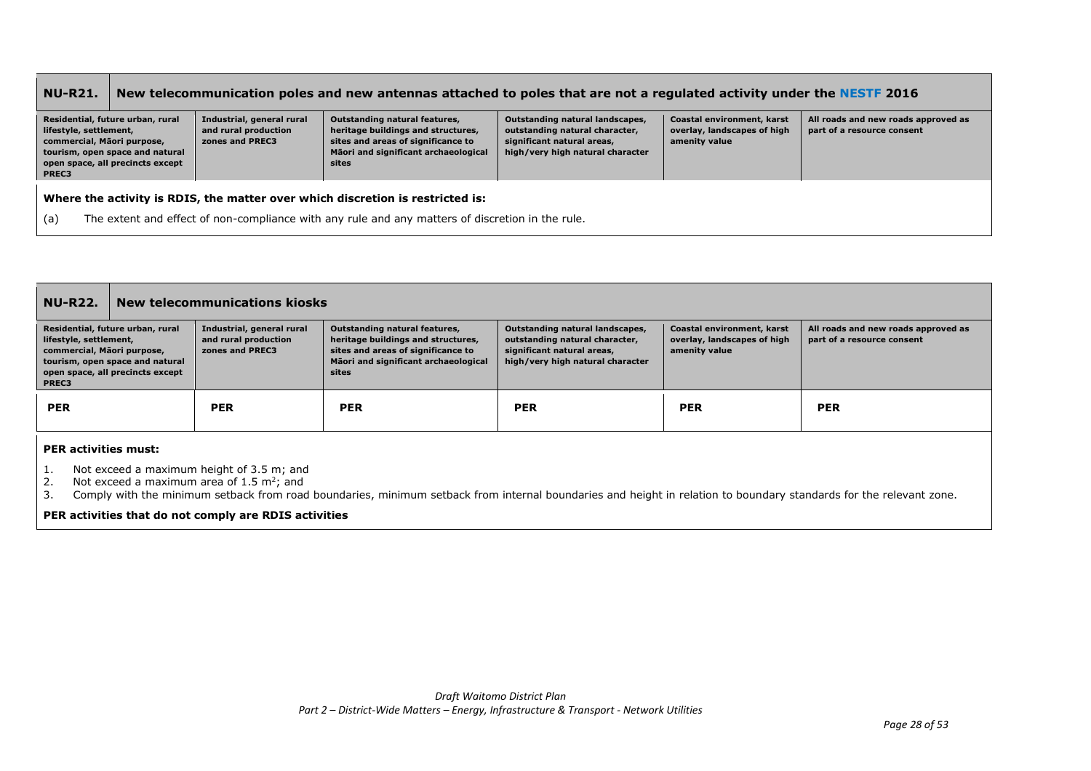#### **NU-R21. New telecommunication poles and new antennas attached to poles that are not a regulated activity under the NESTF 2016 Residential, future urban, rural lifestyle, settlement, commercial, Māori purpose, tourism, open space and natural open space, all precincts except PREC3 Industrial, general rural and rural production zones and PREC3 Outstanding natural features, heritage buildings and structures, sites and areas of significance to Māori and significant archaeological sites Outstanding natural landscapes, outstanding natural character, significant natural areas, high/very high natural character Coastal environment, karst overlay, landscapes of high amenity value All roads and new roads approved as part of a resource consent Where the activity is RDIS, the matter over which discretion is restricted is:** (a) The extent and effect of non-compliance with any rule and any matters of discretion in the rule.

| <b>NU-R22.</b>                                                                                                                                                           | New telecommunications kiosks |                                                                      |                                                                                                                                                            |                                                                                                                                                                                                                                                                                        |            |            |  |  |
|--------------------------------------------------------------------------------------------------------------------------------------------------------------------------|-------------------------------|----------------------------------------------------------------------|------------------------------------------------------------------------------------------------------------------------------------------------------------|----------------------------------------------------------------------------------------------------------------------------------------------------------------------------------------------------------------------------------------------------------------------------------------|------------|------------|--|--|
| Residential, future urban, rural<br>lifestyle, settlement,<br>commercial, Māori purpose,<br>tourism, open space and natural<br>open space, all precincts except<br>PREC3 |                               | Industrial, general rural<br>and rural production<br>zones and PREC3 | Outstanding natural features,<br>heritage buildings and structures,<br>sites and areas of significance to<br>Māori and significant archaeological<br>sites | Outstanding natural landscapes,<br>Coastal environment, karst<br>All roads and new roads approved as<br>outstanding natural character,<br>overlay, landscapes of high<br>part of a resource consent<br>significant natural areas,<br>amenity value<br>high/very high natural character |            |            |  |  |
| <b>PER</b>                                                                                                                                                               |                               | <b>PER</b>                                                           | <b>PER</b>                                                                                                                                                 | <b>PER</b>                                                                                                                                                                                                                                                                             | <b>PER</b> | <b>PER</b> |  |  |
| <b>DED</b> activities mustu                                                                                                                                              |                               |                                                                      |                                                                                                                                                            |                                                                                                                                                                                                                                                                                        |            |            |  |  |

**PER activities must:**

1. Not exceed a maximum height of 3.5 m; and

2. Not exceed a maximum area of  $1.5 \text{ m}^2$ ; and

3. Comply with the minimum setback from road boundaries, minimum setback from internal boundaries and height in relation to boundary standards for the relevant zone.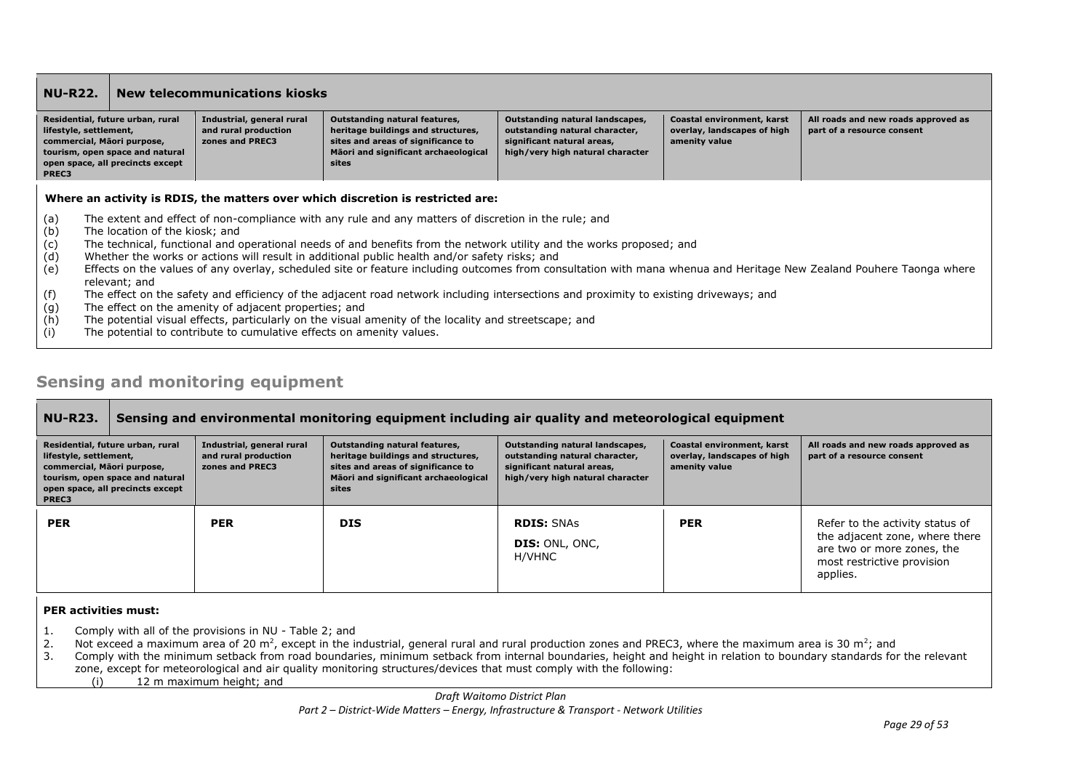| <b>NU-R22.</b>                                                                                                                                                                              |                                                                                                                                                                                                                                                                                                                                                                                                                                                                                                                                                         |  | <b>New telecommunications kiosks</b>              |                                                                                                                                                                   |                                                                                                                                     |                                                                            |                                                                   |
|---------------------------------------------------------------------------------------------------------------------------------------------------------------------------------------------|---------------------------------------------------------------------------------------------------------------------------------------------------------------------------------------------------------------------------------------------------------------------------------------------------------------------------------------------------------------------------------------------------------------------------------------------------------------------------------------------------------------------------------------------------------|--|---------------------------------------------------|-------------------------------------------------------------------------------------------------------------------------------------------------------------------|-------------------------------------------------------------------------------------------------------------------------------------|----------------------------------------------------------------------------|-------------------------------------------------------------------|
| Residential, future urban, rural<br>lifestyle, settlement,<br>commercial, Māori purpose,<br>zones and PREC3<br>tourism, open space and natural<br>open space, all precincts except<br>PREC3 |                                                                                                                                                                                                                                                                                                                                                                                                                                                                                                                                                         |  | Industrial, general rural<br>and rural production | <b>Outstanding natural features,</b><br>heritage buildings and structures,<br>sites and areas of significance to<br>Māori and significant archaeological<br>sites | Outstanding natural landscapes,<br>outstanding natural character,<br>significant natural areas,<br>high/very high natural character | Coastal environment, karst<br>overlay, landscapes of high<br>amenity value | All roads and new roads approved as<br>part of a resource consent |
|                                                                                                                                                                                             | Where an activity is RDIS, the matters over which discretion is restricted are:                                                                                                                                                                                                                                                                                                                                                                                                                                                                         |  |                                                   |                                                                                                                                                                   |                                                                                                                                     |                                                                            |                                                                   |
| (a)<br>(b)<br>(c)<br>(d)<br>(e)                                                                                                                                                             | The extent and effect of non-compliance with any rule and any matters of discretion in the rule; and<br>The location of the kiosk: and<br>The technical, functional and operational needs of and benefits from the network utility and the works proposed; and<br>Whether the works or actions will result in additional public health and/or safety risks; and<br>Effects on the values of any overlay, scheduled site or feature including outcomes from consultation with mana whenua and Heritage New Zealand Pouhere Taonga where<br>relevant; and |  |                                                   |                                                                                                                                                                   |                                                                                                                                     |                                                                            |                                                                   |
| (f)<br>(g)<br>(h)                                                                                                                                                                           | The effect on the safety and efficiency of the adjacent road network including intersections and proximity to existing driveways; and<br>The effect on the amenity of adjacent properties; and<br>The potential visual effects, particularly on the visual amenity of the locality and streetscape; and                                                                                                                                                                                                                                                 |  |                                                   |                                                                                                                                                                   |                                                                                                                                     |                                                                            |                                                                   |

(i) The potential to contribute to cumulative effects on amenity values.

### **Sensing and monitoring equipment**

### **NU-R23. Sensing and environmental monitoring equipment including air quality and meteorological equipment**

| Residential, future urban, rural<br>lifestyle, settlement,<br>commercial, Māori purpose,<br>tourism, open space and natural<br>open space, all precincts except<br>PREC3 | Industrial, general rural<br>and rural production<br>zones and PREC3 | Outstanding natural features,<br>heritage buildings and structures,<br>sites and areas of significance to<br>Māori and significant archaeological<br>sites | Outstanding natural landscapes,<br>outstanding natural character,<br>significant natural areas,<br>high/very high natural character | Coastal environment, karst<br>overlay, landscapes of high<br>amenity value | All roads and new roads approved as<br>part of a resource consent                                                                         |
|--------------------------------------------------------------------------------------------------------------------------------------------------------------------------|----------------------------------------------------------------------|------------------------------------------------------------------------------------------------------------------------------------------------------------|-------------------------------------------------------------------------------------------------------------------------------------|----------------------------------------------------------------------------|-------------------------------------------------------------------------------------------------------------------------------------------|
| <b>PER</b>                                                                                                                                                               | <b>PER</b>                                                           | <b>DIS</b>                                                                                                                                                 | <b>RDIS: SNAS</b><br><b>DIS: ONL, ONC,</b><br>H/VHNC                                                                                | <b>PER</b>                                                                 | Refer to the activity status of<br>the adjacent zone, where there<br>are two or more zones, the<br>most restrictive provision<br>applies. |

### **PER activities must:**

- 1. Comply with all of the provisions in NU Table 2; and
- 2. Not exceed a maximum area of 20 m<sup>2</sup>, except in the industrial, general rural and rural production zones and PREC3, where the maximum area is 30 m<sup>2</sup>; and
- 3. Comply with the minimum setback from road boundaries, minimum setback from internal boundaries, height and height in relation to boundary standards for the relevant zone, except for meteorological and air quality monitoring structures/devices that must comply with the following:
	- (i) 12 m maximum height; and

*Draft Waitomo District Plan*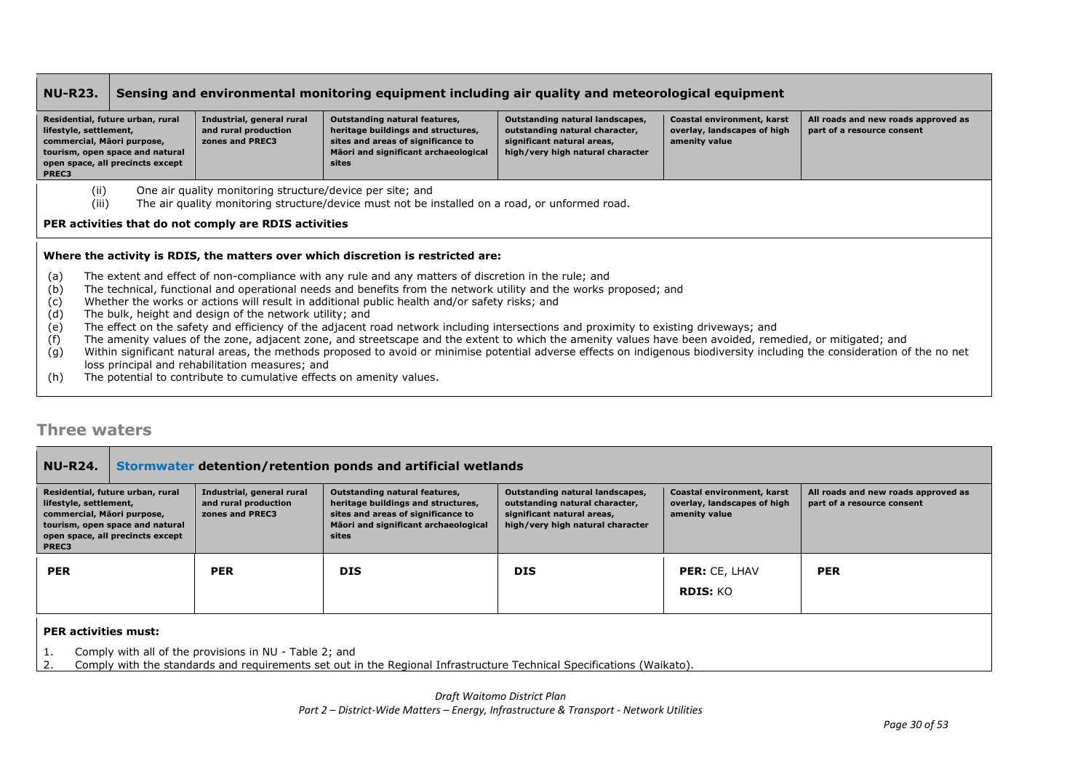#### **NU-R23. Sensing and environmental monitoring equipment including air quality and meteorological equipment Residential, future urban, rural lifestyle, settlement, commercial, Māori purpose, tourism, open space and natural open space, all precincts except PREC3 Industrial, general rural and rural production zones and PREC3 Outstanding natural features, heritage buildings and structures, sites and areas of significance to Māori and significant archaeological sites Outstanding natural landscapes, outstanding natural character, significant natural areas, high/very high natural character Coastal environment, karst overlay, landscapes of high amenity value All roads and new roads approved as part of a resource consent**  (ii) One air quality monitoring structure/device per site; and (iii) The air quality monitoring structure/device must not be installed on a road, or unformed road. **PER activities that do not comply are RDIS activities Where the activity is RDIS, the matters over which discretion is restricted are:**

- (a) The extent and effect of non-compliance with any rule and any matters of discretion in the rule; and
- (b) The technical, functional and operational needs and benefits from the network utility and the works proposed; and
- (c) Whether the works or actions will result in additional public health and/or safety risks; and
- (d) The bulk, height and design of the network utility; and
- (e) The effect on the safety and efficiency of the adjacent road network including intersections and proximity to existing driveways; and
- (f) The amenity values of the zone, adjacent zone, and streetscape and the extent to which the amenity values have been avoided, remedied, or mitigated; and
- (g) Within significant natural areas, the methods proposed to avoid or minimise potential adverse effects on indigenous biodiversity including the consideration of the no net loss principal and rehabilitation measures; and
- (h) The potential to contribute to cumulative effects on amenity values.

## **Three waters**

| <b>NU-R24.</b>                                                                                                                                                                                                       |  |                                                                      | Stormwater detention/retention ponds and artificial wetlands                                                                                               |                                                                                                                                     |                                                                            |                                                                   |
|----------------------------------------------------------------------------------------------------------------------------------------------------------------------------------------------------------------------|--|----------------------------------------------------------------------|------------------------------------------------------------------------------------------------------------------------------------------------------------|-------------------------------------------------------------------------------------------------------------------------------------|----------------------------------------------------------------------------|-------------------------------------------------------------------|
| Residential, future urban, rural<br>lifestyle, settlement,<br>commercial, Māori purpose,<br>tourism, open space and natural<br>open space, all precincts except<br>PREC3                                             |  | Industrial, general rural<br>and rural production<br>zones and PREC3 | Outstanding natural features,<br>heritage buildings and structures,<br>sites and areas of significance to<br>Māori and significant archaeological<br>sites | Outstanding natural landscapes,<br>outstanding natural character,<br>significant natural areas,<br>high/very high natural character | Coastal environment, karst<br>overlay, landscapes of high<br>amenity value | All roads and new roads approved as<br>part of a resource consent |
| <b>PER</b>                                                                                                                                                                                                           |  | <b>PER</b>                                                           | <b>DIS</b>                                                                                                                                                 | <b>DIS</b>                                                                                                                          | <b>PER: CE, LHAV</b><br>RDIS: KO                                           | <b>PER</b>                                                        |
| <b>PER activities must:</b><br>Comply with all of the provisions in NU - Table 2; and<br>Comply with the standards and requirements set out in the Regional Infrastructure Technical Specifications (Waikato).<br>2. |  |                                                                      |                                                                                                                                                            |                                                                                                                                     |                                                                            |                                                                   |

*Draft Waitomo District Plan*

*Part 2 – District-Wide Matters – Energy, Infrastructure & Transport - Network Utilities*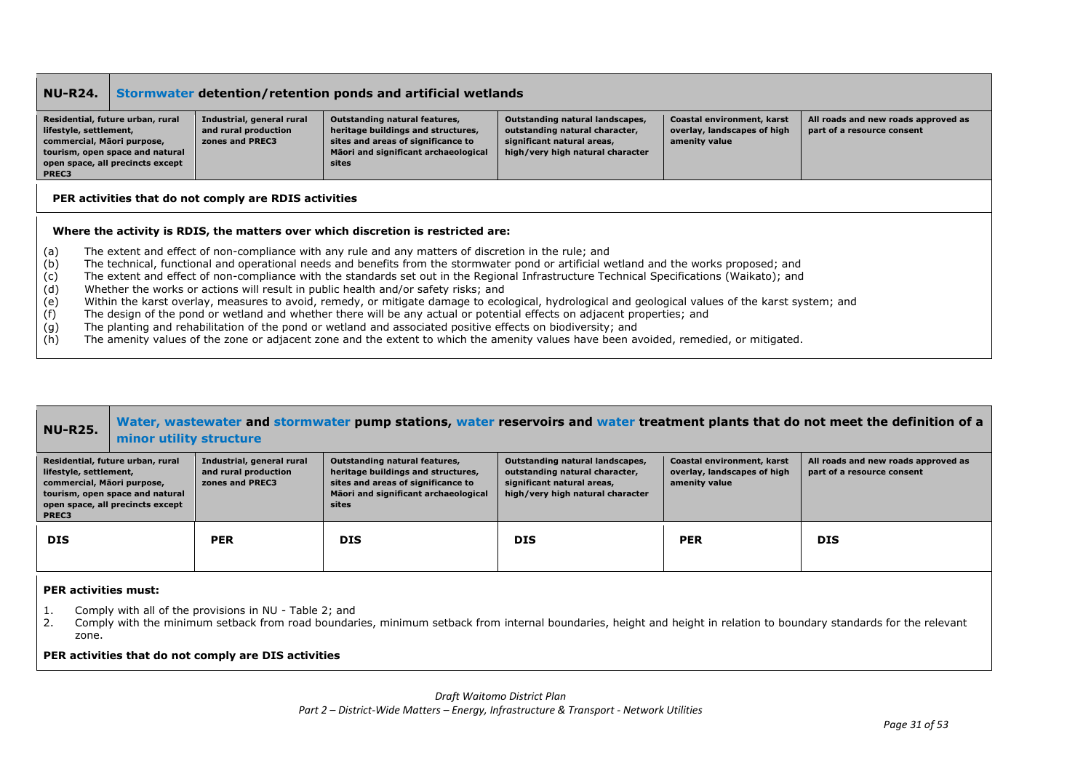| <b>NU-R24.</b>                                       |                                                                                                                                       |                                                                      | Stormwater detention/retention ponds and artificial wetlands                                                                                                                                                                                                                                                                                                                                                                                                                                                                                                                                                                                                                                                                                                                                                                                                                                                                                                                                                                |                                                                                                                                     |                                                                            |                                                                   |
|------------------------------------------------------|---------------------------------------------------------------------------------------------------------------------------------------|----------------------------------------------------------------------|-----------------------------------------------------------------------------------------------------------------------------------------------------------------------------------------------------------------------------------------------------------------------------------------------------------------------------------------------------------------------------------------------------------------------------------------------------------------------------------------------------------------------------------------------------------------------------------------------------------------------------------------------------------------------------------------------------------------------------------------------------------------------------------------------------------------------------------------------------------------------------------------------------------------------------------------------------------------------------------------------------------------------------|-------------------------------------------------------------------------------------------------------------------------------------|----------------------------------------------------------------------------|-------------------------------------------------------------------|
| lifestyle, settlement,<br>PREC3                      | Residential, future urban, rural<br>commercial, Māori purpose,<br>tourism, open space and natural<br>open space, all precincts except | Industrial, general rural<br>and rural production<br>zones and PREC3 | Outstanding natural features,<br>heritage buildings and structures,<br>sites and areas of significance to<br>Māori and significant archaeological<br>sites                                                                                                                                                                                                                                                                                                                                                                                                                                                                                                                                                                                                                                                                                                                                                                                                                                                                  | Outstanding natural landscapes,<br>outstanding natural character,<br>significant natural areas,<br>high/very high natural character | Coastal environment, karst<br>overlay, landscapes of high<br>amenity value | All roads and new roads approved as<br>part of a resource consent |
|                                                      |                                                                                                                                       | PER activities that do not comply are RDIS activities                |                                                                                                                                                                                                                                                                                                                                                                                                                                                                                                                                                                                                                                                                                                                                                                                                                                                                                                                                                                                                                             |                                                                                                                                     |                                                                            |                                                                   |
|                                                      |                                                                                                                                       |                                                                      | Where the activity is RDIS, the matters over which discretion is restricted are:                                                                                                                                                                                                                                                                                                                                                                                                                                                                                                                                                                                                                                                                                                                                                                                                                                                                                                                                            |                                                                                                                                     |                                                                            |                                                                   |
| (a)<br>(b)<br>(c)<br>(d)<br>(e)<br>(f)<br>(g)<br>(h) |                                                                                                                                       |                                                                      | The extent and effect of non-compliance with any rule and any matters of discretion in the rule; and<br>The technical, functional and operational needs and benefits from the stormwater pond or artificial wetland and the works proposed; and<br>The extent and effect of non-compliance with the standards set out in the Regional Infrastructure Technical Specifications (Waikato); and<br>Whether the works or actions will result in public health and/or safety risks; and<br>Within the karst overlay, measures to avoid, remedy, or mitigate damage to ecological, hydrological and geological values of the karst system; and<br>The design of the pond or wetland and whether there will be any actual or potential effects on adjacent properties; and<br>The planting and rehabilitation of the pond or wetland and associated positive effects on biodiversity; and<br>The amenity values of the zone or adjacent zone and the extent to which the amenity values have been avoided, remedied, or mitigated. |                                                                                                                                     |                                                                            |                                                                   |

| <b>NU-R25.</b>                                                | minor utility structure                                                                                 |                                                                      |                                                                                                                                                            |                                                                                                                                     |                                                                            | Water, wastewater and stormwater pump stations, water reservoirs and water treatment plants that do not meet the definition of a |
|---------------------------------------------------------------|---------------------------------------------------------------------------------------------------------|----------------------------------------------------------------------|------------------------------------------------------------------------------------------------------------------------------------------------------------|-------------------------------------------------------------------------------------------------------------------------------------|----------------------------------------------------------------------------|----------------------------------------------------------------------------------------------------------------------------------|
| lifestyle, settlement,<br>commercial, Māori purpose,<br>PREC3 | Residential, future urban, rural<br>tourism, open space and natural<br>open space, all precincts except | Industrial, general rural<br>and rural production<br>zones and PREC3 | Outstanding natural features,<br>heritage buildings and structures,<br>sites and areas of significance to<br>Māori and significant archaeological<br>sites | Outstanding natural landscapes,<br>outstanding natural character,<br>significant natural areas,<br>high/very high natural character | Coastal environment, karst<br>overlay, landscapes of high<br>amenity value | All roads and new roads approved as<br>part of a resource consent                                                                |
| <b>DIS</b>                                                    |                                                                                                         | <b>PER</b>                                                           | <b>DIS</b>                                                                                                                                                 | <b>DIS</b>                                                                                                                          | <b>PER</b>                                                                 | <b>DIS</b>                                                                                                                       |

### **PER activities must:**

- 1. Comply with all of the provisions in NU Table 2; and
- 2. Comply with the minimum setback from road boundaries, minimum setback from internal boundaries, height and height in relation to boundary standards for the relevant zone.

### **PER activities that do not comply are DIS activities**

*Draft Waitomo District Plan*

*Part 2 – District-Wide Matters – Energy, Infrastructure & Transport - Network Utilities*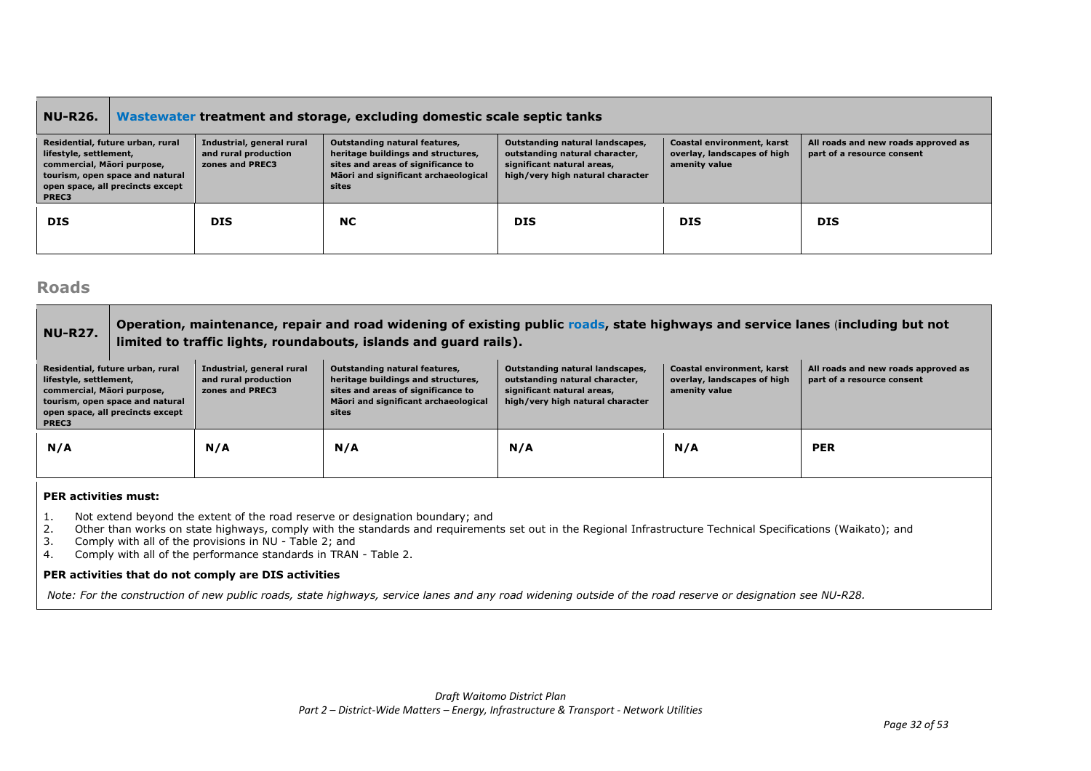### **NU-R26. Wastewater treatment and storage, excluding domestic scale septic tanks**

| PREC3      | Residential, future urban, rural<br>lifestyle, settlement,<br>commercial, Mäori purpose,<br>tourism, open space and natural<br>open space, all precincts except | Industrial, general rural<br>and rural production<br>zones and PREC3 | Outstanding natural features,<br>heritage buildings and structures,<br>sites and areas of significance to<br>Māori and significant archaeological<br>sites | Outstanding natural landscapes,<br>outstanding natural character,<br>significant natural areas,<br>high/very high natural character | Coastal environment, karst<br>overlay, landscapes of high<br>amenity value | All roads and new roads approved as<br>part of a resource consent |
|------------|-----------------------------------------------------------------------------------------------------------------------------------------------------------------|----------------------------------------------------------------------|------------------------------------------------------------------------------------------------------------------------------------------------------------|-------------------------------------------------------------------------------------------------------------------------------------|----------------------------------------------------------------------------|-------------------------------------------------------------------|
| <b>DIS</b> |                                                                                                                                                                 | <b>DIS</b>                                                           | <b>NC</b>                                                                                                                                                  | <b>DIS</b>                                                                                                                          | <b>DIS</b>                                                                 | <b>DIS</b>                                                        |

### **Roads**

### **NU-R27. Operation, maintenance, repair and road widening of existing public roads, state highways and service lanes** (**including but not limited to traffic lights, roundabouts, islands and guard rails).**

| Residential, future urban, rural<br>lifestyle, settlement,<br>commercial, Māori purpose,<br>tourism, open space and natural<br>open space, all precincts except<br>PREC3 | Industrial, general rural<br>and rural production<br>zones and PREC3 | Outstanding natural features,<br>heritage buildings and structures,<br>sites and areas of significance to<br>Māori and significant archaeological<br>sites | Outstanding natural landscapes,<br>outstanding natural character,<br>significant natural areas,<br>high/very high natural character | Coastal environment, karst<br>overlay, landscapes of high<br>amenity value | All roads and new roads approved as<br>part of a resource consent |
|--------------------------------------------------------------------------------------------------------------------------------------------------------------------------|----------------------------------------------------------------------|------------------------------------------------------------------------------------------------------------------------------------------------------------|-------------------------------------------------------------------------------------------------------------------------------------|----------------------------------------------------------------------------|-------------------------------------------------------------------|
| N/A                                                                                                                                                                      | N/A                                                                  | N/A                                                                                                                                                        | N/A                                                                                                                                 | N/A                                                                        | <b>PER</b>                                                        |

### **PER activities must:**

- 1. Not extend beyond the extent of the road reserve or designation boundary; and 2. Other than works on state highways, comply with the standards and requirement
- 2. Other than works on state highways, comply with the standards and requirements set out in the Regional Infrastructure Technical Specifications (Waikato); and
- 3. Comply with all of the provisions in NU Table 2; and
- 4. Comply with all of the performance standards in TRAN Table 2.

### **PER activities that do not comply are DIS activities**

*Note: For the construction of new public roads, state highways, service lanes and any road widening outside of the road reserve or designation see NU-R28.*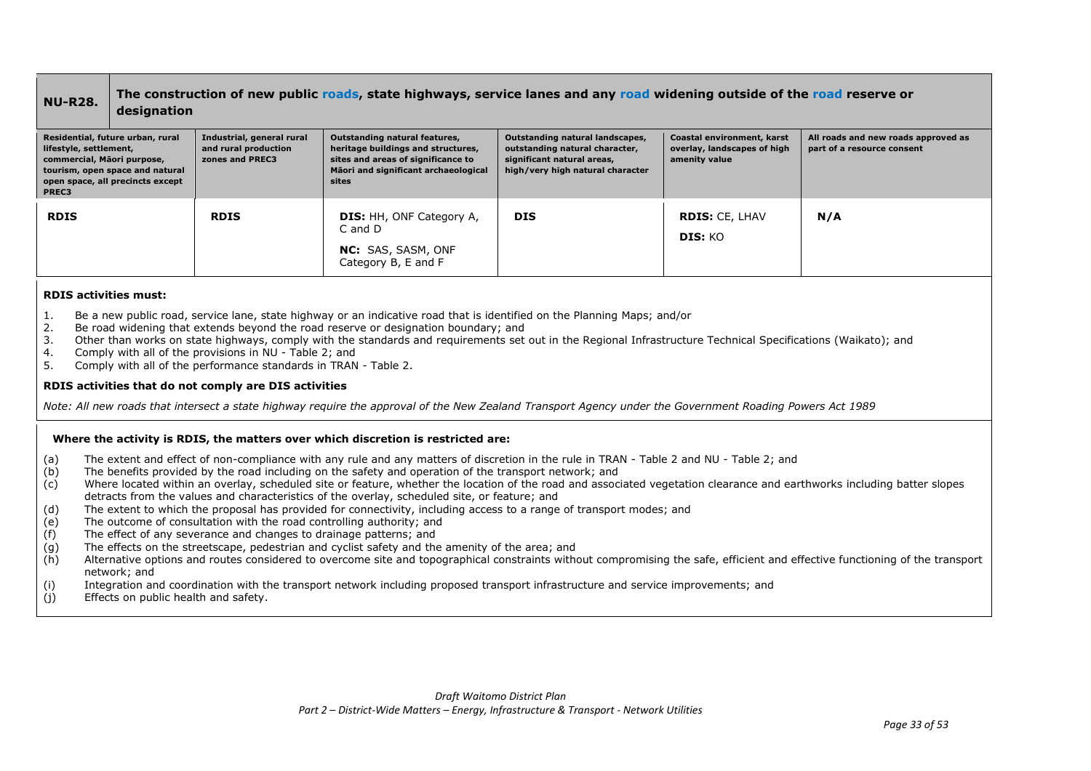### **NU-R28. The construction of new public roads, state highways, service lanes and any road widening outside of the road reserve or designation**

| Residential, future urban, rural<br>lifestyle, settlement,<br>commercial, Māori purpose,<br>tourism, open space and natural<br>open space, all precincts except<br>PREC3 | Industrial, general rural<br>and rural production<br>zones and PREC3 | Outstanding natural features,<br>heritage buildings and structures,<br>sites and areas of significance to<br>Māori and significant archaeological<br>sites | Outstanding natural landscapes,<br>outstanding natural character,<br>significant natural areas,<br>high/very high natural character | Coastal environment, karst<br>overlay, landscapes of high<br>amenity value | All roads and new roads approved as<br>part of a resource consent |
|--------------------------------------------------------------------------------------------------------------------------------------------------------------------------|----------------------------------------------------------------------|------------------------------------------------------------------------------------------------------------------------------------------------------------|-------------------------------------------------------------------------------------------------------------------------------------|----------------------------------------------------------------------------|-------------------------------------------------------------------|
| <b>RDIS</b>                                                                                                                                                              | <b>RDIS</b>                                                          | <b>DIS:</b> HH, ONF Category A,<br>C and D<br><b>NC:</b> SAS, SASM, ONF<br>Category B, E and F                                                             | <b>DIS</b>                                                                                                                          | <b>RDIS: CE, LHAV</b><br>DIS: KO                                           | N/A                                                               |

### **RDIS activities must:**

- 1. Be a new public road, service lane, state highway or an indicative road that is identified on the Planning Maps; and/or
- 2. Be road widening that extends beyond the road reserve or designation boundary; and
- 3. Other than works on state highways, comply with the standards and requirements set out in the Regional Infrastructure Technical Specifications (Waikato); and
- 4. Comply with all of the provisions in NU Table 2; and
- 5. Comply with all of the performance standards in TRAN Table 2.

### **RDIS activities that do not comply are DIS activities**

*Note: All new roads that intersect a state highway require the approval of the New Zealand Transport Agency under the Government Roading Powers Act 1989*

### **Where the activity is RDIS, the matters over which discretion is restricted are:**

- (a) The extent and effect of non-compliance with any rule and any matters of discretion in the rule in TRAN Table 2 and NU Table 2; and
- (b) The benefits provided by the road including on the safety and operation of the transport network; and
- (c) Where located within an overlay, scheduled site or feature, whether the location of the road and associated vegetation clearance and earthworks including batter slopes detracts from the values and characteristics of the overlay, scheduled site, or feature; and
- (d) The extent to which the proposal has provided for connectivity, including access to a range of transport modes; and
- (e) The outcome of consultation with the road controlling authority; and
- (f) The effect of any severance and changes to drainage patterns; and
- (g) The effects on the streetscape, pedestrian and cyclist safety and the amenity of the area; and
- (h) Alternative options and routes considered to overcome site and topographical constraints without compromising the safe, efficient and effective functioning of the transport network; and
- (i) Integration and coordination with the transport network including proposed transport infrastructure and service improvements; and
- (j) Effects on public health and safety.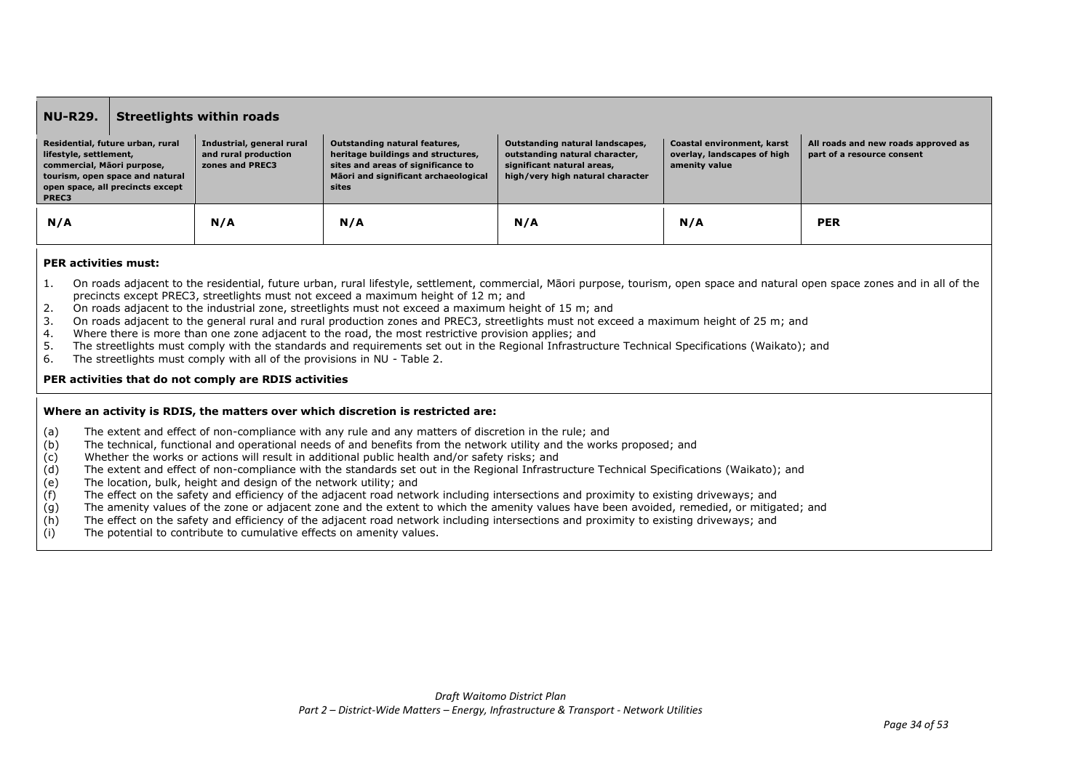| <b>NU-R29.</b>                                                                                    |                                                                     | <b>Streetlights within roads</b>                                     |                                                                                                                                                            |                                                                                                                                     |                                                                            |                                                                   |
|---------------------------------------------------------------------------------------------------|---------------------------------------------------------------------|----------------------------------------------------------------------|------------------------------------------------------------------------------------------------------------------------------------------------------------|-------------------------------------------------------------------------------------------------------------------------------------|----------------------------------------------------------------------------|-------------------------------------------------------------------|
| Residential, future urban, rural<br>lifestyle, settlement,<br>commercial, Māori purpose,<br>PREC3 | tourism, open space and natural<br>open space, all precincts except | Industrial, general rural<br>and rural production<br>zones and PREC3 | Outstanding natural features,<br>heritage buildings and structures,<br>sites and areas of significance to<br>Mäori and significant archaeological<br>sites | Outstanding natural landscapes,<br>outstanding natural character,<br>significant natural areas,<br>high/very high natural character | Coastal environment, karst<br>overlay, landscapes of high<br>amenity value | All roads and new roads approved as<br>part of a resource consent |
| N/A                                                                                               |                                                                     | N/A                                                                  | N/A                                                                                                                                                        | N/A                                                                                                                                 | N/A                                                                        | <b>PER</b>                                                        |

### **PER activities must:**

- 1. On roads adjacent to the residential, future urban, rural lifestyle, settlement, commercial, Māori purpose, tourism, open space and natural open space zones and in all of the precincts except PREC3, streetlights must not exceed a maximum height of 12 m; and
- 2. On roads adjacent to the industrial zone, streetlights must not exceed a maximum height of 15 m; and
- 3. On roads adjacent to the general rural and rural production zones and PREC3, streetlights must not exceed a maximum height of 25 m; and
- 4. Where there is more than one zone adjacent to the road, the most restrictive provision applies; and
- 5. The streetlights must comply with the standards and requirements set out in the Regional Infrastructure Technical Specifications (Waikato); and
- 6. The streetlights must comply with all of the provisions in NU Table 2.

### **PER activities that do not comply are RDIS activities**

### **Where an activity is RDIS, the matters over which discretion is restricted are:**

- (a) The extent and effect of non-compliance with any rule and any matters of discretion in the rule; and
- (b) The technical, functional and operational needs of and benefits from the network utility and the works proposed; and
- (c) Whether the works or actions will result in additional public health and/or safety risks; and
- (d) The extent and effect of non-compliance with the standards set out in the Regional Infrastructure Technical Specifications (Waikato); and
- (e) The location, bulk, height and design of the network utility; and
- (f) The effect on the safety and efficiency of the adjacent road network including intersections and proximity to existing driveways; and
- (g) The amenity values of the zone or adjacent zone and the extent to which the amenity values have been avoided, remedied, or mitigated; and
- (h) The effect on the safety and efficiency of the adjacent road network including intersections and proximity to existing driveways; and
- (i) The potential to contribute to cumulative effects on amenity values.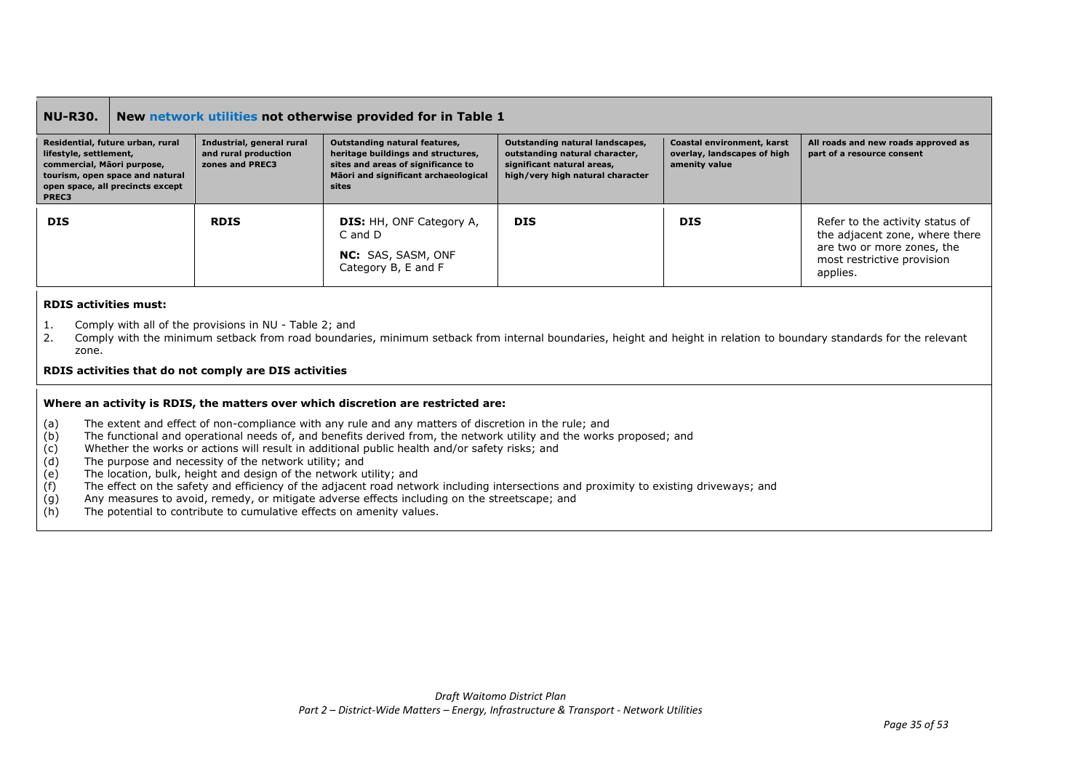### **NU-R30. New network utilities not otherwise provided for in Table 1**

| Residential, future urban, rural<br>lifestyle, settlement,<br>commercial, Māori purpose,<br>tourism, open space and natural<br>open space, all precincts except<br>PREC3 | Industrial, general rural<br>and rural production<br>zones and PREC3 | Outstanding natural features,<br>heritage buildings and structures,<br>sites and areas of significance to<br>Māori and significant archaeological<br>sites | Outstanding natural landscapes,<br>outstanding natural character,<br>significant natural areas,<br>high/very high natural character | Coastal environment, karst<br>overlay, landscapes of high<br>amenity value | All roads and new roads approved as<br>part of a resource consent                                                                         |
|--------------------------------------------------------------------------------------------------------------------------------------------------------------------------|----------------------------------------------------------------------|------------------------------------------------------------------------------------------------------------------------------------------------------------|-------------------------------------------------------------------------------------------------------------------------------------|----------------------------------------------------------------------------|-------------------------------------------------------------------------------------------------------------------------------------------|
| <b>DIS</b>                                                                                                                                                               | <b>RDIS</b>                                                          | <b>DIS:</b> HH, ONF Category A,<br>$C$ and $D$<br><b>NC:</b> SAS, SASM, ONF<br>Category B, E and F                                                         | <b>DIS</b>                                                                                                                          | <b>DIS</b>                                                                 | Refer to the activity status of<br>the adjacent zone, where there<br>are two or more zones, the<br>most restrictive provision<br>applies. |

#### **RDIS activities must:**

- 1. Comply with all of the provisions in NU Table 2; and
- 2. Comply with the minimum setback from road boundaries, minimum setback from internal boundaries, height and height in relation to boundary standards for the relevant zone.

### **RDIS activities that do not comply are DIS activities**

### **Where an activity is RDIS, the matters over which discretion are restricted are:**

- (a) The extent and effect of non-compliance with any rule and any matters of discretion in the rule; and (b) The functional and operational needs of and benefits derived from the network utility and the works
- The functional and operational needs of, and benefits derived from, the network utility and the works proposed; and
- (c) Whether the works or actions will result in additional public health and/or safety risks; and
- (d) The purpose and necessity of the network utility; and
- (e) The location, bulk, height and design of the network utility; and
- $(f)$  The effect on the safety and efficiency of the adjacent road network including intersections and proximity to existing driveways; and
- (g) Any measures to avoid, remedy, or mitigate adverse effects including on the streetscape; and
- (h) The potential to contribute to cumulative effects on amenity values.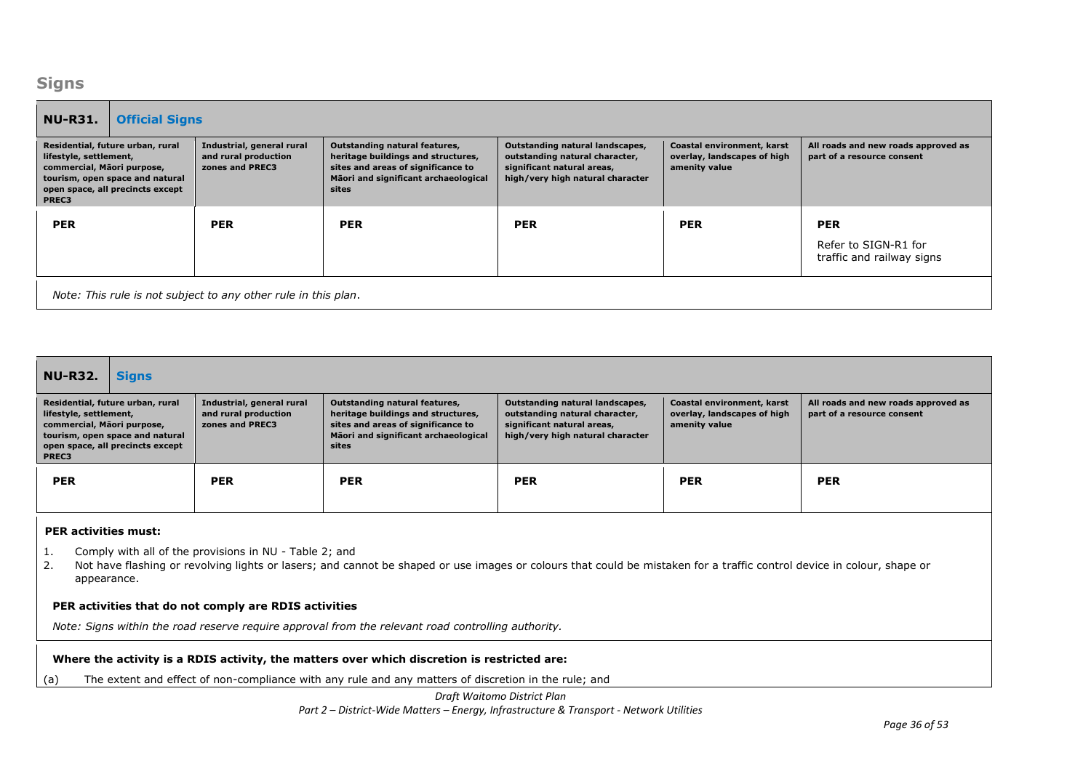### **Signs**

| <b>NU-R31.</b><br><b>Official Signs</b>                                                                                                                                  |                                                                      |                                                                                                                                                            |                                                                                                                                     |                                                                            |                                                                   |  |
|--------------------------------------------------------------------------------------------------------------------------------------------------------------------------|----------------------------------------------------------------------|------------------------------------------------------------------------------------------------------------------------------------------------------------|-------------------------------------------------------------------------------------------------------------------------------------|----------------------------------------------------------------------------|-------------------------------------------------------------------|--|
| Residential, future urban, rural<br>lifestyle, settlement,<br>commercial, Māori purpose,<br>tourism, open space and natural<br>open space, all precincts except<br>PREC3 | Industrial, general rural<br>and rural production<br>zones and PREC3 | Outstanding natural features,<br>heritage buildings and structures,<br>sites and areas of significance to<br>Māori and significant archaeological<br>sites | Outstanding natural landscapes,<br>outstanding natural character,<br>significant natural areas,<br>high/very high natural character | Coastal environment, karst<br>overlay, landscapes of high<br>amenity value | All roads and new roads approved as<br>part of a resource consent |  |
| <b>PER</b>                                                                                                                                                               | <b>PER</b>                                                           | <b>PER</b>                                                                                                                                                 | <b>PER</b>                                                                                                                          | <b>PER</b>                                                                 | <b>PER</b><br>Refer to SIGN-R1 for<br>traffic and railway signs   |  |
| Note: This rule is not subject to any other rule in this plan.                                                                                                           |                                                                      |                                                                                                                                                            |                                                                                                                                     |                                                                            |                                                                   |  |

| NU-R32.<br><b>Signs</b>                                                                                                                                                  |                                                                      |                                                                                                                                                            |                                                                                                                                     |                                                                            |                                                                   |  |
|--------------------------------------------------------------------------------------------------------------------------------------------------------------------------|----------------------------------------------------------------------|------------------------------------------------------------------------------------------------------------------------------------------------------------|-------------------------------------------------------------------------------------------------------------------------------------|----------------------------------------------------------------------------|-------------------------------------------------------------------|--|
| Residential, future urban, rural<br>lifestyle, settlement,<br>commercial, Mãori purpose,<br>tourism, open space and natural<br>open space, all precincts except<br>PREC3 | Industrial, general rural<br>and rural production<br>zones and PREC3 | Outstanding natural features,<br>heritage buildings and structures,<br>sites and areas of significance to<br>Māori and significant archaeological<br>sites | Outstanding natural landscapes,<br>outstanding natural character,<br>significant natural areas,<br>high/very high natural character | Coastal environment, karst<br>overlay, landscapes of high<br>amenity value | All roads and new roads approved as<br>part of a resource consent |  |
| <b>PER</b>                                                                                                                                                               | <b>PER</b>                                                           | <b>PER</b>                                                                                                                                                 | <b>PER</b>                                                                                                                          | <b>PER</b>                                                                 | <b>PER</b>                                                        |  |

### **PER activities must:**

1. Comply with all of the provisions in NU - Table 2; and

2. Not have flashing or revolving lights or lasers; and cannot be shaped or use images or colours that could be mistaken for a traffic control device in colour, shape or appearance.

### **PER activities that do not comply are RDIS activities**

*Note: Signs within the road reserve require approval from the relevant road controlling authority.*

### **Where the activity is a RDIS activity, the matters over which discretion is restricted are:**

(a) The extent and effect of non-compliance with any rule and any matters of discretion in the rule; and

### *Draft Waitomo District Plan*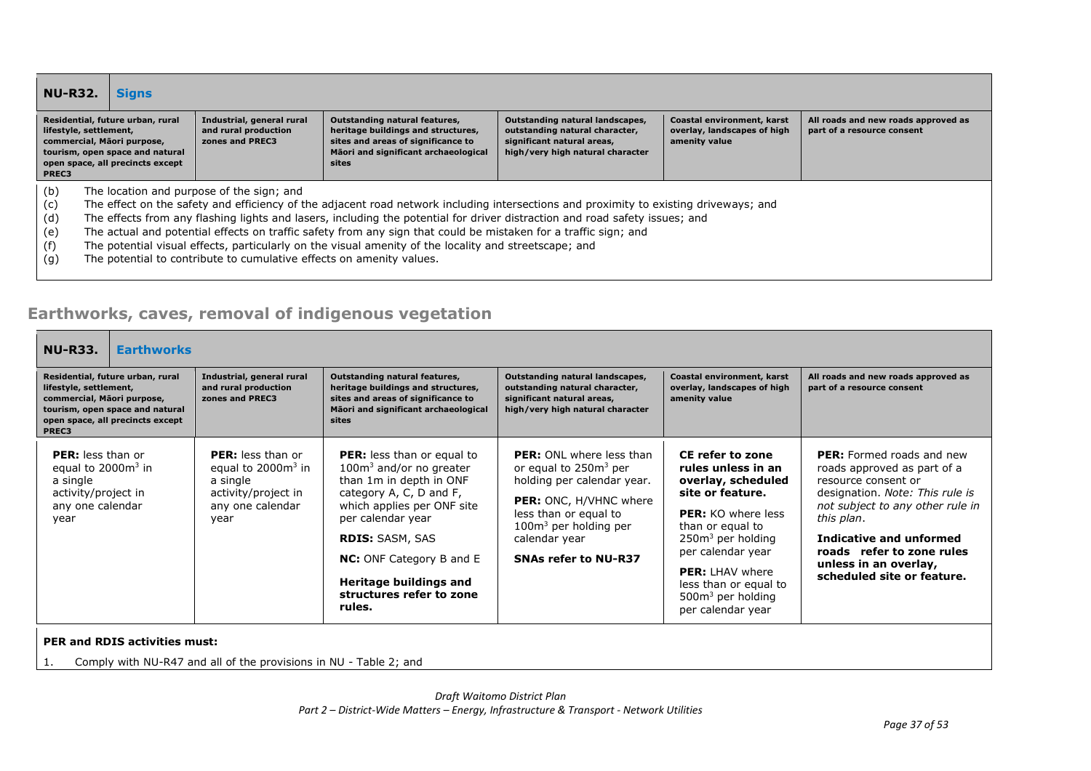| <b>NU-R32.</b>                         | <b>Signs</b>                                                                                                                                                    |                                                                                                                   |                                                                                                                                                                                                                                                                                                                                                                                                                                                                                                  |                                                                                                                                     |                                                                            |                                                                   |
|----------------------------------------|-----------------------------------------------------------------------------------------------------------------------------------------------------------------|-------------------------------------------------------------------------------------------------------------------|--------------------------------------------------------------------------------------------------------------------------------------------------------------------------------------------------------------------------------------------------------------------------------------------------------------------------------------------------------------------------------------------------------------------------------------------------------------------------------------------------|-------------------------------------------------------------------------------------------------------------------------------------|----------------------------------------------------------------------------|-------------------------------------------------------------------|
| PREC3                                  | Residential, future urban, rural<br>lifestyle, settlement,<br>commercial, Māori purpose,<br>tourism, open space and natural<br>open space, all precincts except | Industrial, general rural<br>and rural production<br>zones and PREC3                                              | Outstanding natural features,<br>heritage buildings and structures,<br>sites and areas of significance to<br>Māori and significant archaeological<br>sites                                                                                                                                                                                                                                                                                                                                       | Outstanding natural landscapes,<br>outstanding natural character,<br>significant natural areas,<br>high/very high natural character | Coastal environment, karst<br>overlay, landscapes of high<br>amenity value | All roads and new roads approved as<br>part of a resource consent |
| (b)<br>(c)<br>(d)<br>(e)<br>(f)<br>(g) |                                                                                                                                                                 | The location and purpose of the sign; and<br>The potential to contribute to cumulative effects on amenity values. | The effect on the safety and efficiency of the adjacent road network including intersections and proximity to existing driveways; and<br>The effects from any flashing lights and lasers, including the potential for driver distraction and road safety issues; and<br>The actual and potential effects on traffic safety from any sign that could be mistaken for a traffic sign; and<br>The potential visual effects, particularly on the visual amenity of the locality and streetscape; and |                                                                                                                                     |                                                                            |                                                                   |

## **Earthworks, caves, removal of indigenous vegetation**

| <b>NU-R33.</b><br><b>Earthworks</b>                                                                                                                                      |                                                                                                                |                                                                                                                                                                                                                                                                                                      |                                                                                                                                                                                                                                  |                                                                                                                                                                                                                                                                              |                                                                                                                                                                                                                                                                                            |
|--------------------------------------------------------------------------------------------------------------------------------------------------------------------------|----------------------------------------------------------------------------------------------------------------|------------------------------------------------------------------------------------------------------------------------------------------------------------------------------------------------------------------------------------------------------------------------------------------------------|----------------------------------------------------------------------------------------------------------------------------------------------------------------------------------------------------------------------------------|------------------------------------------------------------------------------------------------------------------------------------------------------------------------------------------------------------------------------------------------------------------------------|--------------------------------------------------------------------------------------------------------------------------------------------------------------------------------------------------------------------------------------------------------------------------------------------|
| Residential, future urban, rural<br>lifestyle, settlement,<br>commercial, Māori purpose,<br>tourism, open space and natural<br>open space, all precincts except<br>PREC3 | Industrial, general rural<br>and rural production<br>zones and PREC3                                           | Outstanding natural features,<br>heritage buildings and structures,<br>sites and areas of significance to<br>Māori and significant archaeological<br>sites                                                                                                                                           | Outstanding natural landscapes,<br>outstanding natural character,<br>significant natural areas,<br>high/very high natural character                                                                                              | Coastal environment, karst<br>overlay, landscapes of high<br>amenity value                                                                                                                                                                                                   | All roads and new roads approved as<br>part of a resource consent                                                                                                                                                                                                                          |
| <b>PER:</b> less than or<br>equal to $2000m3$ in<br>a single<br>activity/project in<br>any one calendar<br>year                                                          | <b>PER:</b> less than or<br>equal to $20003$ in<br>a single<br>activity/project in<br>any one calendar<br>year | <b>PER:</b> less than or equal to<br>$100m3$ and/or no greater<br>than 1m in depth in ONF<br>category A, C, D and F,<br>which applies per ONF site<br>per calendar year<br><b>RDIS: SASM, SAS</b><br><b>NC:</b> ONF Category B and E<br>Heritage buildings and<br>structures refer to zone<br>rules. | <b>PER:</b> ONL where less than<br>or equal to 250m <sup>3</sup> per<br>holding per calendar year.<br>PER: ONC, H/VHNC where<br>less than or equal to<br>$100m3$ per holding per<br>calendar year<br><b>SNAs refer to NU-R37</b> | CE refer to zone<br>rules unless in an<br>overlay, scheduled<br>site or feature.<br><b>PER:</b> KO where less<br>than or equal to<br>$250m3$ per holding<br>per calendar year<br><b>PER:</b> LHAV where<br>less than or equal to<br>$500m3$ per holding<br>per calendar year | <b>PER:</b> Formed roads and new<br>roads approved as part of a<br>resource consent or<br>designation. Note: This rule is<br>not subject to any other rule in<br>this plan.<br>Indicative and unformed<br>roads refer to zone rules<br>unless in an overlay,<br>scheduled site or feature. |

**PER and RDIS activities must:**

1. Comply with NU-R47 and all of the provisions in NU - Table 2; and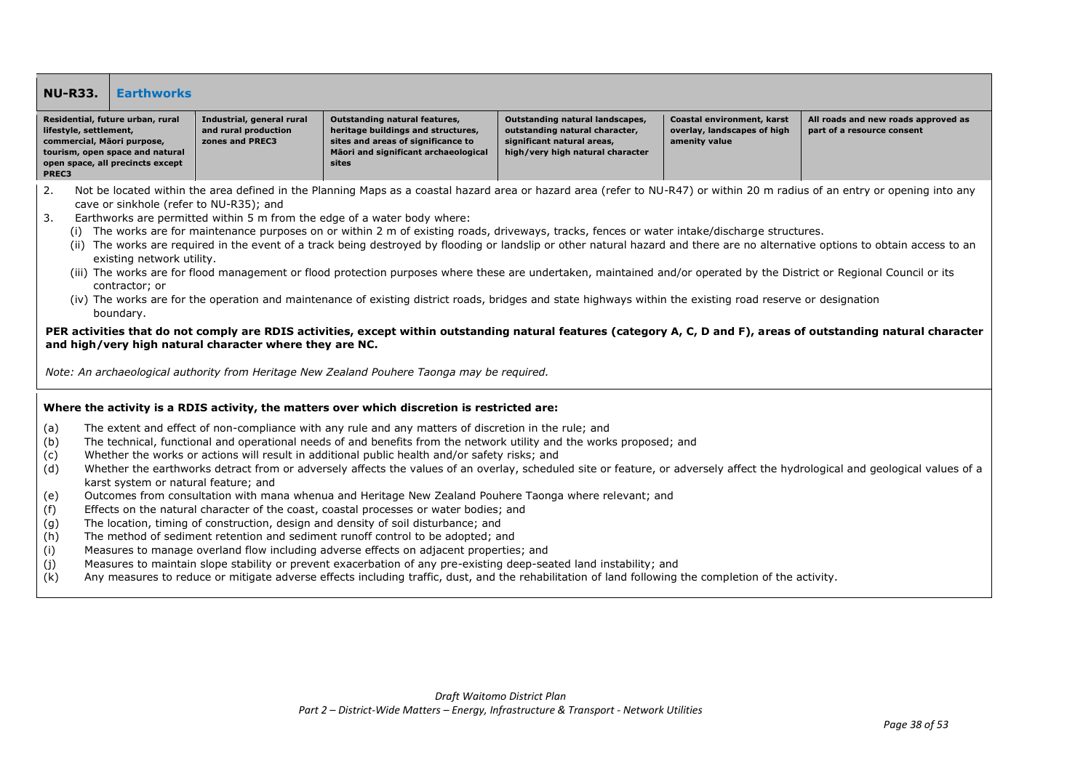### **NU-R33. Earthworks**

| Residential, future urban, rural<br>lifestyle, settlement,<br>commercial, Māori purpose, | Industrial, general rural<br>and rural production<br>zones and PREC3 | Outstanding natural features,<br>heritage buildings and structures,<br>sites and areas of significance to | Outstanding natural landscapes,<br>outstanding natural character,<br>significant natural areas, | Coastal environment, karst<br>overlay, landscapes of high<br>amenity value | All roads and new roads approved as<br>part of a resource consent |
|------------------------------------------------------------------------------------------|----------------------------------------------------------------------|-----------------------------------------------------------------------------------------------------------|-------------------------------------------------------------------------------------------------|----------------------------------------------------------------------------|-------------------------------------------------------------------|
| tourism, open space and natural                                                          |                                                                      | Māori and significant archaeological                                                                      | high/very high natural character                                                                |                                                                            |                                                                   |
| open space, all precincts except                                                         |                                                                      | sites                                                                                                     |                                                                                                 |                                                                            |                                                                   |
| <b>DDFC3</b>                                                                             |                                                                      |                                                                                                           |                                                                                                 |                                                                            |                                                                   |

- 2. Not be located within the area defined in the Planning Maps as a coastal hazard area or hazard area (refer to NU-R47) or within 20 m radius of an entry or opening into any cave or sinkhole (refer to NU-R35); and
- 3. Earthworks are permitted within 5 m from the edge of a water body where:
	- (i) The works are for maintenance purposes on or within 2 m of existing roads, driveways, tracks, fences or water intake/discharge structures.
	- (ii) The works are required in the event of a track being destroyed by flooding or landslip or other natural hazard and there are no alternative options to obtain access to an existing network utility.
	- (iii) The works are for flood management or flood protection purposes where these are undertaken, maintained and/or operated by the District or Regional Council or its contractor; or
	- (iv) The works are for the operation and maintenance of existing district roads, bridges and state highways within the existing road reserve or designation boundary.

### **PER activities that do not comply are RDIS activities, except within outstanding natural features (category A, C, D and F), areas of outstanding natural character and high/very high natural character where they are NC.**

*Note: An archaeological authority from Heritage New Zealand Pouhere Taonga may be required.*

### **Where the activity is a RDIS activity, the matters over which discretion is restricted are:**

- (a) The extent and effect of non-compliance with any rule and any matters of discretion in the rule; and
- (b) The technical, functional and operational needs of and benefits from the network utility and the works proposed; and
- (c) Whether the works or actions will result in additional public health and/or safety risks; and
- (d) Whether the earthworks detract from or adversely affects the values of an overlay, scheduled site or feature, or adversely affect the hydrological and geological values of a karst system or natural feature; and
- (e) Outcomes from consultation with mana whenua and Heritage New Zealand Pouhere Taonga where relevant; and
- (f) Effects on the natural character of the coast, coastal processes or water bodies; and
- (g) The location, timing of construction, design and density of soil disturbance; and
- (h) The method of sediment retention and sediment runoff control to be adopted; and
- (i) Measures to manage overland flow including adverse effects on adjacent properties; and
- (j) Measures to maintain slope stability or prevent exacerbation of any pre-existing deep-seated land instability; and
- (k) Any measures to reduce or mitigate adverse effects including traffic, dust, and the rehabilitation of land following the completion of the activity.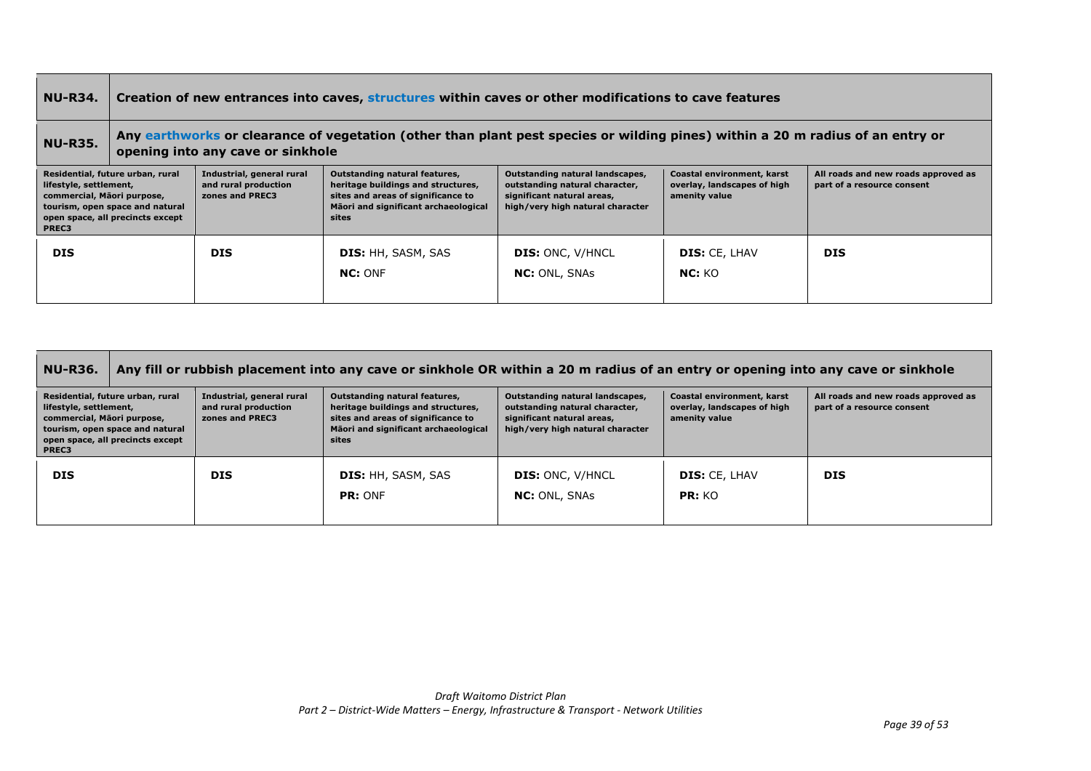#### **NU-R34. Creation of new entrances into caves, structures within caves or other modifications to cave features NU-R35. Any earthworks or clearance of vegetation (other than plant pest species or wilding pines) within a 20 m radius of an entry or opening into any cave or sinkhole Residential, future urban, rural lifestyle, settlement, commercial, Māori purpose, tourism, open space and natural open space, all precincts except PREC3 Industrial, general rural and rural production zones and PREC3 Outstanding natural features, heritage buildings and structures, sites and areas of significance to Māori and significant archaeological sites Outstanding natural landscapes, outstanding natural character, significant natural areas, high/very high natural character Coastal environment, karst overlay, landscapes of high amenity value All roads and new roads approved as part of a resource consent DIS DIS DIS:** HH, SASM, SAS **NC:** ONF **DIS:** ONC, V/HNCL **NC:** ONL, SNAs **DIS:** CE, LHAV **NC:** KO **DIS**

| <b>NU-R36.</b>                                                                                                                                                           | Any fill or rubbish placement into any cave or sinkhole OR within a 20 m radius of an entry or opening into any cave or sinkhole |                                                                                                                                                            |                                                                                                                                     |                                                                            |                                                                   |  |  |
|--------------------------------------------------------------------------------------------------------------------------------------------------------------------------|----------------------------------------------------------------------------------------------------------------------------------|------------------------------------------------------------------------------------------------------------------------------------------------------------|-------------------------------------------------------------------------------------------------------------------------------------|----------------------------------------------------------------------------|-------------------------------------------------------------------|--|--|
| Residential, future urban, rural<br>lifestyle, settlement,<br>commercial, Māori purpose,<br>tourism, open space and natural<br>open space, all precincts except<br>PREC3 | Industrial, general rural<br>and rural production<br>zones and PREC3                                                             | Outstanding natural features,<br>heritage buildings and structures,<br>sites and areas of significance to<br>Māori and significant archaeological<br>sites | Outstanding natural landscapes,<br>outstanding natural character,<br>significant natural areas,<br>high/very high natural character | Coastal environment, karst<br>overlay, landscapes of high<br>amenity value | All roads and new roads approved as<br>part of a resource consent |  |  |
| <b>DIS</b>                                                                                                                                                               | <b>DIS</b>                                                                                                                       | <b>DIS:</b> HH, SASM, SAS<br>PR: ONF                                                                                                                       | <b>DIS: ONC, V/HNCL</b><br><b>NC:</b> ONL, SNAs                                                                                     | <b>DIS: CE, LHAV</b><br>PR: KO                                             | <b>DIS</b>                                                        |  |  |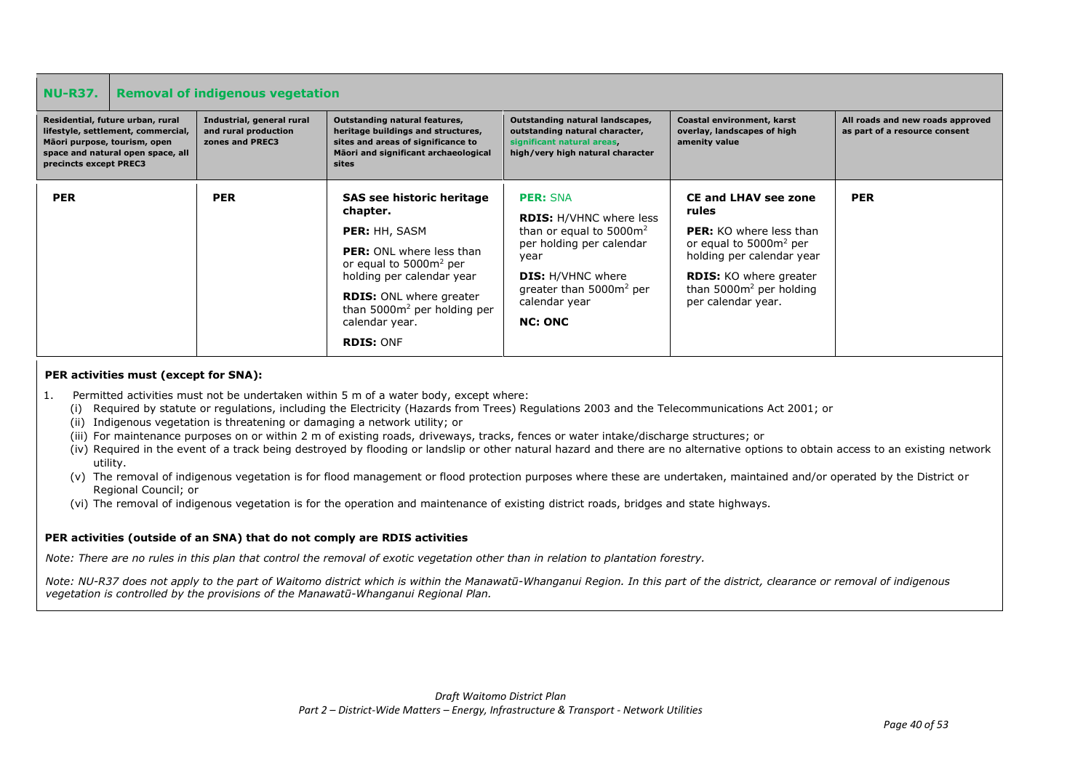| <b>NU-R37.</b>                                                                                                                                                        | <b>Removal of indigenous vegetation</b>                              |                                                                                                                                                                                                                                                                               |                                                                                                                                                                                                                           |                                                                                                                                                                                                                                |                                                                   |  |
|-----------------------------------------------------------------------------------------------------------------------------------------------------------------------|----------------------------------------------------------------------|-------------------------------------------------------------------------------------------------------------------------------------------------------------------------------------------------------------------------------------------------------------------------------|---------------------------------------------------------------------------------------------------------------------------------------------------------------------------------------------------------------------------|--------------------------------------------------------------------------------------------------------------------------------------------------------------------------------------------------------------------------------|-------------------------------------------------------------------|--|
| Residential, future urban, rural<br>lifestyle, settlement, commercial,<br>Māori purpose, tourism, open<br>space and natural open space, all<br>precincts except PREC3 | Industrial, general rural<br>and rural production<br>zones and PREC3 | Outstanding natural features,<br>heritage buildings and structures,<br>sites and areas of significance to<br>Māori and significant archaeological<br>sites                                                                                                                    | Outstanding natural landscapes,<br>outstanding natural character,<br>significant natural areas,<br>high/very high natural character                                                                                       | Coastal environment, karst<br>overlay, landscapes of high<br>amenity value                                                                                                                                                     | All roads and new roads approved<br>as part of a resource consent |  |
| <b>PER</b>                                                                                                                                                            | <b>PER</b>                                                           | SAS see historic heritage<br>chapter.<br><b>PER:</b> HH, SASM<br><b>PER:</b> ONL where less than<br>or equal to 5000m <sup>2</sup> per<br>holding per calendar year<br><b>RDIS: ONL where greater</b><br>than $5000m^2$ per holding per<br>calendar year.<br><b>RDIS: ONF</b> | <b>PER: SNA</b><br><b>RDIS: H/VHNC where less</b><br>than or equal to $5000m^2$<br>per holding per calendar<br>year<br><b>DIS:</b> H/VHNC where<br>greater than 5000m <sup>2</sup> per<br>calendar year<br><b>NC: ONC</b> | <b>CE and LHAV see zone</b><br>rules<br><b>PER:</b> KO where less than<br>or equal to 5000m <sup>2</sup> per<br>holding per calendar year<br><b>RDIS:</b> KO where greater<br>than $5000m^2$ per holding<br>per calendar year. | <b>PER</b>                                                        |  |

### **PER activities must (except for SNA):**

- 1. Permitted activities must not be undertaken within 5 m of a water body, except where:
	- (i) Required by statute or regulations, including the Electricity (Hazards from Trees) Regulations 2003 and the Telecommunications Act 2001; or
	- (ii) Indigenous vegetation is threatening or damaging a network utility; or
	- (iii) For maintenance purposes on or within 2 m of existing roads, driveways, tracks, fences or water intake/discharge structures; or
	- (iv) Required in the event of a track being destroyed by flooding or landslip or other natural hazard and there are no alternative options to obtain access to an existing network utility.
	- (v) The removal of indigenous vegetation is for flood management or flood protection purposes where these are undertaken, maintained and/or operated by the District or Regional Council; or
	- (vi) The removal of indigenous vegetation is for the operation and maintenance of existing district roads, bridges and state highways.

### **PER activities (outside of an SNA) that do not comply are RDIS activities**

*Note: There are no rules in this plan that control the removal of exotic vegetation other than in relation to plantation forestry.* 

*Note: NU-R37 does not apply to the part of Waitomo district which is within the Manawatū-Whanganui Region. In this part of the district, clearance or removal of indigenous vegetation is controlled by the provisions of the Manawatū-Whanganui Regional Plan.*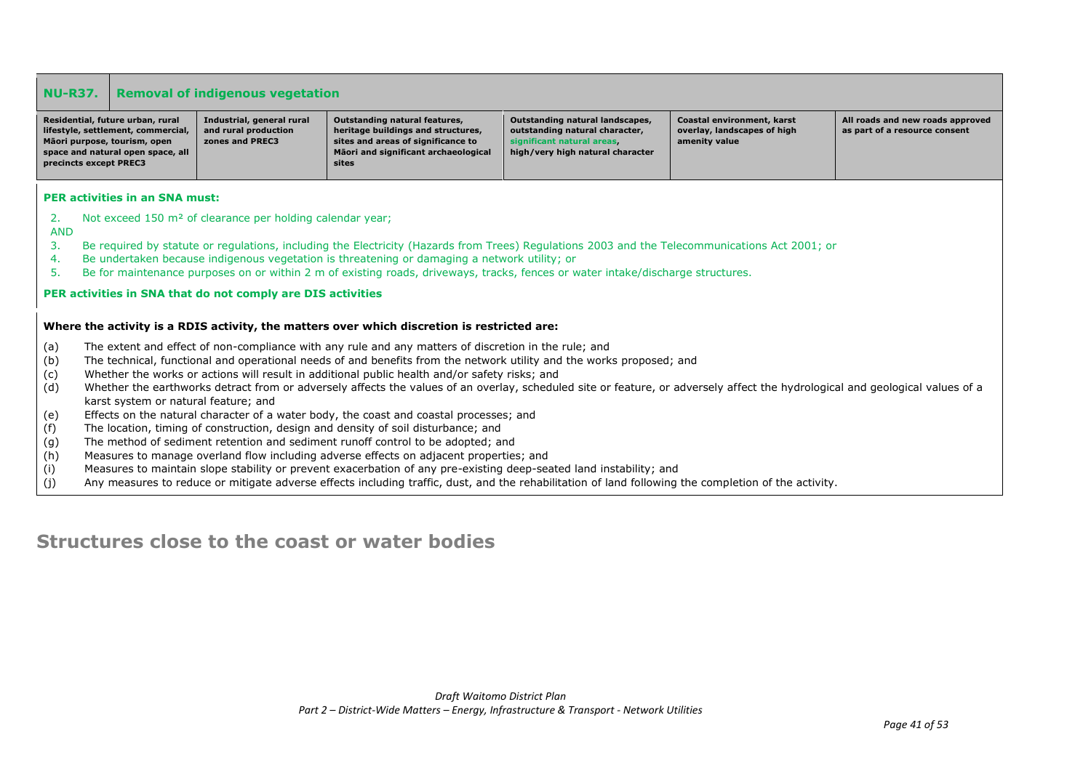|                  | <b>NU-R37.</b><br><b>Removal of indigenous vegetation</b>                                                                                                                          |                                                                       |                                                                                                                                                                                                                              |                                                                                                                                     |                                                                            |                                                                   |  |  |
|------------------|------------------------------------------------------------------------------------------------------------------------------------------------------------------------------------|-----------------------------------------------------------------------|------------------------------------------------------------------------------------------------------------------------------------------------------------------------------------------------------------------------------|-------------------------------------------------------------------------------------------------------------------------------------|----------------------------------------------------------------------------|-------------------------------------------------------------------|--|--|
|                  | Residential, future urban, rural<br>lifestyle, settlement, commercial,<br>Māori purpose, tourism, open<br>space and natural open space, all<br>precincts except PREC3              | Industrial, general rural<br>and rural production<br>zones and PREC3  | Outstanding natural features,<br>heritage buildings and structures,<br>sites and areas of significance to<br>Māori and significant archaeological<br>sites                                                                   | Outstanding natural landscapes,<br>outstanding natural character,<br>significant natural areas.<br>high/very high natural character | Coastal environment, karst<br>overlay, landscapes of high<br>amenity value | All roads and new roads approved<br>as part of a resource consent |  |  |
|                  | <b>PER activities in an SNA must:</b>                                                                                                                                              |                                                                       |                                                                                                                                                                                                                              |                                                                                                                                     |                                                                            |                                                                   |  |  |
| 2.               |                                                                                                                                                                                    | Not exceed 150 m <sup>2</sup> of clearance per holding calendar year; |                                                                                                                                                                                                                              |                                                                                                                                     |                                                                            |                                                                   |  |  |
| <b>AND</b><br>3. |                                                                                                                                                                                    |                                                                       | Be required by statute or regulations, including the Electricity (Hazards from Trees) Regulations 2003 and the Telecommunications Act 2001; or                                                                               |                                                                                                                                     |                                                                            |                                                                   |  |  |
| 4.               |                                                                                                                                                                                    |                                                                       | Be undertaken because indigenous vegetation is threatening or damaging a network utility; or                                                                                                                                 |                                                                                                                                     |                                                                            |                                                                   |  |  |
| 5.               |                                                                                                                                                                                    |                                                                       | Be for maintenance purposes on or within 2 m of existing roads, driveways, tracks, fences or water intake/discharge structures.                                                                                              |                                                                                                                                     |                                                                            |                                                                   |  |  |
|                  |                                                                                                                                                                                    | PER activities in SNA that do not comply are DIS activities           |                                                                                                                                                                                                                              |                                                                                                                                     |                                                                            |                                                                   |  |  |
|                  |                                                                                                                                                                                    |                                                                       | Where the activity is a RDIS activity, the matters over which discretion is restricted are:                                                                                                                                  |                                                                                                                                     |                                                                            |                                                                   |  |  |
|                  |                                                                                                                                                                                    |                                                                       |                                                                                                                                                                                                                              |                                                                                                                                     |                                                                            |                                                                   |  |  |
| (a)<br>(b)       |                                                                                                                                                                                    |                                                                       | The extent and effect of non-compliance with any rule and any matters of discretion in the rule; and<br>The technical, functional and operational needs of and benefits from the network utility and the works proposed; and |                                                                                                                                     |                                                                            |                                                                   |  |  |
| (c)              |                                                                                                                                                                                    |                                                                       | Whether the works or actions will result in additional public health and/or safety risks; and                                                                                                                                |                                                                                                                                     |                                                                            |                                                                   |  |  |
| (d)              |                                                                                                                                                                                    |                                                                       | Whether the earthworks detract from or adversely affects the values of an overlay, scheduled site or feature, or adversely affect the hydrological and geological values of a                                                |                                                                                                                                     |                                                                            |                                                                   |  |  |
|                  | karst system or natural feature; and                                                                                                                                               |                                                                       |                                                                                                                                                                                                                              |                                                                                                                                     |                                                                            |                                                                   |  |  |
| (f)              | (e)<br>Effects on the natural character of a water body, the coast and coastal processes; and<br>The location, timing of construction, design and density of soil disturbance; and |                                                                       |                                                                                                                                                                                                                              |                                                                                                                                     |                                                                            |                                                                   |  |  |
| (g)              |                                                                                                                                                                                    |                                                                       | The method of sediment retention and sediment runoff control to be adopted; and                                                                                                                                              |                                                                                                                                     |                                                                            |                                                                   |  |  |
| (h)              |                                                                                                                                                                                    |                                                                       | Measures to manage overland flow including adverse effects on adjacent properties; and                                                                                                                                       |                                                                                                                                     |                                                                            |                                                                   |  |  |
| (i)              |                                                                                                                                                                                    |                                                                       | Measures to maintain slope stability or prevent exacerbation of any pre-existing deep-seated land instability; and                                                                                                           |                                                                                                                                     |                                                                            |                                                                   |  |  |
| (j)              |                                                                                                                                                                                    |                                                                       | Any measures to reduce or mitigate adverse effects including traffic, dust, and the rehabilitation of land following the completion of the activity.                                                                         |                                                                                                                                     |                                                                            |                                                                   |  |  |

# **Structures close to the coast or water bodies**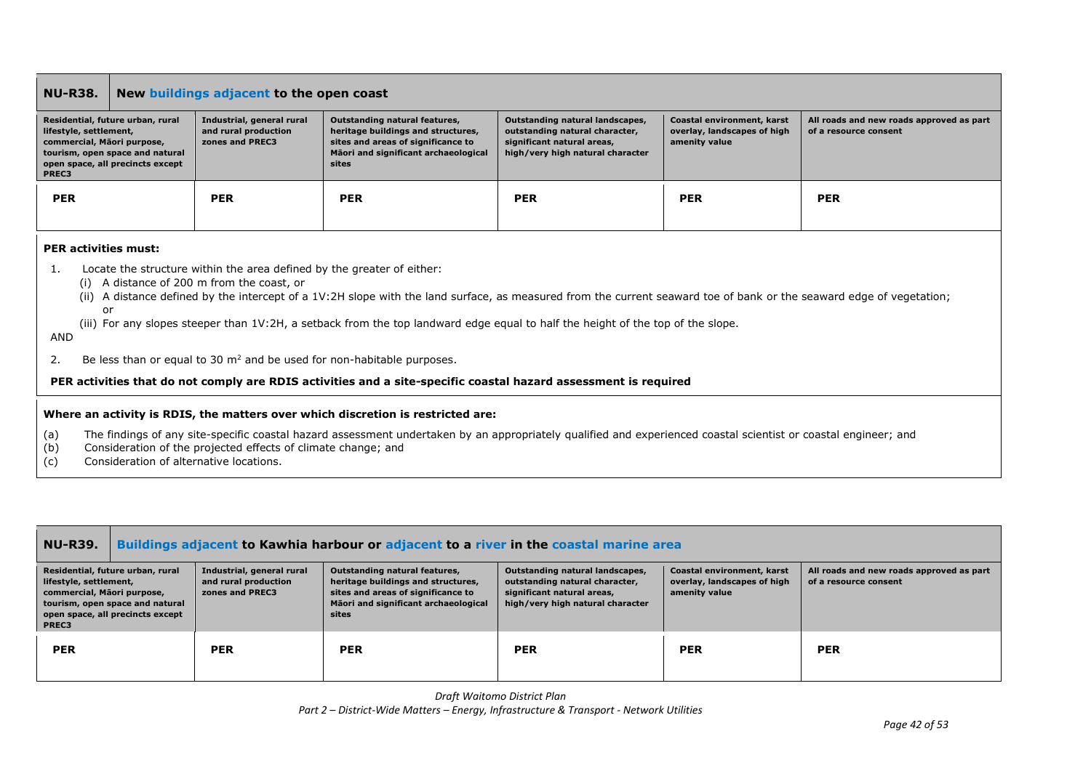### **NU-R38. New buildings adjacent to the open coast**

| Residential, future urban, rural<br>lifestyle, settlement,<br>commercial, Mãori purpose,<br>tourism, open space and natural<br>open space, all precincts except<br>PREC3 | Industrial, general rural<br>and rural production<br>zones and PREC3 | Outstanding natural features,<br>heritage buildings and structures,<br>sites and areas of significance to<br>Mäori and significant archaeological<br>sites | Outstanding natural landscapes,<br>outstanding natural character,<br>significant natural areas,<br>high/very high natural character | Coastal environment, karst<br>overlay, landscapes of high<br>amenity value | All roads and new roads approved as part<br>of a resource consent |
|--------------------------------------------------------------------------------------------------------------------------------------------------------------------------|----------------------------------------------------------------------|------------------------------------------------------------------------------------------------------------------------------------------------------------|-------------------------------------------------------------------------------------------------------------------------------------|----------------------------------------------------------------------------|-------------------------------------------------------------------|
| <b>PER</b>                                                                                                                                                               | <b>PER</b>                                                           | <b>PER</b>                                                                                                                                                 | <b>PER</b>                                                                                                                          | <b>PER</b>                                                                 | <b>PER</b>                                                        |

### **PER activities must:**

- 1. Locate the structure within the area defined by the greater of either:
	- (i) A distance of 200 m from the coast, or
	- (ii) A distance defined by the intercept of a 1V:2H slope with the land surface, as measured from the current seaward toe of bank or the seaward edge of vegetation; or
	- (iii) For any slopes steeper than 1V:2H, a setback from the top landward edge equal to half the height of the top of the slope.

#### AND

2. Be less than or equal to 30  $m^2$  and be used for non-habitable purposes.

### **PER activities that do not comply are RDIS activities and a site-specific coastal hazard assessment is required**

### **Where an activity is RDIS, the matters over which discretion is restricted are:**

- (a) The findings of any site-specific coastal hazard assessment undertaken by an appropriately qualified and experienced coastal scientist or coastal engineer; and
- (b) Consideration of the projected effects of climate change; and
- (c) Consideration of alternative locations.

| <b>NU-R39.</b>                                                | Buildings adjacent to Kawhia harbour or adjacent to a river in the coastal marine area                  |                                                                      |                                                                                                                                                            |                                                                                                                                     |                                                                            |                                                                   |
|---------------------------------------------------------------|---------------------------------------------------------------------------------------------------------|----------------------------------------------------------------------|------------------------------------------------------------------------------------------------------------------------------------------------------------|-------------------------------------------------------------------------------------------------------------------------------------|----------------------------------------------------------------------------|-------------------------------------------------------------------|
| lifestyle, settlement,<br>commercial, Māori purpose,<br>PREC3 | Residential, future urban, rural<br>tourism, open space and natural<br>open space, all precincts except | Industrial, general rural<br>and rural production<br>zones and PREC3 | Outstanding natural features,<br>heritage buildings and structures,<br>sites and areas of significance to<br>Māori and significant archaeological<br>sites | Outstanding natural landscapes,<br>outstanding natural character,<br>significant natural areas,<br>high/very high natural character | Coastal environment, karst<br>overlay, landscapes of high<br>amenity value | All roads and new roads approved as part<br>of a resource consent |
| <b>PER</b>                                                    |                                                                                                         | <b>PER</b>                                                           | <b>PER</b>                                                                                                                                                 | <b>PER</b>                                                                                                                          | <b>PER</b>                                                                 | <b>PER</b>                                                        |

*Draft Waitomo District Plan*

*Part 2 – District-Wide Matters – Energy, Infrastructure & Transport - Network Utilities*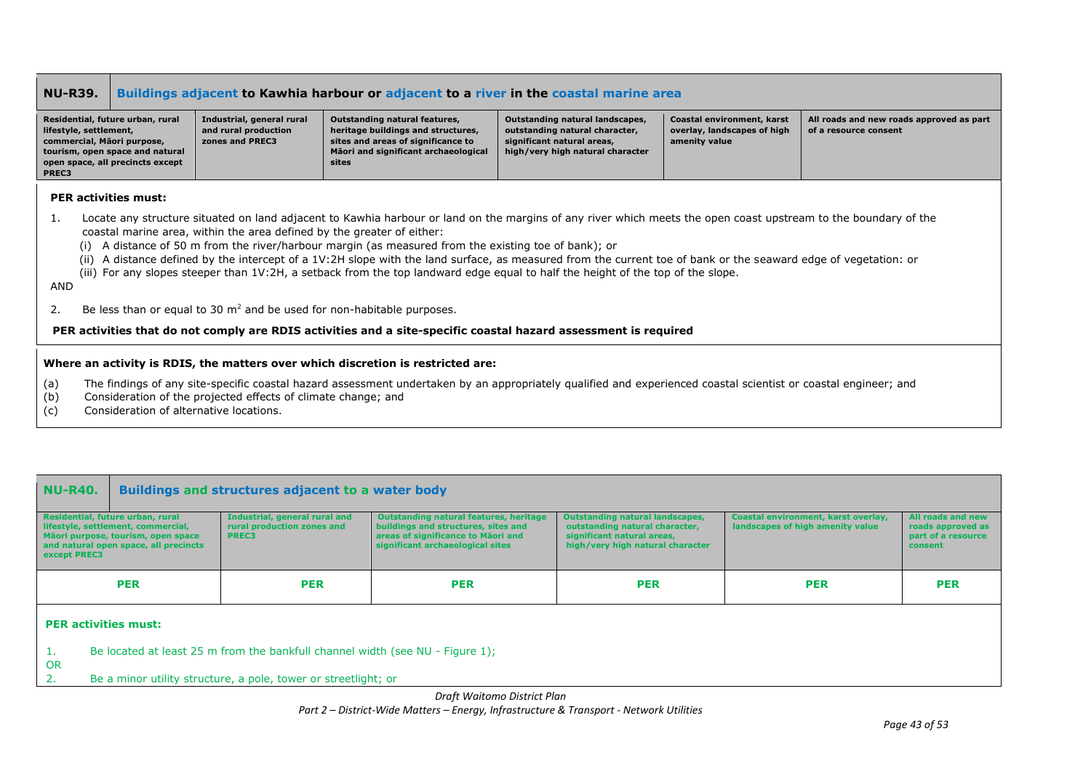### **NU-R39. Buildings adjacent to Kawhia harbour or adjacent to a river in the coastal marine area**

| Residential, future urban, rural | Industrial, general rural | Outstanding natural features,        | Outstanding natural landscapes,  | Coastal environment, karst  | All roads and new roads approved as part |
|----------------------------------|---------------------------|--------------------------------------|----------------------------------|-----------------------------|------------------------------------------|
| lifestyle, settlement,           | and rural production      | heritage buildings and structures,   | outstanding natural character,   | overlay, landscapes of high | of a resource consent                    |
| commercial, Mäori purpose,       | zones and PREC3           | sites and areas of significance to   | significant natural areas,       | amenity value               |                                          |
| tourism, open space and natural  |                           | Māori and significant archaeological | high/very high natural character |                             |                                          |
| open space, all precincts except |                           | sites                                |                                  |                             |                                          |
| PREC3                            |                           |                                      |                                  |                             |                                          |

### **PER activities must:**

- 1. Locate any structure situated on land adjacent to Kawhia harbour or land on the margins of any river which meets the open coast upstream to the boundary of the coastal marine area, within the area defined by the greater of either:
	- (i) A distance of 50 m from the river/harbour margin (as measured from the existing toe of bank); or
	- (ii) A distance defined by the intercept of a 1V:2H slope with the land surface, as measured from the current toe of bank or the seaward edge of vegetation: or
	- (iii) For any slopes steeper than 1V:2H, a setback from the top landward edge equal to half the height of the top of the slope.

### AND

2. Be less than or equal to 30  $m^2$  and be used for non-habitable purposes.

#### **PER activities that do not comply are RDIS activities and a site-specific coastal hazard assessment is required**

#### **Where an activity is RDIS, the matters over which discretion is restricted are:**

- (a) The findings of any site-specific coastal hazard assessment undertaken by an appropriately qualified and experienced coastal scientist or coastal engineer; and
- (b) Consideration of the projected effects of climate change; and
- (c) Consideration of alternative locations.

| <b>NU-R40.</b><br>Buildings and structures adjacent to a water body                                                                                                   |                                                                             |                                                                                                                                                         |                                                                                                                                            |                                                                         |                                                                         |  |  |  |
|-----------------------------------------------------------------------------------------------------------------------------------------------------------------------|-----------------------------------------------------------------------------|---------------------------------------------------------------------------------------------------------------------------------------------------------|--------------------------------------------------------------------------------------------------------------------------------------------|-------------------------------------------------------------------------|-------------------------------------------------------------------------|--|--|--|
| Residential, future urban, rural<br>lifestyle, settlement, commercial,<br>Mãori purpose, tourism, open space<br>and natural open space, all precincts<br>except PREC3 | Industrial, general rural and<br>rural production zones and<br><b>PREC3</b> | Outstanding natural features, heritage<br>buildings and structures, sites and<br>areas of significance to Maori and<br>significant archaeological sites | <b>Outstanding natural landscapes,</b><br>outstanding natural character,<br>significant natural areas,<br>high/very high natural character | Coastal environment, karst overlay,<br>landscapes of high amenity value | All roads and new<br>roads approved as<br>part of a resource<br>consent |  |  |  |
| <b>PER</b><br><b>PER</b><br><b>PER</b><br><b>PER</b><br><b>PER</b><br><b>PER</b>                                                                                      |                                                                             |                                                                                                                                                         |                                                                                                                                            |                                                                         |                                                                         |  |  |  |

#### **PER activities must:**

- 1. Be located at least 25 m from the bankfull channel width (see NU Figure 1);
- OR
- 2. Be a minor utility structure, a pole, tower or streetlight; or

*Draft Waitomo District Plan*

### *Part 2 – District-Wide Matters – Energy, Infrastructure & Transport - Network Utilities*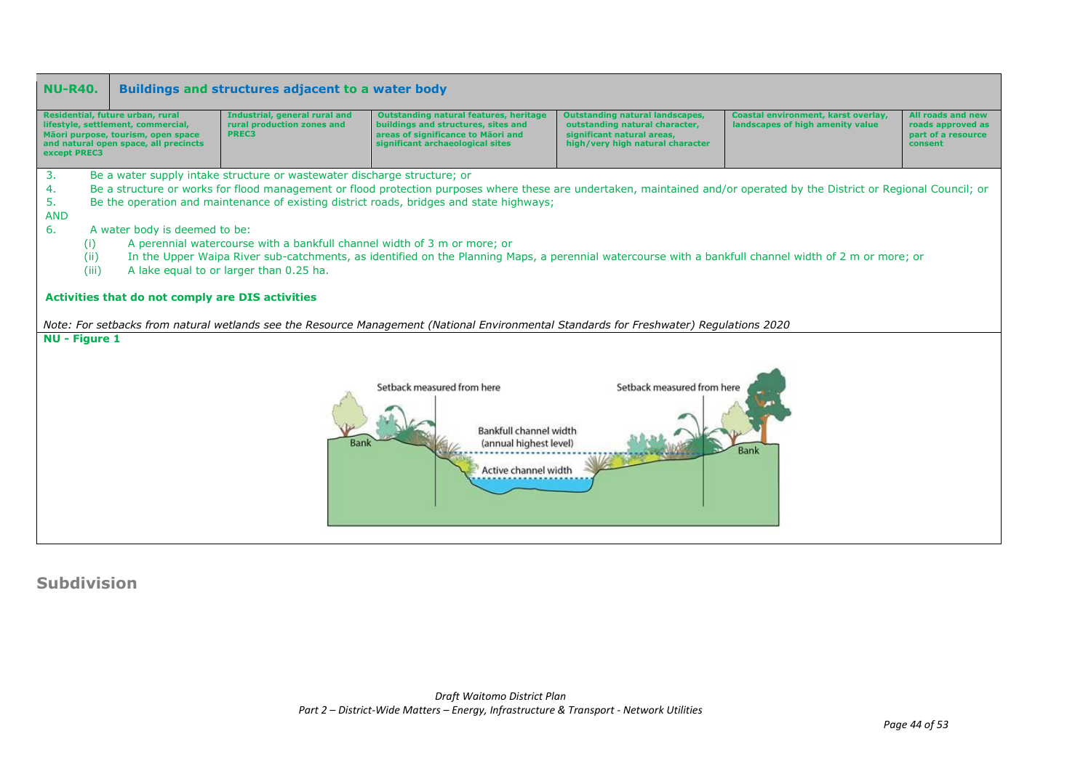

**Subdivision**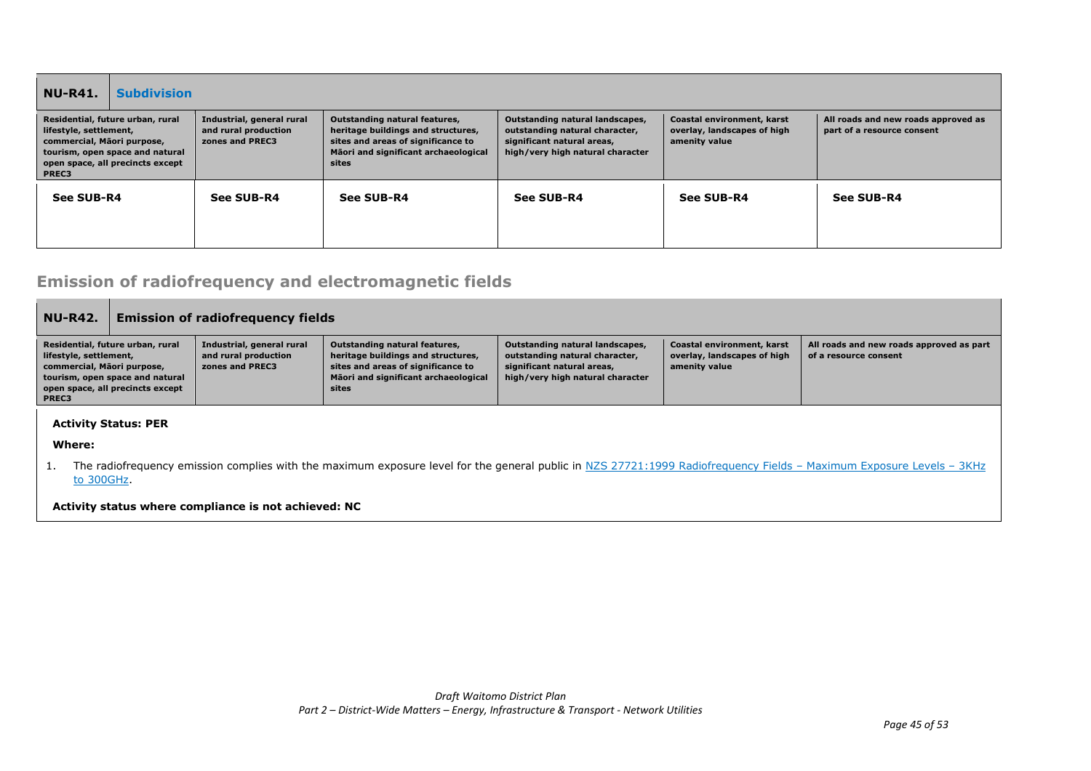| <b>NU-R41.</b>                                                                                                                                                                                                                                   | <b>Subdivision</b> |            |                                                                                                                                                            |                                                                                                                                     |                                                                            |                                                                   |
|--------------------------------------------------------------------------------------------------------------------------------------------------------------------------------------------------------------------------------------------------|--------------------|------------|------------------------------------------------------------------------------------------------------------------------------------------------------------|-------------------------------------------------------------------------------------------------------------------------------------|----------------------------------------------------------------------------|-------------------------------------------------------------------|
| Residential, future urban, rural<br>Industrial, general rural<br>and rural production<br>lifestyle, settlement,<br>commercial, Mäori purpose,<br>zones and PREC3<br>tourism, open space and natural<br>open space, all precincts except<br>PREC3 |                    |            | Outstanding natural features,<br>heritage buildings and structures,<br>sites and areas of significance to<br>Māori and significant archaeological<br>sites | Outstanding natural landscapes,<br>outstanding natural character,<br>significant natural areas,<br>high/very high natural character | Coastal environment, karst<br>overlay, landscapes of high<br>amenity value | All roads and new roads approved as<br>part of a resource consent |
| See SUB-R4                                                                                                                                                                                                                                       |                    | See SUB-R4 | See SUB-R4                                                                                                                                                 | See SUB-R4                                                                                                                          | See SUB-R4                                                                 | See SUB-R4                                                        |

## **Emission of radiofrequency and electromagnetic fields**

| <b>NU-R42.</b>                                                | <b>Emission of radiofrequency fields</b>                                                                |                                                                      |                                                                                                                                                            |                                                                                                                                     |                                                                            |                                                                   |
|---------------------------------------------------------------|---------------------------------------------------------------------------------------------------------|----------------------------------------------------------------------|------------------------------------------------------------------------------------------------------------------------------------------------------------|-------------------------------------------------------------------------------------------------------------------------------------|----------------------------------------------------------------------------|-------------------------------------------------------------------|
| lifestyle, settlement,<br>commercial, Māori purpose,<br>PREC3 | Residential, future urban, rural<br>tourism, open space and natural<br>open space, all precincts except | Industrial, general rural<br>and rural production<br>zones and PREC3 | Outstanding natural features,<br>heritage buildings and structures,<br>sites and areas of significance to<br>Māori and significant archaeological<br>sites | Outstanding natural landscapes,<br>outstanding natural character,<br>significant natural areas,<br>high/very high natural character | Coastal environment, karst<br>overlay, landscapes of high<br>amenity value | All roads and new roads approved as part<br>of a resource consent |
| Where:                                                        | <b>Activity Status: PER</b>                                                                             |                                                                      |                                                                                                                                                            |                                                                                                                                     |                                                                            |                                                                   |

1. The radiofrequency emission complies with the maximum exposure level for the general public in NZS 27721:1999 Radiofrequency Fields - Maximum Exposure Levels - 3KHz to 300GHz.

**Activity status where compliance is not achieved: NC**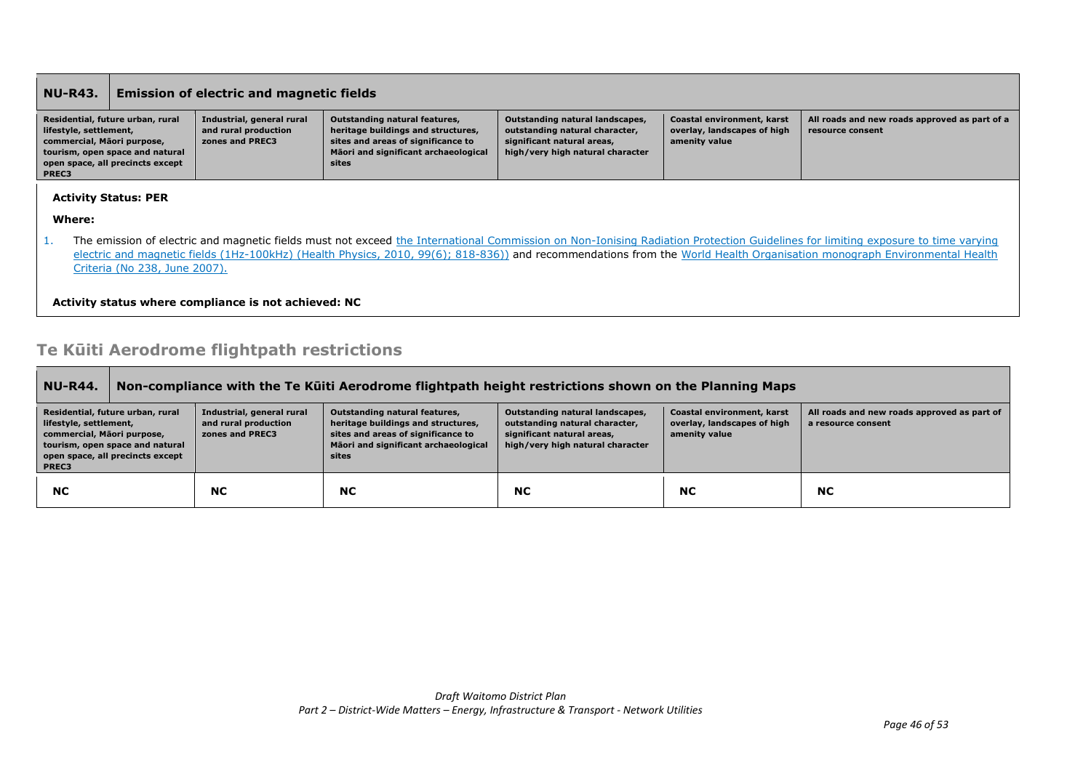| <b>NU-R43.</b>                                                                                                                                                                                                                                                                                                                                                                                    |                                                                                                         | <b>Emission of electric and magnetic fields</b>                      |                                                                                                                                                                   |                                                                                                                                     |                                                                            |                                                                   |
|---------------------------------------------------------------------------------------------------------------------------------------------------------------------------------------------------------------------------------------------------------------------------------------------------------------------------------------------------------------------------------------------------|---------------------------------------------------------------------------------------------------------|----------------------------------------------------------------------|-------------------------------------------------------------------------------------------------------------------------------------------------------------------|-------------------------------------------------------------------------------------------------------------------------------------|----------------------------------------------------------------------------|-------------------------------------------------------------------|
| lifestyle, settlement,<br>commercial, Māori purpose,<br>PREC3                                                                                                                                                                                                                                                                                                                                     | Residential, future urban, rural<br>tourism, open space and natural<br>open space, all precincts except | Industrial, general rural<br>and rural production<br>zones and PREC3 | <b>Outstanding natural features,</b><br>heritage buildings and structures,<br>sites and areas of significance to<br>Māori and significant archaeological<br>sites | Outstanding natural landscapes,<br>outstanding natural character,<br>significant natural areas,<br>high/very high natural character | Coastal environment, karst<br>overlay, landscapes of high<br>amenity value | All roads and new roads approved as part of a<br>resource consent |
|                                                                                                                                                                                                                                                                                                                                                                                                   | <b>Activity Status: PER</b>                                                                             |                                                                      |                                                                                                                                                                   |                                                                                                                                     |                                                                            |                                                                   |
| Where:                                                                                                                                                                                                                                                                                                                                                                                            |                                                                                                         |                                                                      |                                                                                                                                                                   |                                                                                                                                     |                                                                            |                                                                   |
| The emission of electric and magnetic fields must not exceed the International Commission on Non-Ionising Radiation Protection Guidelines for limiting exposure to time varying<br>ı.<br>electric and magnetic fields (1Hz-100kHz) (Health Physics, 2010, 99(6); 818-836)) and recommendations from the World Health Organisation monograph Environmental Health<br>Criteria (No 238, June 2007). |                                                                                                         |                                                                      |                                                                                                                                                                   |                                                                                                                                     |                                                                            |                                                                   |
|                                                                                                                                                                                                                                                                                                                                                                                                   | Activity status where compliance is not achieved: NC                                                    |                                                                      |                                                                                                                                                                   |                                                                                                                                     |                                                                            |                                                                   |

# **Te Kūiti Aerodrome flightpath restrictions**

| <b>NU-R44.</b>                                                                                                                                                           | Non-compliance with the Te Kuiti Aerodrome flightpath height restrictions shown on the Planning Maps |                                                                      |                                                                                                                                                            |                                                                                                                                     |                                                                            |                                                                   |  |
|--------------------------------------------------------------------------------------------------------------------------------------------------------------------------|------------------------------------------------------------------------------------------------------|----------------------------------------------------------------------|------------------------------------------------------------------------------------------------------------------------------------------------------------|-------------------------------------------------------------------------------------------------------------------------------------|----------------------------------------------------------------------------|-------------------------------------------------------------------|--|
| Residential, future urban, rural<br>lifestyle, settlement,<br>commercial, Māori purpose,<br>tourism, open space and natural<br>open space, all precincts except<br>PREC3 |                                                                                                      | Industrial, general rural<br>and rural production<br>zones and PREC3 | Outstanding natural features,<br>heritage buildings and structures,<br>sites and areas of significance to<br>Māori and significant archaeological<br>sites | Outstanding natural landscapes,<br>outstanding natural character,<br>significant natural areas,<br>high/very high natural character | Coastal environment, karst<br>overlay, landscapes of high<br>amenity value | All roads and new roads approved as part of<br>a resource consent |  |
| <b>NC</b>                                                                                                                                                                |                                                                                                      | <b>NC</b>                                                            | <b>NC</b>                                                                                                                                                  | <b>NC</b>                                                                                                                           | <b>NC</b>                                                                  | <b>NC</b>                                                         |  |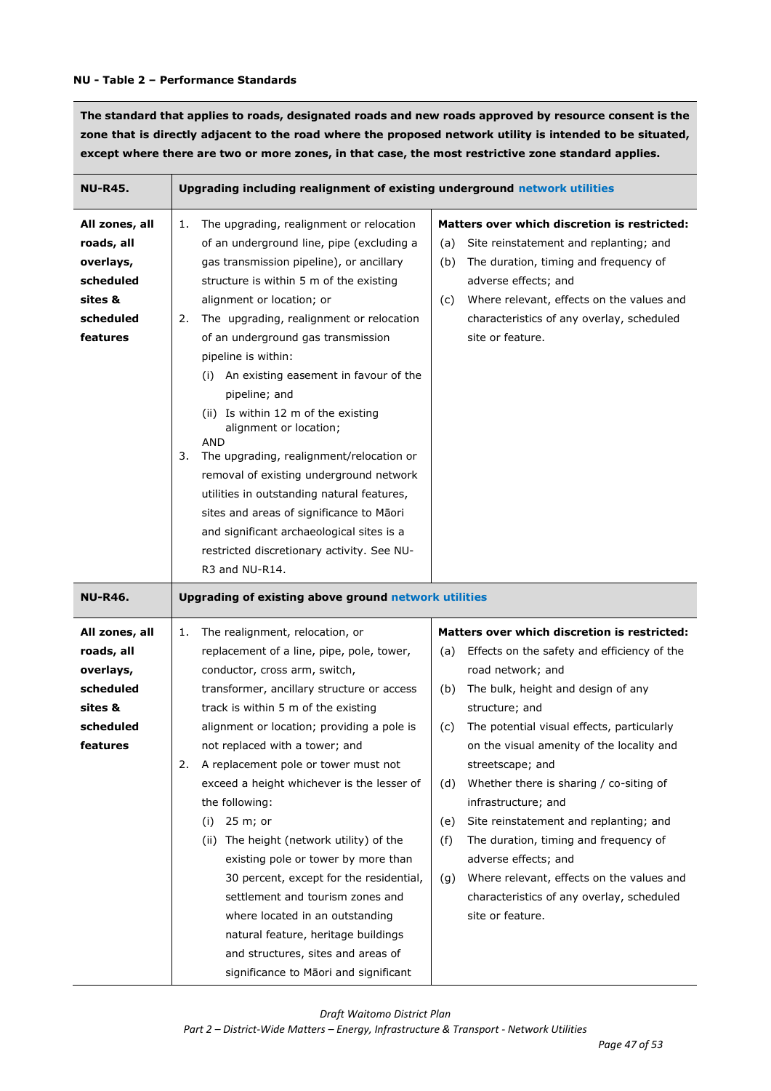### **NU - Table 2 – Performance Standards**

**The standard that applies to roads, designated roads and new roads approved by resource consent is the zone that is directly adjacent to the road where the proposed network utility is intended to be situated, except where there are two or more zones, in that case, the most restrictive zone standard applies.** 

| NU-R45.                                                                                    | Upgrading including realignment of existing underground network utilities                                                                                                                                                                                                                                                                                                                                                                                                                                                                                                                                                                                                                                                                                 |                                                                                                                                                                                                                                                                                                                                                                                                                                                                                                                                                                                                                                     |
|--------------------------------------------------------------------------------------------|-----------------------------------------------------------------------------------------------------------------------------------------------------------------------------------------------------------------------------------------------------------------------------------------------------------------------------------------------------------------------------------------------------------------------------------------------------------------------------------------------------------------------------------------------------------------------------------------------------------------------------------------------------------------------------------------------------------------------------------------------------------|-------------------------------------------------------------------------------------------------------------------------------------------------------------------------------------------------------------------------------------------------------------------------------------------------------------------------------------------------------------------------------------------------------------------------------------------------------------------------------------------------------------------------------------------------------------------------------------------------------------------------------------|
| All zones, all<br>roads, all<br>overlays,<br>scheduled<br>sites &<br>scheduled<br>features | The upgrading, realignment or relocation<br>1.<br>of an underground line, pipe (excluding a<br>gas transmission pipeline), or ancillary<br>structure is within 5 m of the existing<br>alignment or location; or<br>The upgrading, realignment or relocation<br>2.<br>of an underground gas transmission<br>pipeline is within:<br>An existing easement in favour of the<br>(i)<br>pipeline; and<br>(ii) Is within 12 m of the existing<br>alignment or location;<br>AND<br>The upgrading, realignment/relocation or<br>3.<br>removal of existing underground network<br>utilities in outstanding natural features,<br>sites and areas of significance to Māori<br>and significant archaeological sites is a<br>restricted discretionary activity. See NU- | Matters over which discretion is restricted:<br>Site reinstatement and replanting; and<br>(a)<br>The duration, timing and frequency of<br>(b)<br>adverse effects; and<br>Where relevant, effects on the values and<br>(c)<br>characteristics of any overlay, scheduled<br>site or feature.                                                                                                                                                                                                                                                                                                                                          |
|                                                                                            | R3 and NU-R14.                                                                                                                                                                                                                                                                                                                                                                                                                                                                                                                                                                                                                                                                                                                                            |                                                                                                                                                                                                                                                                                                                                                                                                                                                                                                                                                                                                                                     |
| <b>NU-R46.</b>                                                                             | Upgrading of existing above ground network utilities                                                                                                                                                                                                                                                                                                                                                                                                                                                                                                                                                                                                                                                                                                      |                                                                                                                                                                                                                                                                                                                                                                                                                                                                                                                                                                                                                                     |
| All zones, all<br>roads, all<br>overlays,<br>scheduled<br>sites &<br>scheduled<br>features | The realignment, relocation, or<br>1.<br>replacement of a line, pipe, pole, tower,<br>conductor, cross arm, switch,<br>transformer, ancillary structure or access<br>track is within 5 m of the existing<br>alignment or location; providing a pole is<br>not replaced with a tower; and<br>A replacement pole or tower must not<br>2.<br>exceed a height whichever is the lesser of<br>the following:<br>25 m; or<br>(i)<br>The height (network utility) of the<br>(ii)<br>existing pole or tower by more than<br>30 percent, except for the residential,<br>settlement and tourism zones and<br>where located in an outstanding<br>natural feature, heritage buildings<br>and structures, sites and areas of<br>significance to Māori and significant   | Matters over which discretion is restricted:<br>Effects on the safety and efficiency of the<br>(a)<br>road network; and<br>The bulk, height and design of any<br>(b)<br>structure; and<br>The potential visual effects, particularly<br>(c)<br>on the visual amenity of the locality and<br>streetscape; and<br>Whether there is sharing / co-siting of<br>(d)<br>infrastructure; and<br>Site reinstatement and replanting; and<br>(e)<br>(f)<br>The duration, timing and frequency of<br>adverse effects; and<br>Where relevant, effects on the values and<br>(g)<br>characteristics of any overlay, scheduled<br>site or feature. |

*Draft Waitomo District Plan*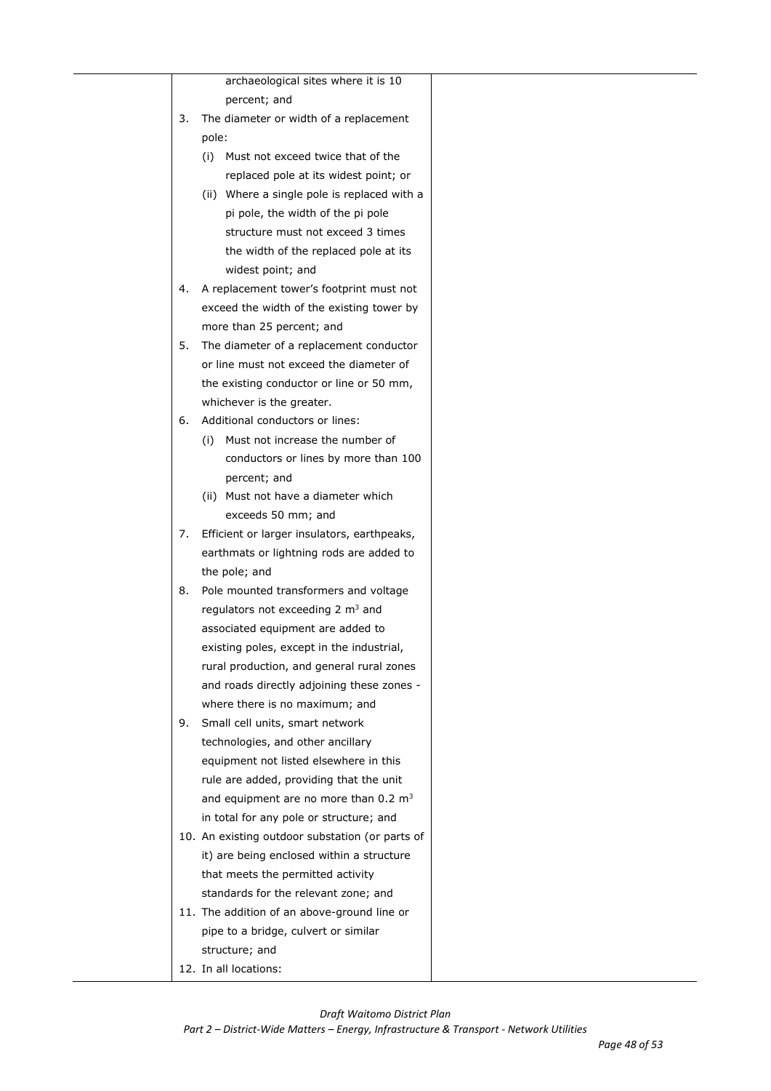|    |       | archaeological sites where it is 10              |  |
|----|-------|--------------------------------------------------|--|
|    |       | percent; and                                     |  |
| 3. |       | The diameter or width of a replacement           |  |
|    | pole: |                                                  |  |
|    | (i)   | Must not exceed twice that of the                |  |
|    |       | replaced pole at its widest point; or            |  |
|    | (ii)  | Where a single pole is replaced with a           |  |
|    |       | pi pole, the width of the pi pole                |  |
|    |       | structure must not exceed 3 times                |  |
|    |       | the width of the replaced pole at its            |  |
|    |       | widest point; and                                |  |
| 4. |       | A replacement tower's footprint must not         |  |
|    |       | exceed the width of the existing tower by        |  |
|    |       | more than 25 percent; and                        |  |
| 5. |       | The diameter of a replacement conductor          |  |
|    |       | or line must not exceed the diameter of          |  |
|    |       | the existing conductor or line or 50 mm,         |  |
|    |       | whichever is the greater.                        |  |
| 6. |       | Additional conductors or lines:                  |  |
|    | (i)   | Must not increase the number of                  |  |
|    |       | conductors or lines by more than 100             |  |
|    |       | percent; and                                     |  |
|    |       | (ii) Must not have a diameter which              |  |
|    |       | exceeds 50 mm; and                               |  |
| 7. |       | Efficient or larger insulators, earthpeaks,      |  |
|    |       | earthmats or lightning rods are added to         |  |
|    |       | the pole; and                                    |  |
| 8. |       | Pole mounted transformers and voltage            |  |
|    |       | regulators not exceeding 2 m <sup>3</sup> and    |  |
|    |       | associated equipment are added to                |  |
|    |       | existing poles, except in the industrial,        |  |
|    |       | rural production, and general rural zones        |  |
|    |       | and roads directly adjoining these zones -       |  |
|    |       | where there is no maximum; and                   |  |
| 9. |       | Small cell units, smart network                  |  |
|    |       | technologies, and other ancillary                |  |
|    |       | equipment not listed elsewhere in this           |  |
|    |       | rule are added, providing that the unit          |  |
|    |       | and equipment are no more than $0.2 \text{ m}^3$ |  |
|    |       | in total for any pole or structure; and          |  |
|    |       | 10. An existing outdoor substation (or parts of  |  |
|    |       | it) are being enclosed within a structure        |  |
|    |       | that meets the permitted activity                |  |
|    |       | standards for the relevant zone; and             |  |
|    |       | 11. The addition of an above-ground line or      |  |
|    |       | pipe to a bridge, culvert or similar             |  |
|    |       | structure; and                                   |  |
|    |       | 12. In all locations:                            |  |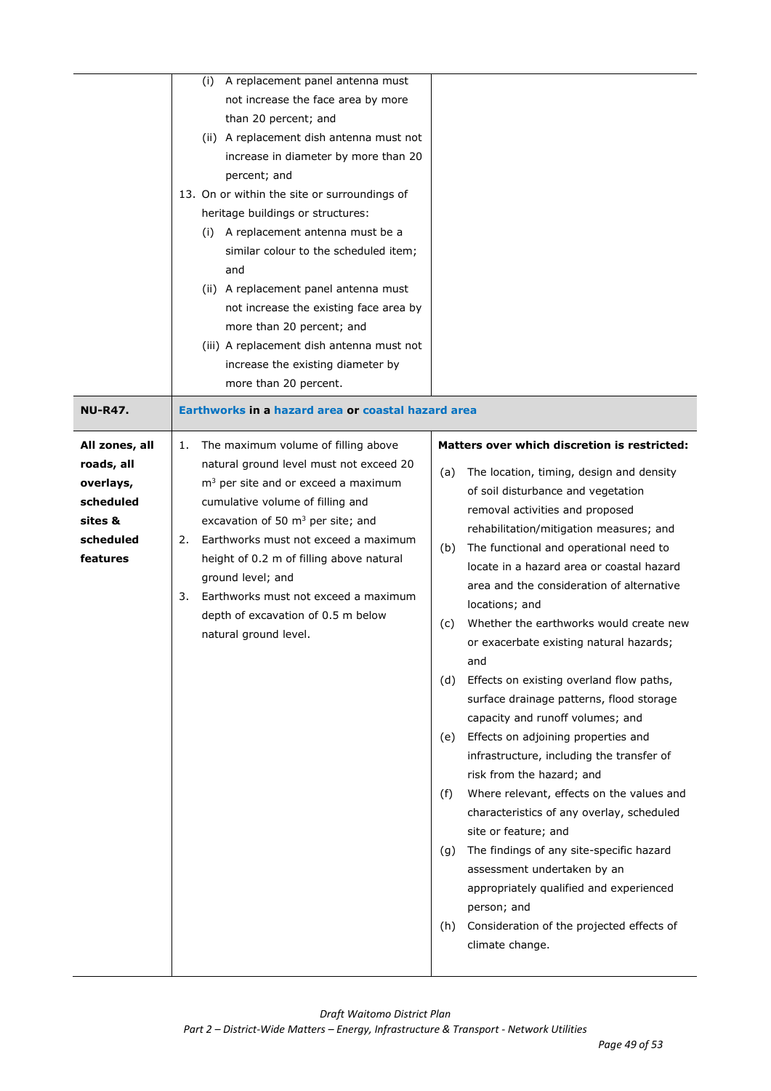|                        | A replacement panel antenna must<br>(i)<br>not increase the face area by more<br>than 20 percent; and<br>(ii) A replacement dish antenna must not<br>increase in diameter by more than 20<br>percent; and<br>13. On or within the site or surroundings of<br>heritage buildings or structures:<br>A replacement antenna must be a<br>(i)<br>similar colour to the scheduled item;<br>and<br>(ii) A replacement panel antenna must<br>not increase the existing face area by<br>more than 20 percent; and<br>(iii) A replacement dish antenna must not<br>increase the existing diameter by |                                                                                           |
|------------------------|--------------------------------------------------------------------------------------------------------------------------------------------------------------------------------------------------------------------------------------------------------------------------------------------------------------------------------------------------------------------------------------------------------------------------------------------------------------------------------------------------------------------------------------------------------------------------------------------|-------------------------------------------------------------------------------------------|
| <b>NU-R47.</b>         | more than 20 percent.<br>Earthworks in a hazard area or coastal hazard area                                                                                                                                                                                                                                                                                                                                                                                                                                                                                                                |                                                                                           |
| All zones, all         | The maximum volume of filling above<br>1.                                                                                                                                                                                                                                                                                                                                                                                                                                                                                                                                                  | Matters over which discretion is restricted:                                              |
| roads, all             | natural ground level must not exceed 20                                                                                                                                                                                                                                                                                                                                                                                                                                                                                                                                                    | The location, timing, design and density<br>(a)                                           |
| overlays,<br>scheduled | $m3$ per site and or exceed a maximum<br>cumulative volume of filling and                                                                                                                                                                                                                                                                                                                                                                                                                                                                                                                  | of soil disturbance and vegetation                                                        |
| sites &                | excavation of 50 $m3$ per site; and                                                                                                                                                                                                                                                                                                                                                                                                                                                                                                                                                        | removal activities and proposed<br>rehabilitation/mitigation measures; and                |
| scheduled<br>features  | Earthworks must not exceed a maximum<br>2.<br>height of 0.2 m of filling above natural                                                                                                                                                                                                                                                                                                                                                                                                                                                                                                     | The functional and operational need to<br>(b)                                             |
|                        | ground level; and                                                                                                                                                                                                                                                                                                                                                                                                                                                                                                                                                                          | locate in a hazard area or coastal hazard<br>area and the consideration of alternative    |
|                        | Earthworks must not exceed a maximum<br>3.                                                                                                                                                                                                                                                                                                                                                                                                                                                                                                                                                 | locations; and                                                                            |
|                        | depth of excavation of 0.5 m below<br>natural ground level.                                                                                                                                                                                                                                                                                                                                                                                                                                                                                                                                | Whether the earthworks would create new<br>(c)<br>or exacerbate existing natural hazards; |
|                        |                                                                                                                                                                                                                                                                                                                                                                                                                                                                                                                                                                                            | and<br>(d)<br>Effects on existing overland flow paths,                                    |
|                        |                                                                                                                                                                                                                                                                                                                                                                                                                                                                                                                                                                                            | surface drainage patterns, flood storage                                                  |
|                        |                                                                                                                                                                                                                                                                                                                                                                                                                                                                                                                                                                                            | capacity and runoff volumes; and<br>Effects on adjoining properties and<br>(e)            |
|                        |                                                                                                                                                                                                                                                                                                                                                                                                                                                                                                                                                                                            | infrastructure, including the transfer of                                                 |
|                        |                                                                                                                                                                                                                                                                                                                                                                                                                                                                                                                                                                                            | risk from the hazard; and<br>Where relevant, effects on the values and<br>(f)             |
|                        |                                                                                                                                                                                                                                                                                                                                                                                                                                                                                                                                                                                            | characteristics of any overlay, scheduled                                                 |
|                        |                                                                                                                                                                                                                                                                                                                                                                                                                                                                                                                                                                                            | site or feature; and<br>The findings of any site-specific hazard<br>(g)                   |
|                        |                                                                                                                                                                                                                                                                                                                                                                                                                                                                                                                                                                                            | assessment undertaken by an                                                               |
|                        |                                                                                                                                                                                                                                                                                                                                                                                                                                                                                                                                                                                            | appropriately qualified and experienced<br>person; and                                    |
|                        |                                                                                                                                                                                                                                                                                                                                                                                                                                                                                                                                                                                            | Consideration of the projected effects of<br>(h)<br>climate change.                       |
|                        |                                                                                                                                                                                                                                                                                                                                                                                                                                                                                                                                                                                            |                                                                                           |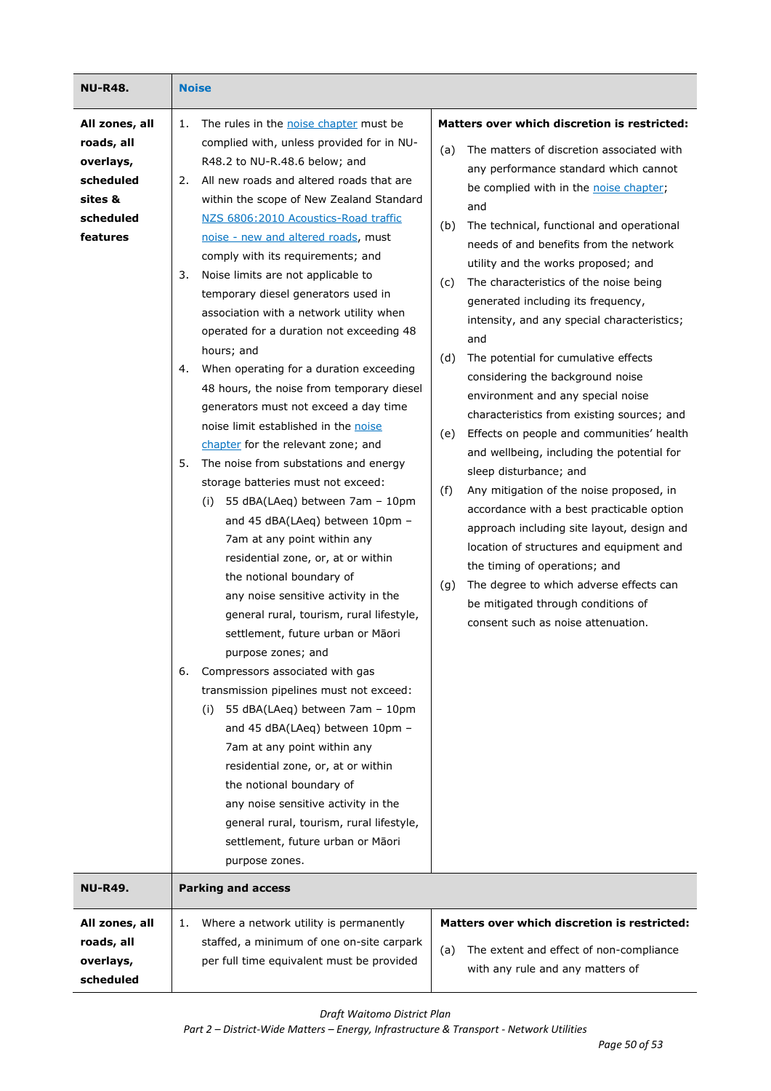| NU-R48.                                                                                    | <b>Noise</b>                                                                                                                                                                                                                                                                                                                                                                                                                                                                                                                                                                                                                                                                                                                                                                                                                                                                                                                                                                                                                                                                                                                                                                                                                                                                                                                                                                                                                                                                                                                                                         |                                                                                                                                                                                                                                                                                                                                                                                                                                                                                                                                                                                                                                                                                                                                                                                                                                                                                                                                                                                                                                                                                                                                         |
|--------------------------------------------------------------------------------------------|----------------------------------------------------------------------------------------------------------------------------------------------------------------------------------------------------------------------------------------------------------------------------------------------------------------------------------------------------------------------------------------------------------------------------------------------------------------------------------------------------------------------------------------------------------------------------------------------------------------------------------------------------------------------------------------------------------------------------------------------------------------------------------------------------------------------------------------------------------------------------------------------------------------------------------------------------------------------------------------------------------------------------------------------------------------------------------------------------------------------------------------------------------------------------------------------------------------------------------------------------------------------------------------------------------------------------------------------------------------------------------------------------------------------------------------------------------------------------------------------------------------------------------------------------------------------|-----------------------------------------------------------------------------------------------------------------------------------------------------------------------------------------------------------------------------------------------------------------------------------------------------------------------------------------------------------------------------------------------------------------------------------------------------------------------------------------------------------------------------------------------------------------------------------------------------------------------------------------------------------------------------------------------------------------------------------------------------------------------------------------------------------------------------------------------------------------------------------------------------------------------------------------------------------------------------------------------------------------------------------------------------------------------------------------------------------------------------------------|
| All zones, all<br>roads, all<br>overlays,<br>scheduled<br>sites &<br>scheduled<br>features | The rules in the noise chapter must be<br>1.<br>complied with, unless provided for in NU-<br>R48.2 to NU-R.48.6 below; and<br>All new roads and altered roads that are<br>2.<br>within the scope of New Zealand Standard<br>NZS 6806:2010 Acoustics-Road traffic<br>noise - new and altered roads, must<br>comply with its requirements; and<br>Noise limits are not applicable to<br>3.<br>temporary diesel generators used in<br>association with a network utility when<br>operated for a duration not exceeding 48<br>hours; and<br>When operating for a duration exceeding<br>4.<br>48 hours, the noise from temporary diesel<br>generators must not exceed a day time<br>noise limit established in the noise<br>chapter for the relevant zone; and<br>The noise from substations and energy<br>5.<br>storage batteries must not exceed:<br>55 dBA(LAeq) between 7am - 10pm<br>(i)<br>and 45 dBA(LAeq) between 10pm -<br>7am at any point within any<br>residential zone, or, at or within<br>the notional boundary of<br>any noise sensitive activity in the<br>general rural, tourism, rural lifestyle,<br>settlement, future urban or Māori<br>purpose zones; and<br>6.<br>Compressors associated with gas<br>transmission pipelines must not exceed:<br>55 dBA(LAeq) between 7am - 10pm<br>(i)<br>and 45 dBA(LAeq) between 10pm -<br>7am at any point within any<br>residential zone, or, at or within<br>the notional boundary of<br>any noise sensitive activity in the<br>general rural, tourism, rural lifestyle,<br>settlement, future urban or Māori | Matters over which discretion is restricted:<br>The matters of discretion associated with<br>(a)<br>any performance standard which cannot<br>be complied with in the noise chapter;<br>and<br>The technical, functional and operational<br>(b)<br>needs of and benefits from the network<br>utility and the works proposed; and<br>The characteristics of the noise being<br>(c)<br>generated including its frequency,<br>intensity, and any special characteristics;<br>and<br>The potential for cumulative effects<br>(d)<br>considering the background noise<br>environment and any special noise<br>characteristics from existing sources; and<br>Effects on people and communities' health<br>(e)<br>and wellbeing, including the potential for<br>sleep disturbance; and<br>(f)<br>Any mitigation of the noise proposed, in<br>accordance with a best practicable option<br>approach including site layout, design and<br>location of structures and equipment and<br>the timing of operations; and<br>The degree to which adverse effects can<br>(g)<br>be mitigated through conditions of<br>consent such as noise attenuation. |
| NU-R49.                                                                                    | purpose zones.<br><b>Parking and access</b>                                                                                                                                                                                                                                                                                                                                                                                                                                                                                                                                                                                                                                                                                                                                                                                                                                                                                                                                                                                                                                                                                                                                                                                                                                                                                                                                                                                                                                                                                                                          |                                                                                                                                                                                                                                                                                                                                                                                                                                                                                                                                                                                                                                                                                                                                                                                                                                                                                                                                                                                                                                                                                                                                         |
| All zones, all                                                                             | Where a network utility is permanently<br>1.                                                                                                                                                                                                                                                                                                                                                                                                                                                                                                                                                                                                                                                                                                                                                                                                                                                                                                                                                                                                                                                                                                                                                                                                                                                                                                                                                                                                                                                                                                                         | Matters over which discretion is restricted:                                                                                                                                                                                                                                                                                                                                                                                                                                                                                                                                                                                                                                                                                                                                                                                                                                                                                                                                                                                                                                                                                            |
| roads, all<br>overlays,<br>scheduled                                                       | staffed, a minimum of one on-site carpark<br>per full time equivalent must be provided                                                                                                                                                                                                                                                                                                                                                                                                                                                                                                                                                                                                                                                                                                                                                                                                                                                                                                                                                                                                                                                                                                                                                                                                                                                                                                                                                                                                                                                                               | The extent and effect of non-compliance<br>(a)<br>with any rule and any matters of                                                                                                                                                                                                                                                                                                                                                                                                                                                                                                                                                                                                                                                                                                                                                                                                                                                                                                                                                                                                                                                      |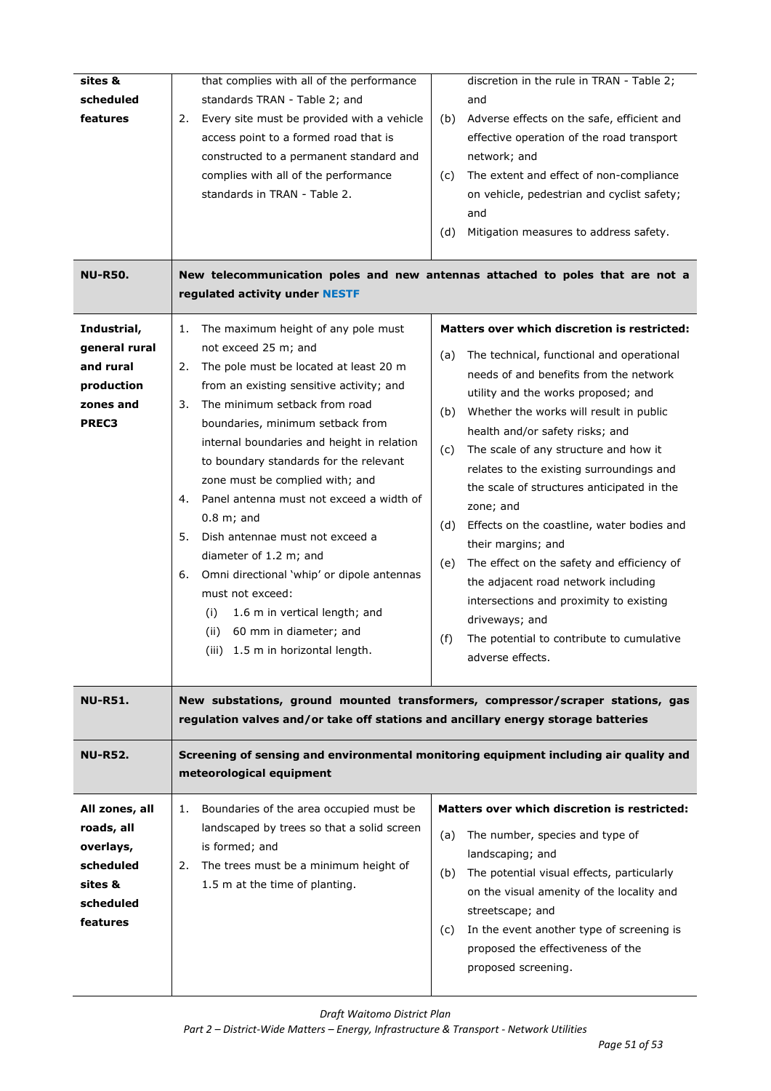| sites &<br>scheduled<br>features                                                           | that complies with all of the performance<br>standards TRAN - Table 2; and<br>Every site must be provided with a vehicle<br>2.<br>access point to a formed road that is<br>constructed to a permanent standard and<br>complies with all of the performance<br>standards in TRAN - Table 2.                                                                                                                                                                                                                                                                                                                                                                                                      | discretion in the rule in TRAN - Table 2;<br>and<br>Adverse effects on the safe, efficient and<br>(b)<br>effective operation of the road transport<br>network; and<br>The extent and effect of non-compliance<br>(c)<br>on vehicle, pedestrian and cyclist safety;<br>and                                                                                                                                                                                                                                                                                                                                                                                                                                                                        |
|--------------------------------------------------------------------------------------------|-------------------------------------------------------------------------------------------------------------------------------------------------------------------------------------------------------------------------------------------------------------------------------------------------------------------------------------------------------------------------------------------------------------------------------------------------------------------------------------------------------------------------------------------------------------------------------------------------------------------------------------------------------------------------------------------------|--------------------------------------------------------------------------------------------------------------------------------------------------------------------------------------------------------------------------------------------------------------------------------------------------------------------------------------------------------------------------------------------------------------------------------------------------------------------------------------------------------------------------------------------------------------------------------------------------------------------------------------------------------------------------------------------------------------------------------------------------|
| <b>NU-R50.</b>                                                                             | regulated activity under NESTF                                                                                                                                                                                                                                                                                                                                                                                                                                                                                                                                                                                                                                                                  | (d)<br>Mitigation measures to address safety.<br>New telecommunication poles and new antennas attached to poles that are not a                                                                                                                                                                                                                                                                                                                                                                                                                                                                                                                                                                                                                   |
| Industrial,<br>general rural<br>and rural<br>production<br>zones and<br><b>PREC3</b>       | The maximum height of any pole must<br>1.<br>not exceed 25 m; and<br>The pole must be located at least 20 m<br>2.<br>from an existing sensitive activity; and<br>The minimum setback from road<br>3.<br>boundaries, minimum setback from<br>internal boundaries and height in relation<br>to boundary standards for the relevant<br>zone must be complied with; and<br>Panel antenna must not exceed a width of<br>4.<br>$0.8$ m; and<br>Dish antennae must not exceed a<br>5.<br>diameter of 1.2 m; and<br>Omni directional 'whip' or dipole antennas<br>6.<br>must not exceed:<br>(i)<br>1.6 m in vertical length; and<br>60 mm in diameter; and<br>(ii)<br>(iii) 1.5 m in horizontal length. | <b>Matters over which discretion is restricted:</b><br>The technical, functional and operational<br>(a)<br>needs of and benefits from the network<br>utility and the works proposed; and<br>Whether the works will result in public<br>(b)<br>health and/or safety risks; and<br>The scale of any structure and how it<br>(c)<br>relates to the existing surroundings and<br>the scale of structures anticipated in the<br>zone; and<br>Effects on the coastline, water bodies and<br>(d)<br>their margins; and<br>The effect on the safety and efficiency of<br>(e)<br>the adjacent road network including<br>intersections and proximity to existing<br>driveways; and<br>(f)<br>The potential to contribute to cumulative<br>adverse effects. |
| <b>NU-R51.</b>                                                                             | regulation valves and/or take off stations and ancillary energy storage batteries                                                                                                                                                                                                                                                                                                                                                                                                                                                                                                                                                                                                               | New substations, ground mounted transformers, compressor/scraper stations, gas                                                                                                                                                                                                                                                                                                                                                                                                                                                                                                                                                                                                                                                                   |
| <b>NU-R52.</b>                                                                             | meteorological equipment                                                                                                                                                                                                                                                                                                                                                                                                                                                                                                                                                                                                                                                                        | Screening of sensing and environmental monitoring equipment including air quality and                                                                                                                                                                                                                                                                                                                                                                                                                                                                                                                                                                                                                                                            |
| All zones, all<br>roads, all<br>overlays,<br>scheduled<br>sites &<br>scheduled<br>features | Boundaries of the area occupied must be<br>1.<br>landscaped by trees so that a solid screen<br>is formed; and<br>The trees must be a minimum height of<br>2.<br>1.5 m at the time of planting.                                                                                                                                                                                                                                                                                                                                                                                                                                                                                                  | <b>Matters over which discretion is restricted:</b><br>The number, species and type of<br>(a)<br>landscaping; and<br>The potential visual effects, particularly<br>(b)<br>on the visual amenity of the locality and<br>streetscape; and<br>In the event another type of screening is<br>(C)<br>proposed the effectiveness of the<br>proposed screening.                                                                                                                                                                                                                                                                                                                                                                                          |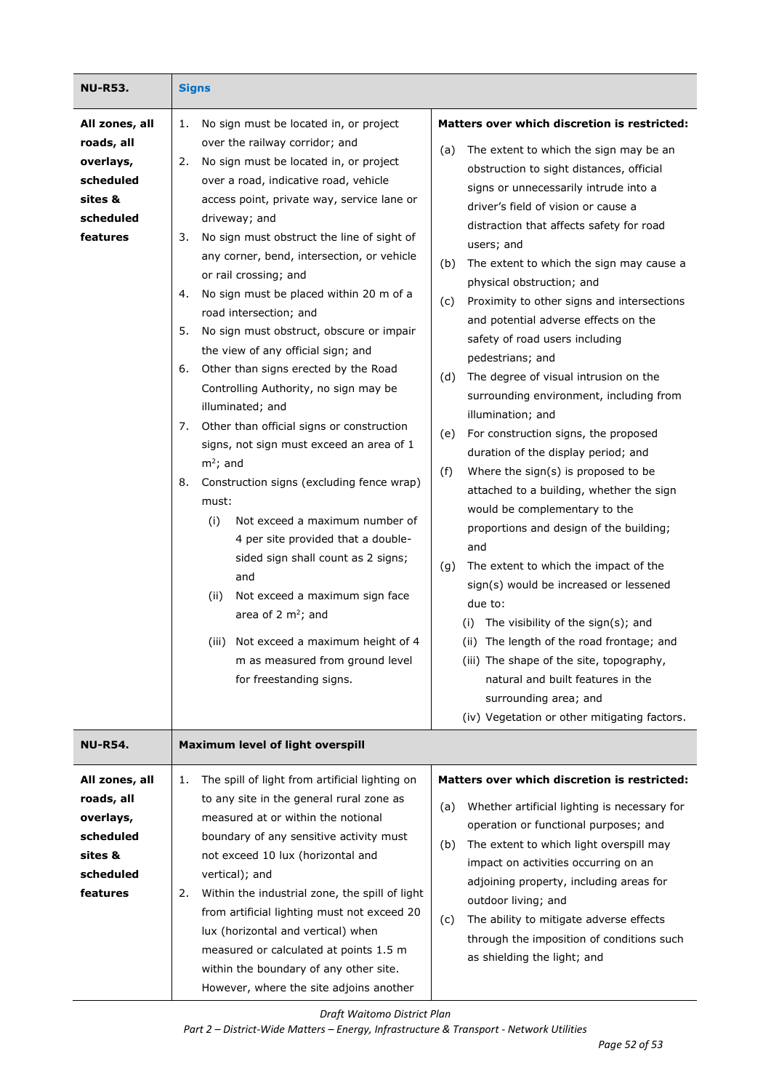| NU-R53.                                                                                    | <b>Signs</b>                                                                                                                                                                                                                                                                                                                                                                                                                                                                                                                                                                                                                                                                                                                                                                                                                                                                                                                                                                                                                                                                                                                     |                                                                                                                                                                                                                                                                                                                                                                                                                                                                                                                                                                                                                                                                                                                                                                                                                                                                                                                                                                                                                                                                                                                                                                                                                                                                       |
|--------------------------------------------------------------------------------------------|----------------------------------------------------------------------------------------------------------------------------------------------------------------------------------------------------------------------------------------------------------------------------------------------------------------------------------------------------------------------------------------------------------------------------------------------------------------------------------------------------------------------------------------------------------------------------------------------------------------------------------------------------------------------------------------------------------------------------------------------------------------------------------------------------------------------------------------------------------------------------------------------------------------------------------------------------------------------------------------------------------------------------------------------------------------------------------------------------------------------------------|-----------------------------------------------------------------------------------------------------------------------------------------------------------------------------------------------------------------------------------------------------------------------------------------------------------------------------------------------------------------------------------------------------------------------------------------------------------------------------------------------------------------------------------------------------------------------------------------------------------------------------------------------------------------------------------------------------------------------------------------------------------------------------------------------------------------------------------------------------------------------------------------------------------------------------------------------------------------------------------------------------------------------------------------------------------------------------------------------------------------------------------------------------------------------------------------------------------------------------------------------------------------------|
| All zones, all<br>roads, all<br>overlays,<br>scheduled<br>sites &<br>scheduled<br>features | No sign must be located in, or project<br>1.<br>over the railway corridor; and<br>No sign must be located in, or project<br>2.<br>over a road, indicative road, vehicle<br>access point, private way, service lane or<br>driveway; and<br>No sign must obstruct the line of sight of<br>3.<br>any corner, bend, intersection, or vehicle<br>or rail crossing; and<br>No sign must be placed within 20 m of a<br>4.<br>road intersection; and<br>5.<br>No sign must obstruct, obscure or impair<br>the view of any official sign; and<br>Other than signs erected by the Road<br>6.<br>Controlling Authority, no sign may be<br>illuminated; and<br>Other than official signs or construction<br>7.<br>signs, not sign must exceed an area of 1<br>$m^2$ ; and<br>Construction signs (excluding fence wrap)<br>8.<br>must:<br>Not exceed a maximum number of<br>(i)<br>4 per site provided that a double-<br>sided sign shall count as 2 signs;<br>and<br>(ii)<br>Not exceed a maximum sign face<br>area of 2 $m^2$ ; and<br>(iii) Not exceed a maximum height of 4<br>m as measured from ground level<br>for freestanding signs. | Matters over which discretion is restricted:<br>The extent to which the sign may be an<br>(a)<br>obstruction to sight distances, official<br>signs or unnecessarily intrude into a<br>driver's field of vision or cause a<br>distraction that affects safety for road<br>users; and<br>The extent to which the sign may cause a<br>(b)<br>physical obstruction; and<br>Proximity to other signs and intersections<br>(c)<br>and potential adverse effects on the<br>safety of road users including<br>pedestrians; and<br>The degree of visual intrusion on the<br>(d)<br>surrounding environment, including from<br>illumination; and<br>For construction signs, the proposed<br>(e)<br>duration of the display period; and<br>(f)<br>Where the sign(s) is proposed to be<br>attached to a building, whether the sign<br>would be complementary to the<br>proportions and design of the building;<br>and<br>The extent to which the impact of the<br>(g)<br>sign(s) would be increased or lessened<br>due to:<br>The visibility of the sign(s); and<br>(i)<br>The length of the road frontage; and<br>(ii)<br>(iii) The shape of the site, topography,<br>natural and built features in the<br>surrounding area; and<br>(iv) Vegetation or other mitigating factors. |
| NU-R54.                                                                                    | Maximum level of light overspill                                                                                                                                                                                                                                                                                                                                                                                                                                                                                                                                                                                                                                                                                                                                                                                                                                                                                                                                                                                                                                                                                                 |                                                                                                                                                                                                                                                                                                                                                                                                                                                                                                                                                                                                                                                                                                                                                                                                                                                                                                                                                                                                                                                                                                                                                                                                                                                                       |
| All zones, all<br>roads, all<br>overlays,<br>scheduled<br>sites &<br>scheduled<br>features | The spill of light from artificial lighting on<br>1.<br>to any site in the general rural zone as<br>measured at or within the notional<br>boundary of any sensitive activity must<br>not exceed 10 lux (horizontal and<br>vertical); and<br>Within the industrial zone, the spill of light<br>2.<br>from artificial lighting must not exceed 20<br>lux (horizontal and vertical) when<br>measured or calculated at points 1.5 m<br>within the boundary of any other site.<br>However, where the site adjoins another                                                                                                                                                                                                                                                                                                                                                                                                                                                                                                                                                                                                             | Matters over which discretion is restricted:<br>Whether artificial lighting is necessary for<br>(a)<br>operation or functional purposes; and<br>The extent to which light overspill may<br>(b)<br>impact on activities occurring on an<br>adjoining property, including areas for<br>outdoor living; and<br>The ability to mitigate adverse effects<br>(c)<br>through the imposition of conditions such<br>as shielding the light; and                                                                                                                                                                                                                                                                                                                                                                                                                                                                                                                                                                                                                                                                                                                                                                                                                                |